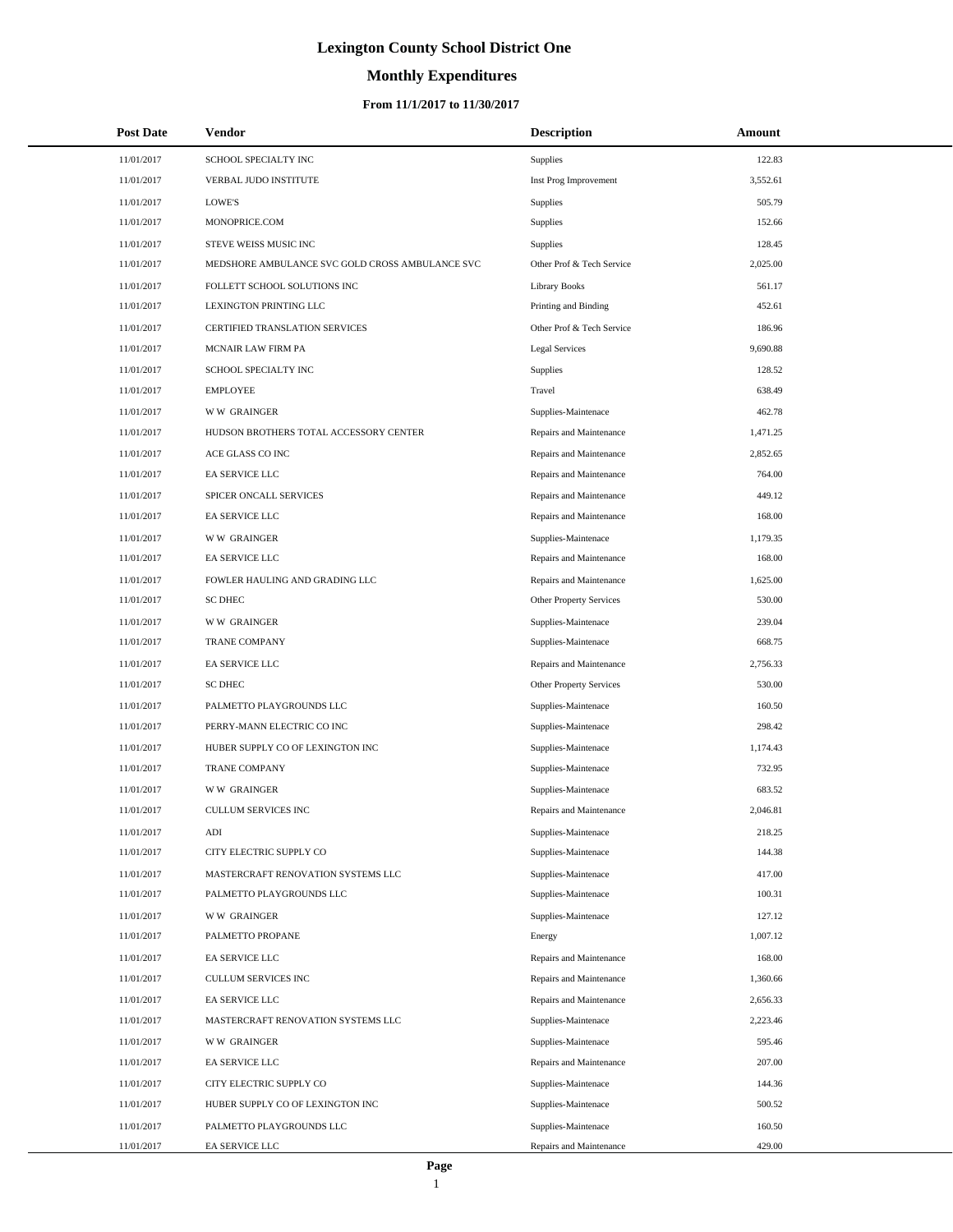# **Monthly Expenditures**

### **From 11/1/2017 to 11/30/2017**

| <b>Post Date</b> | Vendor                                          | <b>Description</b>        | Amount   |
|------------------|-------------------------------------------------|---------------------------|----------|
| 11/01/2017       | SCHOOL SPECIALTY INC                            | Supplies                  | 122.83   |
| 11/01/2017       | VERBAL JUDO INSTITUTE                           | Inst Prog Improvement     | 3,552.61 |
| 11/01/2017       | LOWE'S                                          | <b>Supplies</b>           | 505.79   |
| 11/01/2017       | MONOPRICE.COM                                   | Supplies                  | 152.66   |
| 11/01/2017       | STEVE WEISS MUSIC INC                           | <b>Supplies</b>           | 128.45   |
| 11/01/2017       | MEDSHORE AMBULANCE SVC GOLD CROSS AMBULANCE SVC | Other Prof & Tech Service | 2,025.00 |
| 11/01/2017       | FOLLETT SCHOOL SOLUTIONS INC                    | <b>Library Books</b>      | 561.17   |
| 11/01/2017       | LEXINGTON PRINTING LLC                          | Printing and Binding      | 452.61   |
| 11/01/2017       | CERTIFIED TRANSLATION SERVICES                  | Other Prof & Tech Service | 186.96   |
| 11/01/2017       | MCNAIR LAW FIRM PA                              | <b>Legal Services</b>     | 9,690.88 |
| 11/01/2017       | SCHOOL SPECIALTY INC                            | <b>Supplies</b>           | 128.52   |
| 11/01/2017       | <b>EMPLOYEE</b>                                 | Travel                    | 638.49   |
| 11/01/2017       | <b>WW GRAINGER</b>                              | Supplies-Maintenace       | 462.78   |
| 11/01/2017       | HUDSON BROTHERS TOTAL ACCESSORY CENTER          | Repairs and Maintenance   | 1,471.25 |
| 11/01/2017       | ACE GLASS CO INC                                | Repairs and Maintenance   | 2,852.65 |
| 11/01/2017       | EA SERVICE LLC                                  | Repairs and Maintenance   | 764.00   |
| 11/01/2017       | SPICER ONCALL SERVICES                          | Repairs and Maintenance   | 449.12   |
| 11/01/2017       | EA SERVICE LLC                                  | Repairs and Maintenance   | 168.00   |
| 11/01/2017       | <b>WW GRAINGER</b>                              | Supplies-Maintenace       | 1,179.35 |
| 11/01/2017       | EA SERVICE LLC                                  | Repairs and Maintenance   | 168.00   |
| 11/01/2017       | FOWLER HAULING AND GRADING LLC                  | Repairs and Maintenance   | 1,625.00 |
| 11/01/2017       | <b>SC DHEC</b>                                  | Other Property Services   | 530.00   |
| 11/01/2017       | <b>WW GRAINGER</b>                              | Supplies-Maintenace       | 239.04   |
| 11/01/2017       | <b>TRANE COMPANY</b>                            | Supplies-Maintenace       | 668.75   |
| 11/01/2017       | EA SERVICE LLC                                  | Repairs and Maintenance   | 2,756.33 |
| 11/01/2017       | <b>SC DHEC</b>                                  | Other Property Services   | 530.00   |
| 11/01/2017       | PALMETTO PLAYGROUNDS LLC                        | Supplies-Maintenace       | 160.50   |
| 11/01/2017       | PERRY-MANN ELECTRIC CO INC                      | Supplies-Maintenace       | 298.42   |
| 11/01/2017       | HUBER SUPPLY CO OF LEXINGTON INC                | Supplies-Maintenace       | 1,174.43 |
| 11/01/2017       | TRANE COMPANY                                   | Supplies-Maintenace       | 732.95   |
| 11/01/2017       | <b>WW GRAINGER</b>                              | Supplies-Maintenace       | 683.52   |
| 11/01/2017       | <b>CULLUM SERVICES INC</b>                      | Repairs and Maintenance   | 2,046.81 |
| 11/01/2017       | ADI                                             | Supplies-Maintenace       | 218.25   |
| 11/01/2017       | CITY ELECTRIC SUPPLY CO                         | Supplies-Maintenace       | 144.38   |
| 11/01/2017       | MASTERCRAFT RENOVATION SYSTEMS LLC              | Supplies-Maintenace       | 417.00   |
| 11/01/2017       | PALMETTO PLAYGROUNDS LLC                        | Supplies-Maintenace       | 100.31   |
| 11/01/2017       | <b>WW GRAINGER</b>                              | Supplies-Maintenace       | 127.12   |
| 11/01/2017       | PALMETTO PROPANE                                | Energy                    | 1,007.12 |
| 11/01/2017       | EA SERVICE LLC                                  | Repairs and Maintenance   | 168.00   |
| 11/01/2017       | CULLUM SERVICES INC                             | Repairs and Maintenance   | 1,360.66 |
| 11/01/2017       | EA SERVICE LLC                                  | Repairs and Maintenance   | 2,656.33 |
| 11/01/2017       | MASTERCRAFT RENOVATION SYSTEMS LLC              | Supplies-Maintenace       | 2,223.46 |
| 11/01/2017       | <b>WW GRAINGER</b>                              | Supplies-Maintenace       | 595.46   |
| 11/01/2017       | EA SERVICE LLC                                  | Repairs and Maintenance   | 207.00   |
| 11/01/2017       | CITY ELECTRIC SUPPLY CO                         | Supplies-Maintenace       | 144.36   |
| 11/01/2017       | HUBER SUPPLY CO OF LEXINGTON INC                | Supplies-Maintenace       | 500.52   |
| 11/01/2017       | PALMETTO PLAYGROUNDS LLC                        | Supplies-Maintenace       | 160.50   |
| 11/01/2017       | EA SERVICE LLC                                  | Repairs and Maintenance   | 429.00   |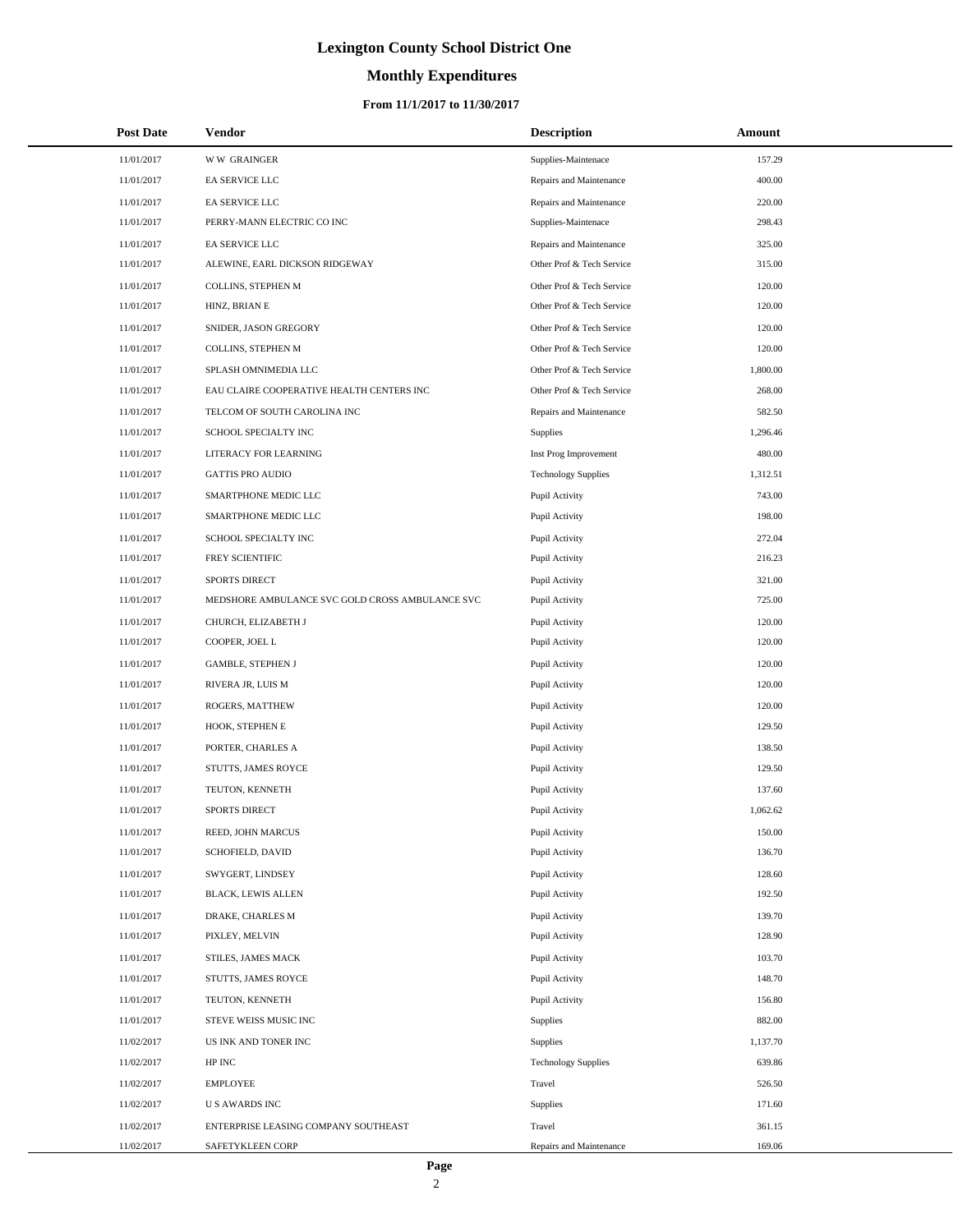# **Monthly Expenditures**

### **From 11/1/2017 to 11/30/2017**

| <b>Post Date</b> | Vendor                                          | <b>Description</b>         | Amount   |
|------------------|-------------------------------------------------|----------------------------|----------|
| 11/01/2017       | <b>WW GRAINGER</b>                              | Supplies-Maintenace        | 157.29   |
| 11/01/2017       | EA SERVICE LLC                                  | Repairs and Maintenance    | 400.00   |
| 11/01/2017       | <b>EA SERVICE LLC</b>                           | Repairs and Maintenance    | 220.00   |
| 11/01/2017       | PERRY-MANN ELECTRIC CO INC                      | Supplies-Maintenace        | 298.43   |
| 11/01/2017       | EA SERVICE LLC                                  | Repairs and Maintenance    | 325.00   |
| 11/01/2017       | ALEWINE, EARL DICKSON RIDGEWAY                  | Other Prof & Tech Service  | 315.00   |
| 11/01/2017       | COLLINS, STEPHEN M                              | Other Prof & Tech Service  | 120.00   |
| 11/01/2017       | HINZ, BRIAN E                                   | Other Prof & Tech Service  | 120.00   |
| 11/01/2017       | SNIDER, JASON GREGORY                           | Other Prof & Tech Service  | 120.00   |
| 11/01/2017       | COLLINS, STEPHEN M                              | Other Prof & Tech Service  | 120.00   |
| 11/01/2017       | SPLASH OMNIMEDIA LLC                            | Other Prof & Tech Service  | 1,800.00 |
| 11/01/2017       | EAU CLAIRE COOPERATIVE HEALTH CENTERS INC       | Other Prof & Tech Service  | 268.00   |
| 11/01/2017       | TELCOM OF SOUTH CAROLINA INC                    | Repairs and Maintenance    | 582.50   |
| 11/01/2017       | SCHOOL SPECIALTY INC                            | Supplies                   | 1,296.46 |
| 11/01/2017       | LITERACY FOR LEARNING                           | Inst Prog Improvement      | 480.00   |
| 11/01/2017       | <b>GATTIS PRO AUDIO</b>                         | <b>Technology Supplies</b> | 1,312.51 |
| 11/01/2017       | SMARTPHONE MEDIC LLC                            | Pupil Activity             | 743.00   |
| 11/01/2017       | SMARTPHONE MEDIC LLC                            | Pupil Activity             | 198.00   |
| 11/01/2017       | SCHOOL SPECIALTY INC                            | Pupil Activity             | 272.04   |
| 11/01/2017       | FREY SCIENTIFIC                                 | Pupil Activity             | 216.23   |
| 11/01/2017       | <b>SPORTS DIRECT</b>                            | Pupil Activity             | 321.00   |
| 11/01/2017       | MEDSHORE AMBULANCE SVC GOLD CROSS AMBULANCE SVC | Pupil Activity             | 725.00   |
| 11/01/2017       | CHURCH, ELIZABETH J                             | Pupil Activity             | 120.00   |
| 11/01/2017       | COOPER, JOEL L                                  | Pupil Activity             | 120.00   |
| 11/01/2017       | <b>GAMBLE, STEPHEN J</b>                        | Pupil Activity             | 120.00   |
| 11/01/2017       | RIVERA JR, LUIS M                               | Pupil Activity             | 120.00   |
| 11/01/2017       | ROGERS, MATTHEW                                 | Pupil Activity             | 120.00   |
| 11/01/2017       | HOOK, STEPHEN E                                 | Pupil Activity             | 129.50   |
| 11/01/2017       | PORTER, CHARLES A                               | Pupil Activity             | 138.50   |
| 11/01/2017       | STUTTS, JAMES ROYCE                             | Pupil Activity             | 129.50   |
| 11/01/2017       | TEUTON, KENNETH                                 | Pupil Activity             | 137.60   |
| 11/01/2017       | <b>SPORTS DIRECT</b>                            | Pupil Activity             | 1,062.62 |
| 11/01/2017       | REED, JOHN MARCUS                               | Pupil Activity             | 150.00   |
| 11/01/2017       | SCHOFIELD, DAVID                                | Pupil Activity             | 136.70   |
| 11/01/2017       | SWYGERT, LINDSEY                                | Pupil Activity             | 128.60   |
| 11/01/2017       | <b>BLACK, LEWIS ALLEN</b>                       | Pupil Activity             | 192.50   |
| 11/01/2017       | DRAKE, CHARLES M                                | Pupil Activity             | 139.70   |
| 11/01/2017       | PIXLEY, MELVIN                                  | Pupil Activity             | 128.90   |
| 11/01/2017       | STILES, JAMES MACK                              | Pupil Activity             | 103.70   |
| 11/01/2017       | STUTTS, JAMES ROYCE                             | Pupil Activity             | 148.70   |
| 11/01/2017       | TEUTON, KENNETH                                 | Pupil Activity             | 156.80   |
| 11/01/2017       | STEVE WEISS MUSIC INC                           | Supplies                   | 882.00   |
| 11/02/2017       | US INK AND TONER INC                            | Supplies                   | 1,137.70 |
| 11/02/2017       | HP INC                                          | <b>Technology Supplies</b> | 639.86   |
| 11/02/2017       | <b>EMPLOYEE</b>                                 | Travel                     | 526.50   |
| 11/02/2017       | <b>US AWARDS INC</b>                            | Supplies                   | 171.60   |
| 11/02/2017       | ENTERPRISE LEASING COMPANY SOUTHEAST            | Travel                     | 361.15   |
| 11/02/2017       | SAFETYKLEEN CORP                                | Repairs and Maintenance    | 169.06   |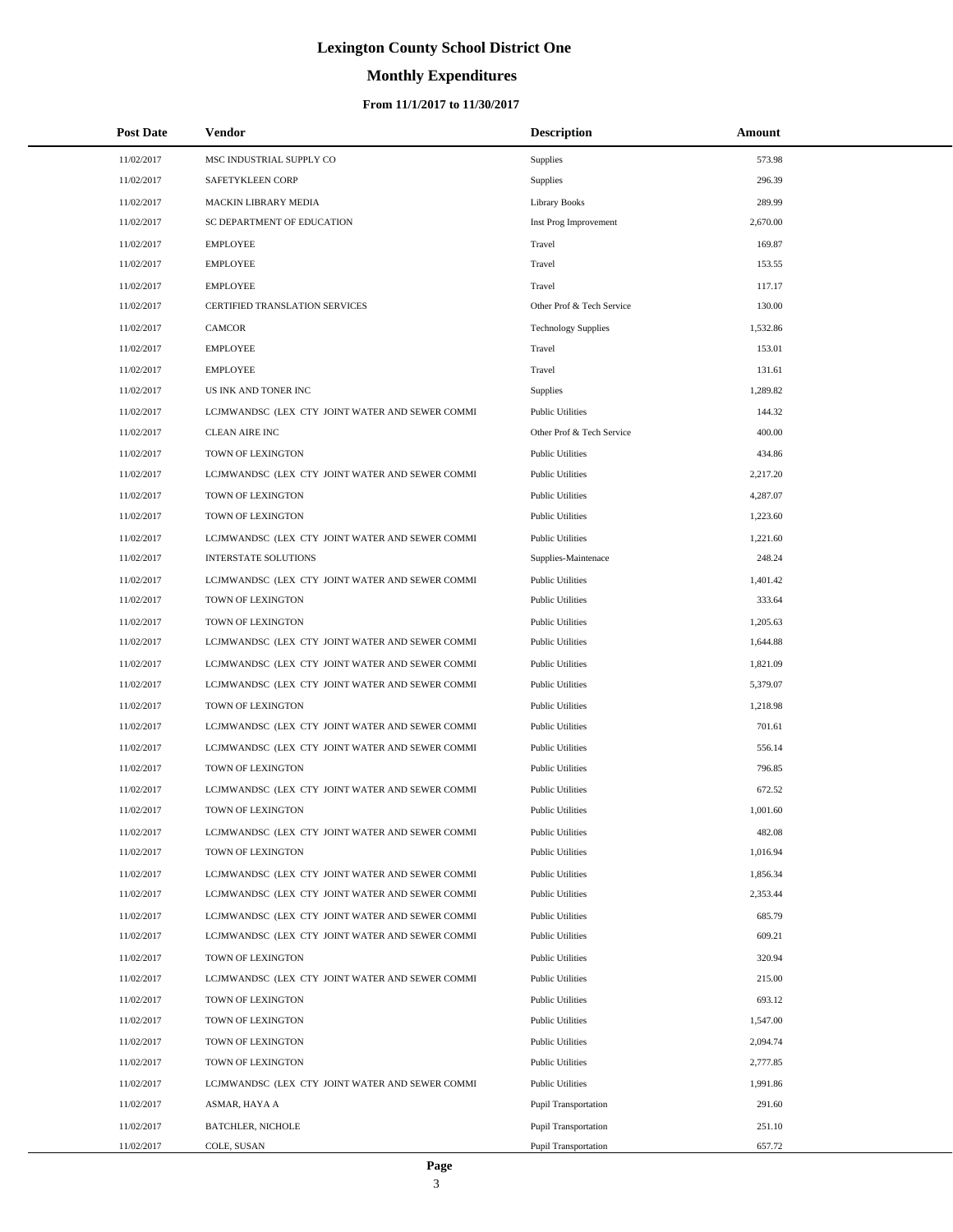# **Monthly Expenditures**

| <b>Post Date</b> | Vendor                                          | <b>Description</b>          | Amount   |
|------------------|-------------------------------------------------|-----------------------------|----------|
| 11/02/2017       | MSC INDUSTRIAL SUPPLY CO                        | <b>Supplies</b>             | 573.98   |
| 11/02/2017       | SAFETYKLEEN CORP                                | <b>Supplies</b>             | 296.39   |
| 11/02/2017       | MACKIN LIBRARY MEDIA                            | <b>Library Books</b>        | 289.99   |
| 11/02/2017       | SC DEPARTMENT OF EDUCATION                      | Inst Prog Improvement       | 2,670.00 |
| 11/02/2017       | <b>EMPLOYEE</b>                                 | Travel                      | 169.87   |
| 11/02/2017       | <b>EMPLOYEE</b>                                 | Travel                      | 153.55   |
| 11/02/2017       | <b>EMPLOYEE</b>                                 | Travel                      | 117.17   |
| 11/02/2017       | CERTIFIED TRANSLATION SERVICES                  | Other Prof & Tech Service   | 130.00   |
| 11/02/2017       | CAMCOR                                          | <b>Technology Supplies</b>  | 1,532.86 |
| 11/02/2017       | <b>EMPLOYEE</b>                                 | Travel                      | 153.01   |
| 11/02/2017       | <b>EMPLOYEE</b>                                 | Travel                      | 131.61   |
| 11/02/2017       | US INK AND TONER INC                            | <b>Supplies</b>             | 1,289.82 |
| 11/02/2017       | LCJMWANDSC (LEX CTY JOINT WATER AND SEWER COMMI | <b>Public Utilities</b>     | 144.32   |
| 11/02/2017       | <b>CLEAN AIRE INC</b>                           | Other Prof & Tech Service   | 400.00   |
| 11/02/2017       | TOWN OF LEXINGTON                               | <b>Public Utilities</b>     | 434.86   |
| 11/02/2017       | LCJMWANDSC (LEX CTY JOINT WATER AND SEWER COMMI | <b>Public Utilities</b>     | 2,217.20 |
| 11/02/2017       | TOWN OF LEXINGTON                               | <b>Public Utilities</b>     | 4,287.07 |
| 11/02/2017       | TOWN OF LEXINGTON                               | <b>Public Utilities</b>     | 1,223.60 |
| 11/02/2017       | LCJMWANDSC (LEX CTY JOINT WATER AND SEWER COMMI | <b>Public Utilities</b>     | 1,221.60 |
| 11/02/2017       | <b>INTERSTATE SOLUTIONS</b>                     | Supplies-Maintenace         | 248.24   |
| 11/02/2017       | LCJMWANDSC (LEX CTY JOINT WATER AND SEWER COMMI | <b>Public Utilities</b>     | 1,401.42 |
| 11/02/2017       | TOWN OF LEXINGTON                               | <b>Public Utilities</b>     | 333.64   |
| 11/02/2017       | TOWN OF LEXINGTON                               | <b>Public Utilities</b>     | 1,205.63 |
| 11/02/2017       | LCJMWANDSC (LEX CTY JOINT WATER AND SEWER COMMI | <b>Public Utilities</b>     | 1,644.88 |
| 11/02/2017       | LCJMWANDSC (LEX CTY JOINT WATER AND SEWER COMMI | <b>Public Utilities</b>     | 1,821.09 |
| 11/02/2017       | LCJMWANDSC (LEX CTY JOINT WATER AND SEWER COMMI | <b>Public Utilities</b>     | 5,379.07 |
| 11/02/2017       | TOWN OF LEXINGTON                               | <b>Public Utilities</b>     | 1,218.98 |
| 11/02/2017       | LCJMWANDSC (LEX CTY JOINT WATER AND SEWER COMMI | <b>Public Utilities</b>     | 701.61   |
| 11/02/2017       | LCJMWANDSC (LEX CTY JOINT WATER AND SEWER COMMI | <b>Public Utilities</b>     | 556.14   |
| 11/02/2017       | TOWN OF LEXINGTON                               | <b>Public Utilities</b>     | 796.85   |
| 11/02/2017       | LCJMWANDSC (LEX CTY JOINT WATER AND SEWER COMMI | <b>Public Utilities</b>     | 672.52   |
| 11/02/2017       | TOWN OF LEXINGTON                               | <b>Public Utilities</b>     | 1,001.60 |
| 11/02/2017       | LCJMWANDSC (LEX CTY JOINT WATER AND SEWER COMMI | <b>Public Utilities</b>     | 482.08   |
| 11/02/2017       | TOWN OF LEXINGTON                               | <b>Public Utilities</b>     | 1,016.94 |
| 11/02/2017       | LCJMWANDSC (LEX CTY JOINT WATER AND SEWER COMMI | <b>Public Utilities</b>     | 1,856.34 |
| 11/02/2017       | LCJMWANDSC (LEX CTY JOINT WATER AND SEWER COMMI | <b>Public Utilities</b>     | 2,353.44 |
| 11/02/2017       | LCJMWANDSC (LEX CTY JOINT WATER AND SEWER COMMI | <b>Public Utilities</b>     | 685.79   |
| 11/02/2017       | LCJMWANDSC (LEX CTY JOINT WATER AND SEWER COMMI | <b>Public Utilities</b>     | 609.21   |
| 11/02/2017       | TOWN OF LEXINGTON                               | <b>Public Utilities</b>     | 320.94   |
| 11/02/2017       | LCJMWANDSC (LEX CTY JOINT WATER AND SEWER COMMI | <b>Public Utilities</b>     | 215.00   |
| 11/02/2017       | TOWN OF LEXINGTON                               | <b>Public Utilities</b>     | 693.12   |
| 11/02/2017       | TOWN OF LEXINGTON                               | <b>Public Utilities</b>     | 1,547.00 |
| 11/02/2017       | TOWN OF LEXINGTON                               | <b>Public Utilities</b>     | 2,094.74 |
| 11/02/2017       | TOWN OF LEXINGTON                               | <b>Public Utilities</b>     | 2,777.85 |
| 11/02/2017       | LCJMWANDSC (LEX CTY JOINT WATER AND SEWER COMMI | <b>Public Utilities</b>     | 1,991.86 |
| 11/02/2017       | ASMAR, HAYA A                                   | Pupil Transportation        | 291.60   |
| 11/02/2017       | <b>BATCHLER, NICHOLE</b>                        | <b>Pupil Transportation</b> | 251.10   |
| 11/02/2017       | COLE, SUSAN                                     | Pupil Transportation        | 657.72   |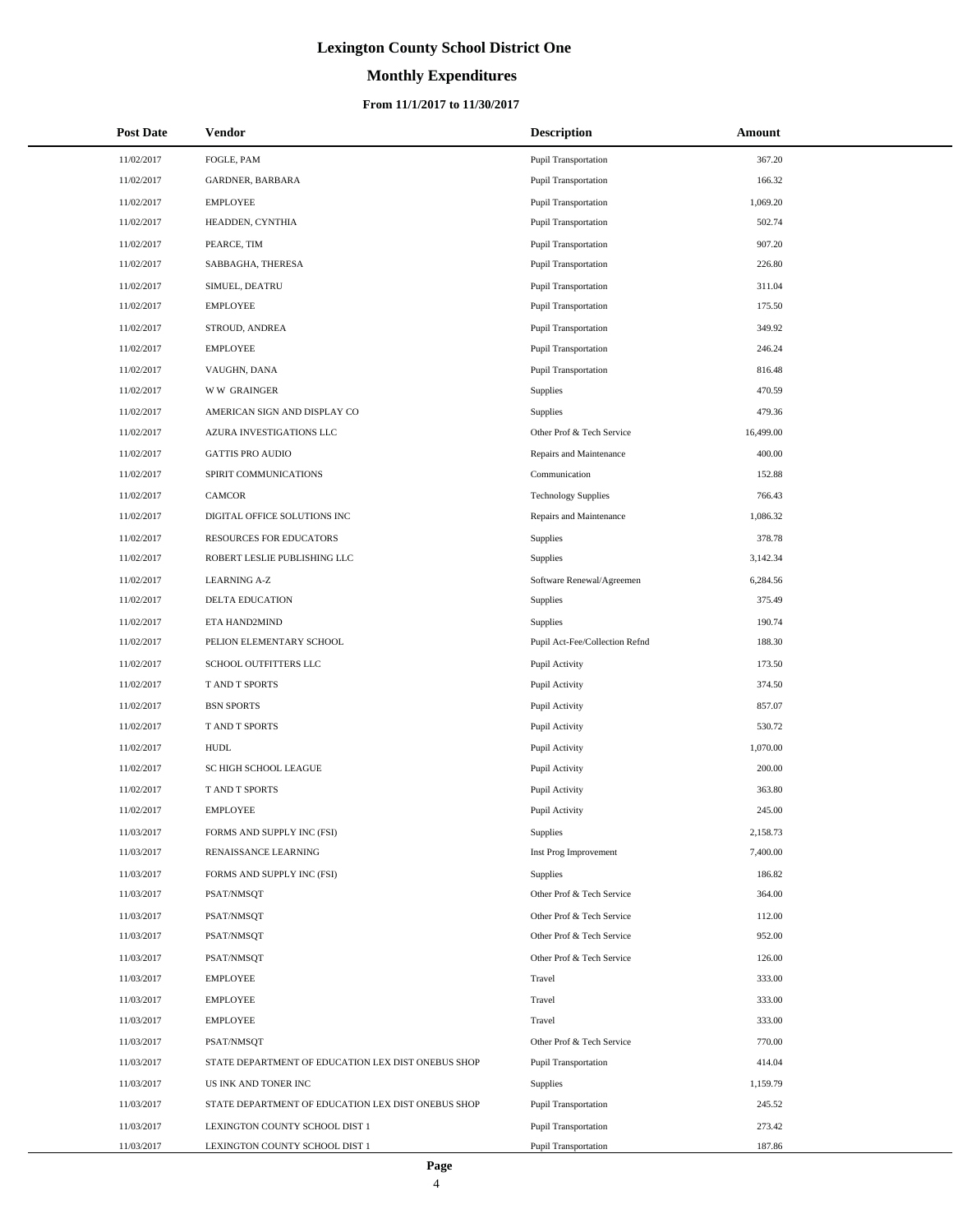# **Monthly Expenditures**

### **From 11/1/2017 to 11/30/2017**

| <b>Post Date</b> | Vendor                                             | <b>Description</b>             | Amount    |
|------------------|----------------------------------------------------|--------------------------------|-----------|
| 11/02/2017       | FOGLE, PAM                                         | Pupil Transportation           | 367.20    |
| 11/02/2017       | GARDNER, BARBARA                                   | Pupil Transportation           | 166.32    |
| 11/02/2017       | <b>EMPLOYEE</b>                                    | Pupil Transportation           | 1,069.20  |
| 11/02/2017       | HEADDEN, CYNTHIA                                   | <b>Pupil Transportation</b>    | 502.74    |
| 11/02/2017       | PEARCE, TIM                                        | <b>Pupil Transportation</b>    | 907.20    |
| 11/02/2017       | SABBAGHA, THERESA                                  | <b>Pupil Transportation</b>    | 226.80    |
| 11/02/2017       | SIMUEL, DEATRU                                     | Pupil Transportation           | 311.04    |
| 11/02/2017       | <b>EMPLOYEE</b>                                    | Pupil Transportation           | 175.50    |
| 11/02/2017       | STROUD, ANDREA                                     | Pupil Transportation           | 349.92    |
| 11/02/2017       | <b>EMPLOYEE</b>                                    | Pupil Transportation           | 246.24    |
| 11/02/2017       | VAUGHN, DANA                                       | Pupil Transportation           | 816.48    |
| 11/02/2017       | <b>WW GRAINGER</b>                                 | Supplies                       | 470.59    |
| 11/02/2017       | AMERICAN SIGN AND DISPLAY CO                       | Supplies                       | 479.36    |
| 11/02/2017       | AZURA INVESTIGATIONS LLC                           | Other Prof & Tech Service      | 16,499.00 |
| 11/02/2017       | <b>GATTIS PRO AUDIO</b>                            | Repairs and Maintenance        | 400.00    |
| 11/02/2017       | SPIRIT COMMUNICATIONS                              | Communication                  | 152.88    |
| 11/02/2017       | <b>CAMCOR</b>                                      | <b>Technology Supplies</b>     | 766.43    |
| 11/02/2017       | DIGITAL OFFICE SOLUTIONS INC                       | Repairs and Maintenance        | 1,086.32  |
| 11/02/2017       | <b>RESOURCES FOR EDUCATORS</b>                     | Supplies                       | 378.78    |
| 11/02/2017       | ROBERT LESLIE PUBLISHING LLC                       | Supplies                       | 3,142.34  |
| 11/02/2017       | <b>LEARNING A-Z</b>                                | Software Renewal/Agreemen      | 6,284.56  |
| 11/02/2017       | DELTA EDUCATION                                    | Supplies                       | 375.49    |
| 11/02/2017       | ETA HAND2MIND                                      | Supplies                       | 190.74    |
| 11/02/2017       | PELION ELEMENTARY SCHOOL                           | Pupil Act-Fee/Collection Refnd | 188.30    |
| 11/02/2017       | SCHOOL OUTFITTERS LLC                              | Pupil Activity                 | 173.50    |
| 11/02/2017       | T AND T SPORTS                                     | Pupil Activity                 | 374.50    |
| 11/02/2017       | <b>BSN SPORTS</b>                                  | Pupil Activity                 | 857.07    |
| 11/02/2017       | T AND T SPORTS                                     | Pupil Activity                 | 530.72    |
| 11/02/2017       | <b>HUDL</b>                                        | Pupil Activity                 | 1.070.00  |
| 11/02/2017       | SC HIGH SCHOOL LEAGUE                              | Pupil Activity                 | 200.00    |
| 11/02/2017       | T AND T SPORTS                                     | Pupil Activity                 | 363.80    |
| 11/02/2017       | <b>EMPLOYEE</b>                                    | Pupil Activity                 | 245.00    |
| 11/03/2017       | FORMS AND SUPPLY INC (FSI)                         | Supplies                       | 2,158.73  |
| 11/03/2017       | RENAISSANCE LEARNING                               | Inst Prog Improvement          | 7,400.00  |
| 11/03/2017       | FORMS AND SUPPLY INC (FSI)                         | Supplies                       | 186.82    |
| 11/03/2017       | PSAT/NMSQT                                         | Other Prof & Tech Service      | 364.00    |
| 11/03/2017       | PSAT/NMSQT                                         | Other Prof & Tech Service      | 112.00    |
| 11/03/2017       | PSAT/NMSQT                                         | Other Prof & Tech Service      | 952.00    |
| 11/03/2017       | PSAT/NMSQT                                         | Other Prof & Tech Service      | 126.00    |
| 11/03/2017       | <b>EMPLOYEE</b>                                    | Travel                         | 333.00    |
| 11/03/2017       | <b>EMPLOYEE</b>                                    | Travel                         | 333.00    |
| 11/03/2017       | <b>EMPLOYEE</b>                                    | Travel                         | 333.00    |
| 11/03/2017       | PSAT/NMSQT                                         | Other Prof & Tech Service      | 770.00    |
| 11/03/2017       | STATE DEPARTMENT OF EDUCATION LEX DIST ONEBUS SHOP | Pupil Transportation           | 414.04    |
| 11/03/2017       | US INK AND TONER INC                               | Supplies                       | 1,159.79  |
| 11/03/2017       | STATE DEPARTMENT OF EDUCATION LEX DIST ONEBUS SHOP | Pupil Transportation           | 245.52    |
| 11/03/2017       | LEXINGTON COUNTY SCHOOL DIST 1                     | Pupil Transportation           | 273.42    |
| 11/03/2017       | LEXINGTON COUNTY SCHOOL DIST 1                     | Pupil Transportation           | 187.86    |

L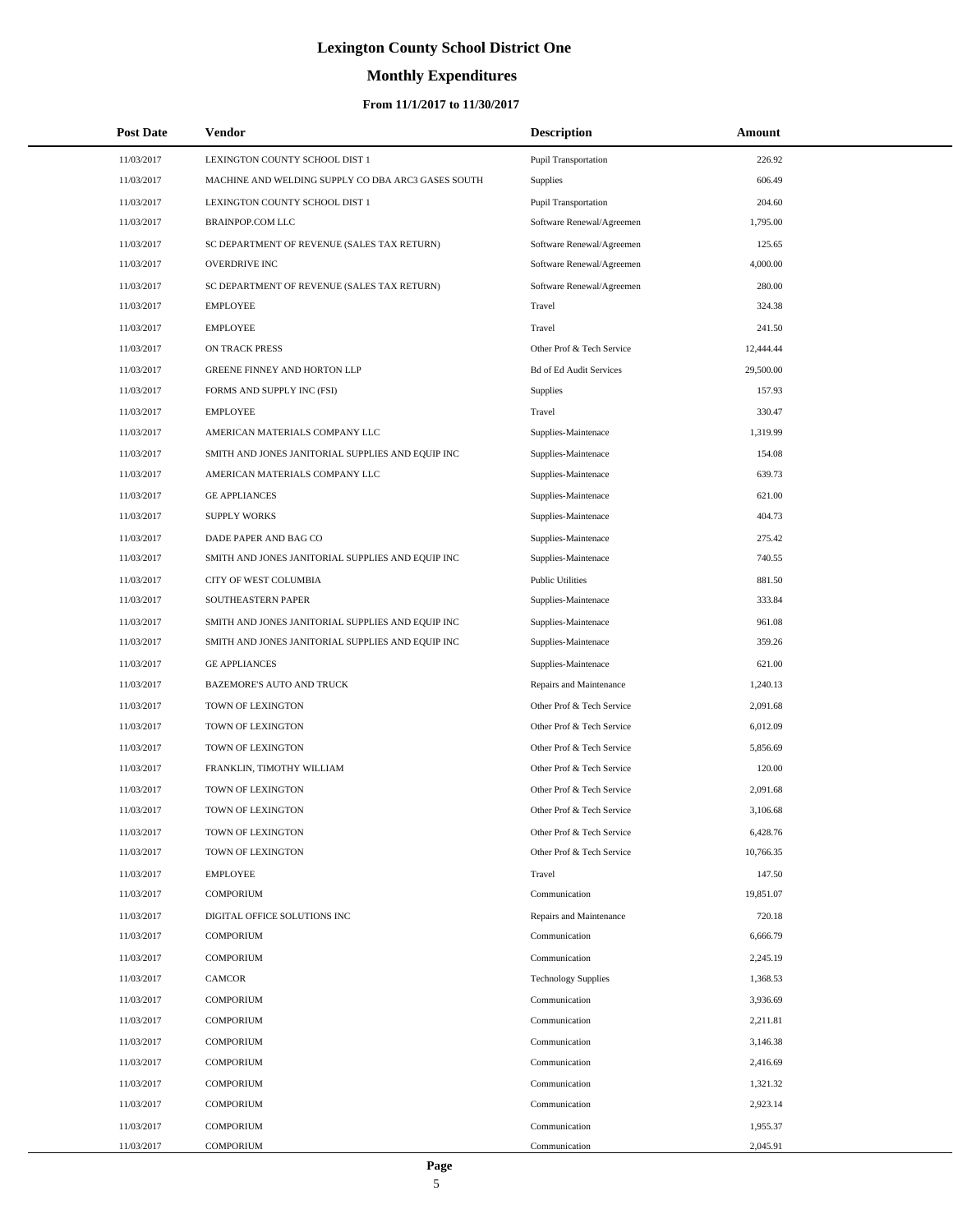# **Monthly Expenditures**

### **From 11/1/2017 to 11/30/2017**

| <b>Post Date</b> | <b>Vendor</b>                                      | <b>Description</b>             | <b>Amount</b> |  |
|------------------|----------------------------------------------------|--------------------------------|---------------|--|
| 11/03/2017       | LEXINGTON COUNTY SCHOOL DIST 1                     | <b>Pupil Transportation</b>    | 226.92        |  |
| 11/03/2017       | MACHINE AND WELDING SUPPLY CO DBA ARC3 GASES SOUTH | Supplies                       | 606.49        |  |
| 11/03/2017       | LEXINGTON COUNTY SCHOOL DIST 1                     | <b>Pupil Transportation</b>    | 204.60        |  |
| 11/03/2017       | <b>BRAINPOP.COM LLC</b>                            | Software Renewal/Agreemen      | 1,795.00      |  |
| 11/03/2017       | SC DEPARTMENT OF REVENUE (SALES TAX RETURN)        | Software Renewal/Agreemen      | 125.65        |  |
| 11/03/2017       | OVERDRIVE INC                                      | Software Renewal/Agreemen      | 4,000.00      |  |
| 11/03/2017       | SC DEPARTMENT OF REVENUE (SALES TAX RETURN)        | Software Renewal/Agreemen      | 280.00        |  |
| 11/03/2017       | <b>EMPLOYEE</b>                                    | Travel                         | 324.38        |  |
| 11/03/2017       | <b>EMPLOYEE</b>                                    | Travel                         | 241.50        |  |
| 11/03/2017       | ON TRACK PRESS                                     | Other Prof & Tech Service      | 12,444.44     |  |
| 11/03/2017       | GREENE FINNEY AND HORTON LLP                       | <b>Bd of Ed Audit Services</b> | 29,500.00     |  |
| 11/03/2017       | FORMS AND SUPPLY INC (FSI)                         | Supplies                       | 157.93        |  |
| 11/03/2017       | <b>EMPLOYEE</b>                                    | Travel                         | 330.47        |  |
| 11/03/2017       | AMERICAN MATERIALS COMPANY LLC                     | Supplies-Maintenace            | 1,319.99      |  |
| 11/03/2017       | SMITH AND JONES JANITORIAL SUPPLIES AND EQUIP INC  | Supplies-Maintenace            | 154.08        |  |
| 11/03/2017       | AMERICAN MATERIALS COMPANY LLC                     | Supplies-Maintenace            | 639.73        |  |
| 11/03/2017       | <b>GE APPLIANCES</b>                               | Supplies-Maintenace            | 621.00        |  |
| 11/03/2017       | <b>SUPPLY WORKS</b>                                | Supplies-Maintenace            | 404.73        |  |
| 11/03/2017       | DADE PAPER AND BAG CO                              | Supplies-Maintenace            | 275.42        |  |
| 11/03/2017       | SMITH AND JONES JANITORIAL SUPPLIES AND EQUIP INC  | Supplies-Maintenace            | 740.55        |  |
| 11/03/2017       | CITY OF WEST COLUMBIA                              | <b>Public Utilities</b>        | 881.50        |  |
| 11/03/2017       | SOUTHEASTERN PAPER                                 | Supplies-Maintenace            | 333.84        |  |
| 11/03/2017       | SMITH AND JONES JANITORIAL SUPPLIES AND EQUIP INC  | Supplies-Maintenace            | 961.08        |  |
| 11/03/2017       | SMITH AND JONES JANITORIAL SUPPLIES AND EQUIP INC  | Supplies-Maintenace            | 359.26        |  |
| 11/03/2017       | <b>GE APPLIANCES</b>                               | Supplies-Maintenace            | 621.00        |  |
| 11/03/2017       | BAZEMORE'S AUTO AND TRUCK                          | Repairs and Maintenance        | 1,240.13      |  |
| 11/03/2017       | TOWN OF LEXINGTON                                  | Other Prof & Tech Service      | 2,091.68      |  |
| 11/03/2017       | TOWN OF LEXINGTON                                  | Other Prof & Tech Service      | 6,012.09      |  |
| 11/03/2017       | TOWN OF LEXINGTON                                  | Other Prof & Tech Service      | 5,856.69      |  |
| 11/03/2017       | FRANKLIN, TIMOTHY WILLIAM                          | Other Prof & Tech Service      | 120.00        |  |
| 11/03/2017       | TOWN OF LEXINGTON                                  | Other Prof & Tech Service      | 2,091.68      |  |
| 11/03/2017       | TOWN OF LEXINGTON                                  | Other Prof & Tech Service      | 3,106.68      |  |
| 11/03/2017       | TOWN OF LEXINGTON                                  | Other Prof & Tech Service      | 6,428.76      |  |
| 11/03/2017       | TOWN OF LEXINGTON                                  | Other Prof & Tech Service      | 10,766.35     |  |
| 11/03/2017       | <b>EMPLOYEE</b>                                    | Travel                         | 147.50        |  |
| 11/03/2017       | <b>COMPORIUM</b>                                   | Communication                  | 19,851.07     |  |
| 11/03/2017       | DIGITAL OFFICE SOLUTIONS INC                       | Repairs and Maintenance        | 720.18        |  |
| 11/03/2017       | <b>COMPORIUM</b>                                   | Communication                  | 6,666.79      |  |
| 11/03/2017       | <b>COMPORIUM</b>                                   | Communication                  | 2,245.19      |  |
| 11/03/2017       | <b>CAMCOR</b>                                      | <b>Technology Supplies</b>     | 1,368.53      |  |
| 11/03/2017       | <b>COMPORIUM</b>                                   | Communication                  | 3,936.69      |  |
| 11/03/2017       | <b>COMPORIUM</b>                                   | Communication                  | 2,211.81      |  |
| 11/03/2017       | <b>COMPORIUM</b>                                   | Communication                  | 3,146.38      |  |
| 11/03/2017       | <b>COMPORIUM</b>                                   | Communication                  | 2,416.69      |  |
| 11/03/2017       | <b>COMPORIUM</b>                                   | Communication                  | 1,321.32      |  |
| 11/03/2017       | <b>COMPORIUM</b>                                   | Communication                  | 2,923.14      |  |
| 11/03/2017       | <b>COMPORIUM</b>                                   | Communication                  | 1,955.37      |  |
| 11/03/2017       | <b>COMPORIUM</b>                                   | Communication                  | 2,045.91      |  |

 $\overline{a}$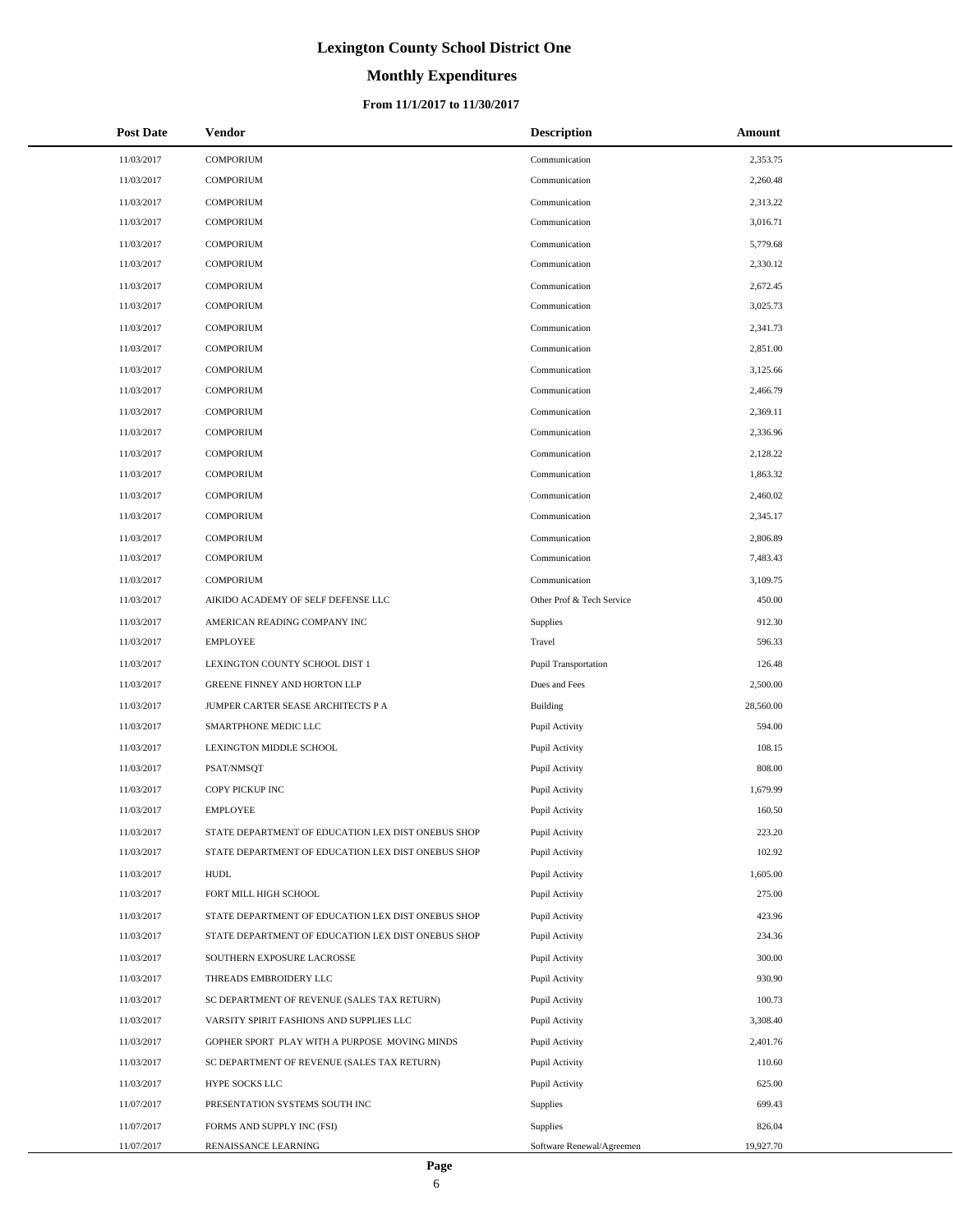# **Monthly Expenditures**

### **From 11/1/2017 to 11/30/2017**

| <b>Post Date</b> | <b>Vendor</b>                                      | <b>Description</b>        | Amount    |
|------------------|----------------------------------------------------|---------------------------|-----------|
| 11/03/2017       | <b>COMPORIUM</b>                                   | Communication             | 2,353.75  |
| 11/03/2017       | <b>COMPORIUM</b>                                   | Communication             | 2,260.48  |
| 11/03/2017       | <b>COMPORIUM</b>                                   | Communication             | 2,313.22  |
| 11/03/2017       | <b>COMPORIUM</b>                                   | Communication             | 3,016.71  |
| 11/03/2017       | <b>COMPORIUM</b>                                   | Communication             | 5,779.68  |
| 11/03/2017       | <b>COMPORIUM</b>                                   | Communication             | 2,330.12  |
| 11/03/2017       | <b>COMPORIUM</b>                                   | Communication             | 2,672.45  |
| 11/03/2017       | <b>COMPORIUM</b>                                   | Communication             | 3,025.73  |
| 11/03/2017       | <b>COMPORIUM</b>                                   | Communication             | 2,341.73  |
| 11/03/2017       | <b>COMPORIUM</b>                                   | Communication             | 2,851.00  |
| 11/03/2017       | <b>COMPORIUM</b>                                   | Communication             | 3,125.66  |
| 11/03/2017       | <b>COMPORIUM</b>                                   | Communication             | 2,466.79  |
| 11/03/2017       | <b>COMPORIUM</b>                                   | Communication             | 2,369.11  |
| 11/03/2017       | <b>COMPORIUM</b>                                   | Communication             | 2,336.96  |
| 11/03/2017       | <b>COMPORIUM</b>                                   | Communication             | 2,128.22  |
| 11/03/2017       | <b>COMPORIUM</b>                                   | Communication             | 1,863.32  |
| 11/03/2017       | <b>COMPORIUM</b>                                   | Communication             | 2,460.02  |
| 11/03/2017       | <b>COMPORIUM</b>                                   | Communication             | 2,345.17  |
| 11/03/2017       | <b>COMPORIUM</b>                                   | Communication             | 2,806.89  |
| 11/03/2017       | <b>COMPORIUM</b>                                   | Communication             | 7,483.43  |
| 11/03/2017       | <b>COMPORIUM</b>                                   | Communication             | 3,109.75  |
| 11/03/2017       | AIKIDO ACADEMY OF SELF DEFENSE LLC                 | Other Prof & Tech Service | 450.00    |
| 11/03/2017       | AMERICAN READING COMPANY INC                       | Supplies                  | 912.30    |
| 11/03/2017       | <b>EMPLOYEE</b>                                    | Travel                    | 596.33    |
| 11/03/2017       | LEXINGTON COUNTY SCHOOL DIST 1                     | Pupil Transportation      | 126.48    |
| 11/03/2017       | GREENE FINNEY AND HORTON LLP                       | Dues and Fees             | 2,500.00  |
| 11/03/2017       | JUMPER CARTER SEASE ARCHITECTS P A                 | <b>Building</b>           | 28,560.00 |
| 11/03/2017       | SMARTPHONE MEDIC LLC                               | Pupil Activity            | 594.00    |
| 11/03/2017       | LEXINGTON MIDDLE SCHOOL                            | Pupil Activity            | 108.15    |
| 11/03/2017       | PSAT/NMSQT                                         | Pupil Activity            | 808.00    |
| 11/03/2017       | COPY PICKUP INC                                    | Pupil Activity            | 1,679.99  |
| 11/03/2017       | <b>EMPLOYEE</b>                                    | Pupil Activity            | 160.50    |
| 11/03/2017       | STATE DEPARTMENT OF EDUCATION LEX DIST ONEBUS SHOP | Pupil Activity            | 223.20    |
| 11/03/2017       | STATE DEPARTMENT OF EDUCATION LEX DIST ONEBUS SHOP | Pupil Activity            | 102.92    |
| 11/03/2017       | <b>HUDL</b>                                        | Pupil Activity            | 1,605.00  |
| 11/03/2017       | FORT MILL HIGH SCHOOL                              | Pupil Activity            | 275.00    |
| 11/03/2017       | STATE DEPARTMENT OF EDUCATION LEX DIST ONEBUS SHOP | Pupil Activity            | 423.96    |
| 11/03/2017       | STATE DEPARTMENT OF EDUCATION LEX DIST ONEBUS SHOP | Pupil Activity            | 234.36    |
| 11/03/2017       | SOUTHERN EXPOSURE LACROSSE                         | Pupil Activity            | 300.00    |
| 11/03/2017       | THREADS EMBROIDERY LLC                             | Pupil Activity            | 930.90    |
| 11/03/2017       | SC DEPARTMENT OF REVENUE (SALES TAX RETURN)        | Pupil Activity            | 100.73    |
| 11/03/2017       | VARSITY SPIRIT FASHIONS AND SUPPLIES LLC           | Pupil Activity            | 3,308.40  |
| 11/03/2017       | GOPHER SPORT PLAY WITH A PURPOSE MOVING MINDS      | Pupil Activity            | 2,401.76  |
| 11/03/2017       | SC DEPARTMENT OF REVENUE (SALES TAX RETURN)        | Pupil Activity            | 110.60    |
| 11/03/2017       | HYPE SOCKS LLC                                     | Pupil Activity            | 625.00    |
| 11/07/2017       | PRESENTATION SYSTEMS SOUTH INC                     | Supplies                  | 699.43    |
| 11/07/2017       | FORMS AND SUPPLY INC (FSI)                         | Supplies                  | 826.04    |
| 11/07/2017       | RENAISSANCE LEARNING                               | Software Renewal/Agreemen | 19,927.70 |

÷.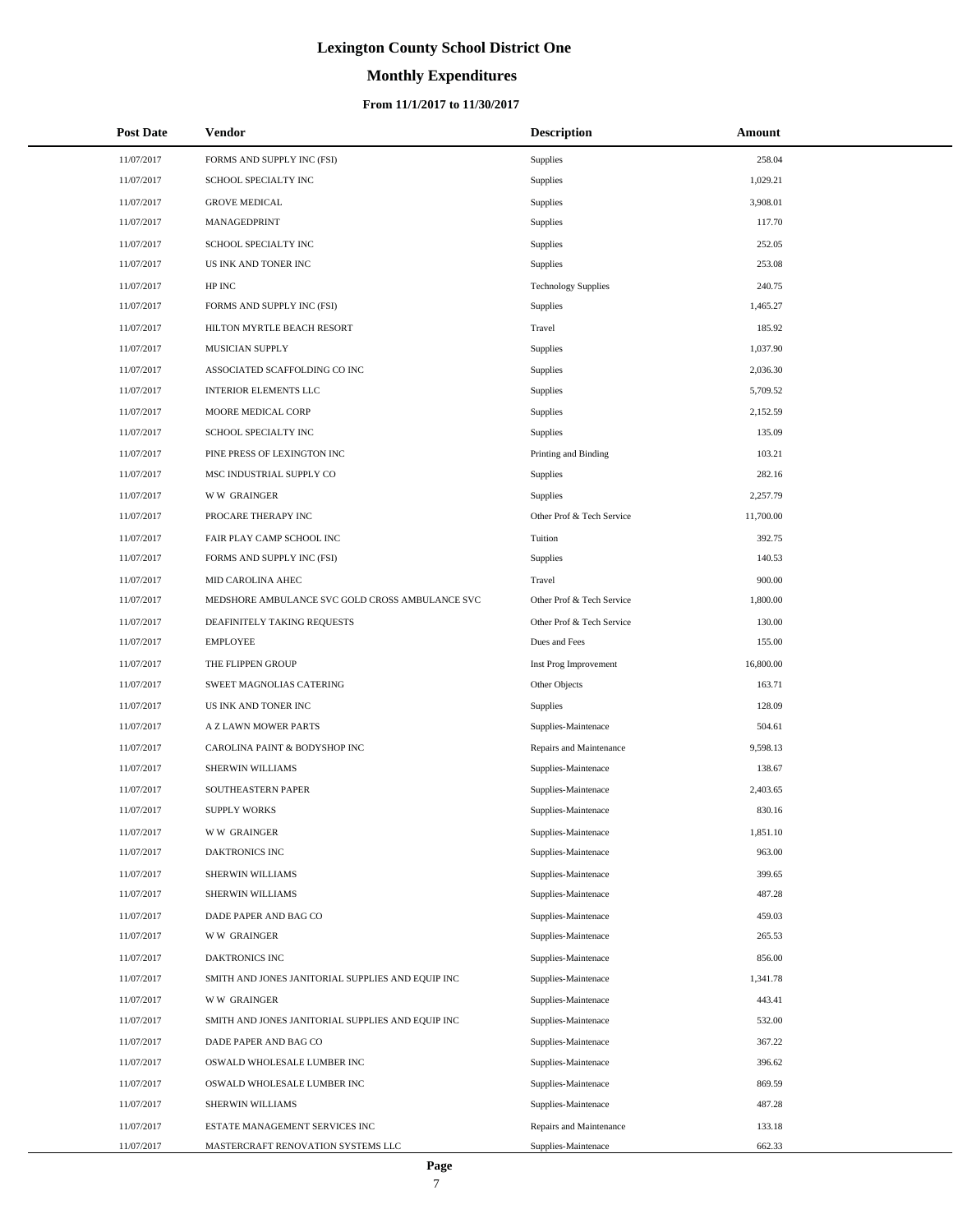### **Monthly Expenditures**

| <b>Post Date</b> | Vendor                                            | <b>Description</b>         | Amount    |  |
|------------------|---------------------------------------------------|----------------------------|-----------|--|
| 11/07/2017       | FORMS AND SUPPLY INC (FSI)                        | Supplies                   | 258.04    |  |
| 11/07/2017       | SCHOOL SPECIALTY INC                              | Supplies                   | 1,029.21  |  |
| 11/07/2017       | <b>GROVE MEDICAL</b>                              | Supplies                   | 3,908.01  |  |
| 11/07/2017       | MANAGEDPRINT                                      | Supplies                   | 117.70    |  |
| 11/07/2017       | SCHOOL SPECIALTY INC                              | Supplies                   | 252.05    |  |
| 11/07/2017       | US INK AND TONER INC                              | Supplies                   | 253.08    |  |
| 11/07/2017       | HP INC                                            | <b>Technology Supplies</b> | 240.75    |  |
| 11/07/2017       | FORMS AND SUPPLY INC (FSI)                        | Supplies                   | 1,465.27  |  |
| 11/07/2017       | HILTON MYRTLE BEACH RESORT                        | Travel                     | 185.92    |  |
| 11/07/2017       | MUSICIAN SUPPLY                                   | Supplies                   | 1,037.90  |  |
| 11/07/2017       | ASSOCIATED SCAFFOLDING CO INC                     | Supplies                   | 2,036.30  |  |
| 11/07/2017       | <b>INTERIOR ELEMENTS LLC</b>                      | Supplies                   | 5,709.52  |  |
| 11/07/2017       | MOORE MEDICAL CORP                                | Supplies                   | 2,152.59  |  |
| 11/07/2017       | SCHOOL SPECIALTY INC                              | Supplies                   | 135.09    |  |
| 11/07/2017       | PINE PRESS OF LEXINGTON INC                       | Printing and Binding       | 103.21    |  |
| 11/07/2017       | MSC INDUSTRIAL SUPPLY CO                          | Supplies                   | 282.16    |  |
| 11/07/2017       | <b>WW GRAINGER</b>                                | Supplies                   | 2,257.79  |  |
| 11/07/2017       | PROCARE THERAPY INC                               | Other Prof & Tech Service  | 11,700.00 |  |
| 11/07/2017       | FAIR PLAY CAMP SCHOOL INC                         | Tuition                    | 392.75    |  |
| 11/07/2017       | FORMS AND SUPPLY INC (FSI)                        | Supplies                   | 140.53    |  |
| 11/07/2017       | MID CAROLINA AHEC                                 | Travel                     | 900.00    |  |
| 11/07/2017       | MEDSHORE AMBULANCE SVC GOLD CROSS AMBULANCE SVC   | Other Prof & Tech Service  | 1,800.00  |  |
| 11/07/2017       | DEAFINITELY TAKING REQUESTS                       | Other Prof & Tech Service  | 130.00    |  |
| 11/07/2017       | <b>EMPLOYEE</b>                                   | Dues and Fees              | 155.00    |  |
| 11/07/2017       | THE FLIPPEN GROUP                                 | Inst Prog Improvement      | 16,800.00 |  |
| 11/07/2017       | SWEET MAGNOLIAS CATERING                          | Other Objects              | 163.71    |  |
| 11/07/2017       | US INK AND TONER INC                              | Supplies                   | 128.09    |  |
| 11/07/2017       | A Z LAWN MOWER PARTS                              | Supplies-Maintenace        | 504.61    |  |
| 11/07/2017       | CAROLINA PAINT & BODYSHOP INC                     | Repairs and Maintenance    | 9,598.13  |  |
| 11/07/2017       | SHERWIN WILLIAMS                                  | Supplies-Maintenace        | 138.67    |  |
| 11/07/2017       | SOUTHEASTERN PAPER                                | Supplies-Maintenace        | 2,403.65  |  |
| 11/07/2017       | <b>SUPPLY WORKS</b>                               | Supplies-Maintenace        | 830.16    |  |
| 11/07/2017       | <b>WW GRAINGER</b>                                | Supplies-Maintenace        | 1,851.10  |  |
| 11/07/2017       | DAKTRONICS INC                                    | Supplies-Maintenace        | 963.00    |  |
| 11/07/2017       | SHERWIN WILLIAMS                                  | Supplies-Maintenace        | 399.65    |  |
| 11/07/2017       | SHERWIN WILLIAMS                                  | Supplies-Maintenace        | 487.28    |  |
| 11/07/2017       | DADE PAPER AND BAG CO                             | Supplies-Maintenace        | 459.03    |  |
| 11/07/2017       | <b>WW GRAINGER</b>                                | Supplies-Maintenace        | 265.53    |  |
| 11/07/2017       | DAKTRONICS INC                                    | Supplies-Maintenace        | 856.00    |  |
| 11/07/2017       | SMITH AND JONES JANITORIAL SUPPLIES AND EQUIP INC | Supplies-Maintenace        | 1,341.78  |  |
| 11/07/2017       | <b>WW GRAINGER</b>                                | Supplies-Maintenace        | 443.41    |  |
| 11/07/2017       | SMITH AND JONES JANITORIAL SUPPLIES AND EQUIP INC | Supplies-Maintenace        | 532.00    |  |
| 11/07/2017       | DADE PAPER AND BAG CO                             | Supplies-Maintenace        | 367.22    |  |
| 11/07/2017       | OSWALD WHOLESALE LUMBER INC                       | Supplies-Maintenace        | 396.62    |  |
| 11/07/2017       | OSWALD WHOLESALE LUMBER INC                       | Supplies-Maintenace        | 869.59    |  |
| 11/07/2017       | SHERWIN WILLIAMS                                  | Supplies-Maintenace        | 487.28    |  |
| 11/07/2017       | ESTATE MANAGEMENT SERVICES INC                    | Repairs and Maintenance    | 133.18    |  |
| 11/07/2017       | MASTERCRAFT RENOVATION SYSTEMS LLC                | Supplies-Maintenace        | 662.33    |  |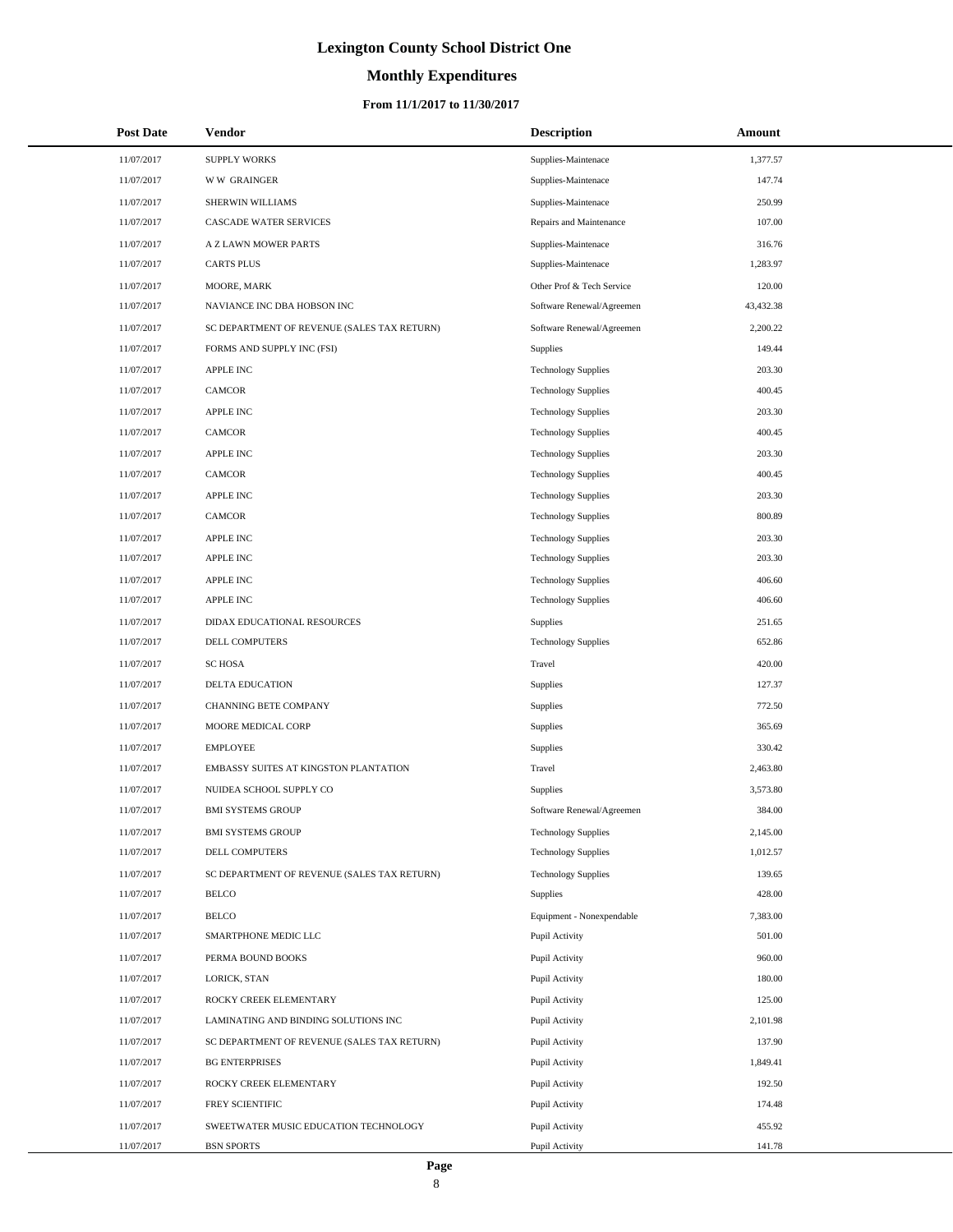# **Monthly Expenditures**

| <b>Post Date</b> | Vendor                                      | <b>Description</b>         | Amount    |
|------------------|---------------------------------------------|----------------------------|-----------|
| 11/07/2017       | <b>SUPPLY WORKS</b>                         | Supplies-Maintenace        | 1,377.57  |
| 11/07/2017       | <b>WW GRAINGER</b>                          | Supplies-Maintenace        | 147.74    |
| 11/07/2017       | SHERWIN WILLIAMS                            | Supplies-Maintenace        | 250.99    |
| 11/07/2017       | <b>CASCADE WATER SERVICES</b>               | Repairs and Maintenance    | 107.00    |
| 11/07/2017       | A Z LAWN MOWER PARTS                        | Supplies-Maintenace        | 316.76    |
| 11/07/2017       | <b>CARTS PLUS</b>                           | Supplies-Maintenace        | 1,283.97  |
| 11/07/2017       | MOORE, MARK                                 | Other Prof & Tech Service  | 120.00    |
| 11/07/2017       | NAVIANCE INC DBA HOBSON INC                 | Software Renewal/Agreemen  | 43,432.38 |
| 11/07/2017       | SC DEPARTMENT OF REVENUE (SALES TAX RETURN) | Software Renewal/Agreemen  | 2,200.22  |
| 11/07/2017       | FORMS AND SUPPLY INC (FSI)                  | Supplies                   | 149.44    |
| 11/07/2017       | <b>APPLE INC</b>                            | <b>Technology Supplies</b> | 203.30    |
| 11/07/2017       | <b>CAMCOR</b>                               | <b>Technology Supplies</b> | 400.45    |
| 11/07/2017       | APPLE INC                                   | <b>Technology Supplies</b> | 203.30    |
| 11/07/2017       | <b>CAMCOR</b>                               | <b>Technology Supplies</b> | 400.45    |
| 11/07/2017       | <b>APPLE INC</b>                            | <b>Technology Supplies</b> | 203.30    |
| 11/07/2017       | <b>CAMCOR</b>                               | <b>Technology Supplies</b> | 400.45    |
| 11/07/2017       | <b>APPLE INC</b>                            | <b>Technology Supplies</b> | 203.30    |
| 11/07/2017       | <b>CAMCOR</b>                               | <b>Technology Supplies</b> | 800.89    |
| 11/07/2017       | <b>APPLE INC</b>                            | <b>Technology Supplies</b> | 203.30    |
| 11/07/2017       | <b>APPLE INC</b>                            | <b>Technology Supplies</b> | 203.30    |
| 11/07/2017       | APPLE INC                                   | <b>Technology Supplies</b> | 406.60    |
| 11/07/2017       | <b>APPLE INC</b>                            | <b>Technology Supplies</b> | 406.60    |
| 11/07/2017       | DIDAX EDUCATIONAL RESOURCES                 | Supplies                   | 251.65    |
| 11/07/2017       | DELL COMPUTERS                              | <b>Technology Supplies</b> | 652.86    |
| 11/07/2017       | <b>SC HOSA</b>                              | Travel                     | 420.00    |
| 11/07/2017       | DELTA EDUCATION                             | Supplies                   | 127.37    |
| 11/07/2017       | <b>CHANNING BETE COMPANY</b>                | Supplies                   | 772.50    |
| 11/07/2017       | MOORE MEDICAL CORP                          | Supplies                   | 365.69    |
| 11/07/2017       | <b>EMPLOYEE</b>                             | Supplies                   | 330.42    |
| 11/07/2017       | EMBASSY SUITES AT KINGSTON PLANTATION       | Travel                     | 2,463.80  |
| 11/07/2017       | NUIDEA SCHOOL SUPPLY CO                     | Supplies                   | 3,573.80  |
| 11/07/2017       | <b>BMI SYSTEMS GROUP</b>                    | Software Renewal/Agreemen  | 384.00    |
| 11/07/2017       | <b>BMI SYSTEMS GROUP</b>                    | <b>Technology Supplies</b> | 2,145.00  |
| 11/07/2017       | DELL COMPUTERS                              | <b>Technology Supplies</b> | 1,012.57  |
| 11/07/2017       | SC DEPARTMENT OF REVENUE (SALES TAX RETURN) | <b>Technology Supplies</b> | 139.65    |
| 11/07/2017       | <b>BELCO</b>                                | Supplies                   | 428.00    |
| 11/07/2017       | <b>BELCO</b>                                | Equipment - Nonexpendable  | 7,383.00  |
| 11/07/2017       | SMARTPHONE MEDIC LLC                        | Pupil Activity             | 501.00    |
| 11/07/2017       | PERMA BOUND BOOKS                           | Pupil Activity             | 960.00    |
| 11/07/2017       | LORICK, STAN                                | Pupil Activity             | 180.00    |
| 11/07/2017       | ROCKY CREEK ELEMENTARY                      | Pupil Activity             | 125.00    |
| 11/07/2017       | LAMINATING AND BINDING SOLUTIONS INC        | Pupil Activity             | 2,101.98  |
| 11/07/2017       | SC DEPARTMENT OF REVENUE (SALES TAX RETURN) | Pupil Activity             | 137.90    |
| 11/07/2017       | <b>BG ENTERPRISES</b>                       | Pupil Activity             | 1,849.41  |
| 11/07/2017       | ROCKY CREEK ELEMENTARY                      | Pupil Activity             | 192.50    |
| 11/07/2017       | FREY SCIENTIFIC                             | Pupil Activity             | 174.48    |
| 11/07/2017       | SWEETWATER MUSIC EDUCATION TECHNOLOGY       | Pupil Activity             | 455.92    |
| 11/07/2017       | <b>BSN SPORTS</b>                           | Pupil Activity             | 141.78    |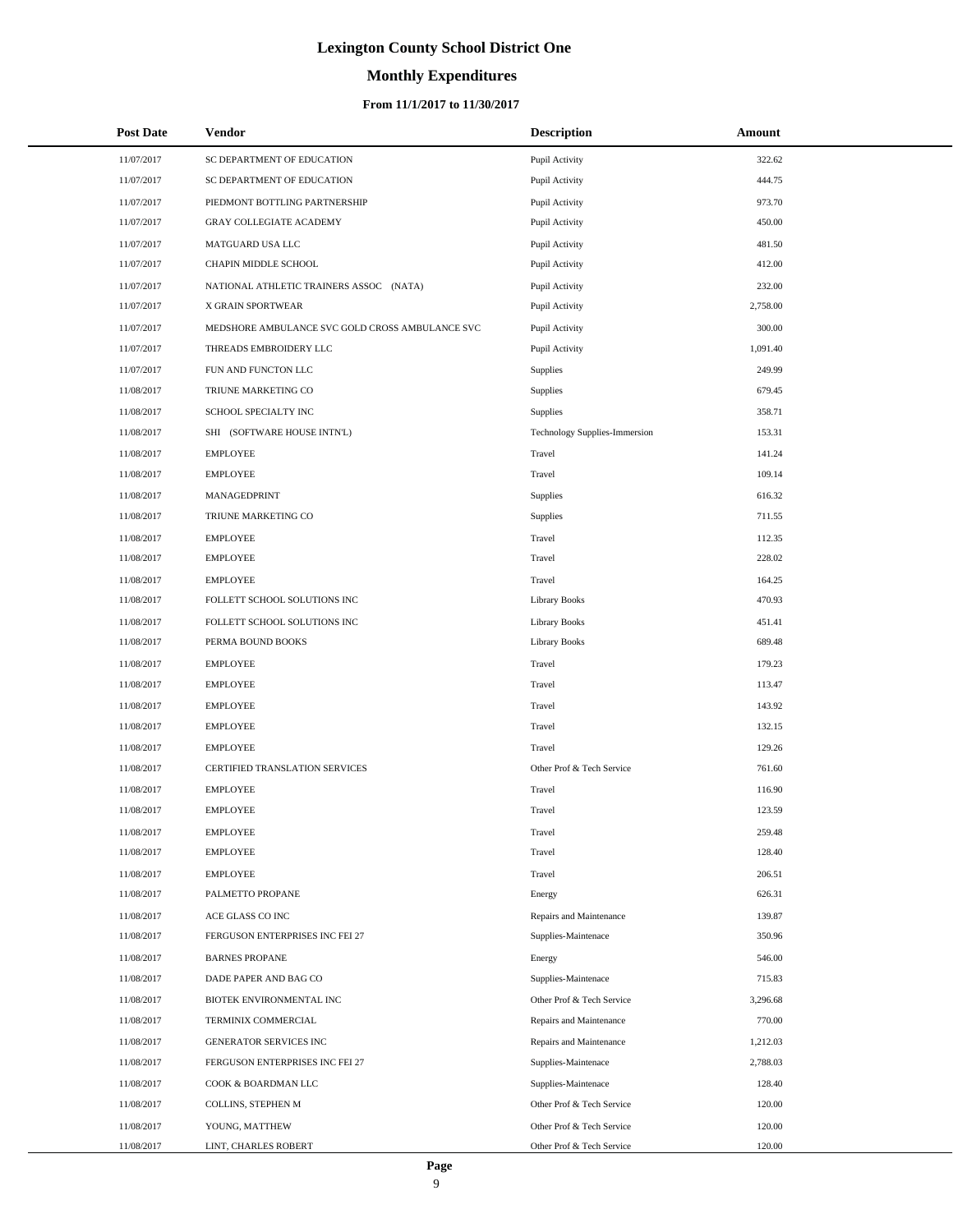# **Monthly Expenditures**

| <b>Post Date</b> | Vendor                                          | <b>Description</b>            | Amount   |
|------------------|-------------------------------------------------|-------------------------------|----------|
| 11/07/2017       | SC DEPARTMENT OF EDUCATION                      | Pupil Activity                | 322.62   |
| 11/07/2017       | SC DEPARTMENT OF EDUCATION                      | Pupil Activity                | 444.75   |
| 11/07/2017       | PIEDMONT BOTTLING PARTNERSHIP                   | Pupil Activity                | 973.70   |
| 11/07/2017       | <b>GRAY COLLEGIATE ACADEMY</b>                  | Pupil Activity                | 450.00   |
| 11/07/2017       | MATGUARD USA LLC                                | Pupil Activity                | 481.50   |
| 11/07/2017       | CHAPIN MIDDLE SCHOOL                            | Pupil Activity                | 412.00   |
| 11/07/2017       | NATIONAL ATHLETIC TRAINERS ASSOC (NATA)         | Pupil Activity                | 232.00   |
| 11/07/2017       | X GRAIN SPORTWEAR                               | Pupil Activity                | 2,758.00 |
| 11/07/2017       | MEDSHORE AMBULANCE SVC GOLD CROSS AMBULANCE SVC | Pupil Activity                | 300.00   |
| 11/07/2017       | THREADS EMBROIDERY LLC                          | Pupil Activity                | 1,091.40 |
| 11/07/2017       | FUN AND FUNCTON LLC                             | <b>Supplies</b>               | 249.99   |
| 11/08/2017       | TRIUNE MARKETING CO                             | <b>Supplies</b>               | 679.45   |
| 11/08/2017       | SCHOOL SPECIALTY INC                            | <b>Supplies</b>               | 358.71   |
| 11/08/2017       | SHI (SOFTWARE HOUSE INTN'L)                     | Technology Supplies-Immersion | 153.31   |
| 11/08/2017       | <b>EMPLOYEE</b>                                 | Travel                        | 141.24   |
| 11/08/2017       | <b>EMPLOYEE</b>                                 | Travel                        | 109.14   |
| 11/08/2017       | MANAGEDPRINT                                    | Supplies                      | 616.32   |
| 11/08/2017       | TRIUNE MARKETING CO                             | Supplies                      | 711.55   |
| 11/08/2017       | <b>EMPLOYEE</b>                                 | Travel                        | 112.35   |
| 11/08/2017       | <b>EMPLOYEE</b>                                 | Travel                        | 228.02   |
| 11/08/2017       | <b>EMPLOYEE</b>                                 | Travel                        | 164.25   |
| 11/08/2017       | FOLLETT SCHOOL SOLUTIONS INC                    | <b>Library Books</b>          | 470.93   |
| 11/08/2017       | FOLLETT SCHOOL SOLUTIONS INC                    | <b>Library Books</b>          | 451.41   |
| 11/08/2017       | PERMA BOUND BOOKS                               | <b>Library Books</b>          | 689.48   |
| 11/08/2017       | <b>EMPLOYEE</b>                                 | Travel                        | 179.23   |
| 11/08/2017       | <b>EMPLOYEE</b>                                 | Travel                        | 113.47   |
| 11/08/2017       | <b>EMPLOYEE</b>                                 | Travel                        | 143.92   |
| 11/08/2017       | <b>EMPLOYEE</b>                                 | Travel                        | 132.15   |
| 11/08/2017       | <b>EMPLOYEE</b>                                 | Travel                        | 129.26   |
| 11/08/2017       | CERTIFIED TRANSLATION SERVICES                  | Other Prof & Tech Service     | 761.60   |
| 11/08/2017       | <b>EMPLOYEE</b>                                 | Travel                        | 116.90   |
| 11/08/2017       | <b>EMPLOYEE</b>                                 | Travel                        | 123.59   |
| 11/08/2017       | <b>EMPLOYEE</b>                                 | Travel                        | 259.48   |
| 11/08/2017       | <b>EMPLOYEE</b>                                 | Travel                        | 128.40   |
| 11/08/2017       | <b>EMPLOYEE</b>                                 | Travel                        | 206.51   |
| 11/08/2017       | PALMETTO PROPANE                                | Energy                        | 626.31   |
| 11/08/2017       | ACE GLASS CO INC                                | Repairs and Maintenance       | 139.87   |
| 11/08/2017       | FERGUSON ENTERPRISES INC FEI 27                 | Supplies-Maintenace           | 350.96   |
| 11/08/2017       | <b>BARNES PROPANE</b>                           | Energy                        | 546.00   |
| 11/08/2017       | DADE PAPER AND BAG CO                           | Supplies-Maintenace           | 715.83   |
| 11/08/2017       | BIOTEK ENVIRONMENTAL INC                        | Other Prof & Tech Service     | 3,296.68 |
| 11/08/2017       | TERMINIX COMMERCIAL                             | Repairs and Maintenance       | 770.00   |
| 11/08/2017       | GENERATOR SERVICES INC                          | Repairs and Maintenance       | 1,212.03 |
| 11/08/2017       | FERGUSON ENTERPRISES INC FEI 27                 | Supplies-Maintenace           | 2,788.03 |
| 11/08/2017       | COOK & BOARDMAN LLC                             | Supplies-Maintenace           | 128.40   |
| 11/08/2017       | COLLINS, STEPHEN M                              | Other Prof & Tech Service     | 120.00   |
| 11/08/2017       | YOUNG, MATTHEW                                  | Other Prof & Tech Service     | 120.00   |
| 11/08/2017       | LINT, CHARLES ROBERT                            | Other Prof & Tech Service     | 120.00   |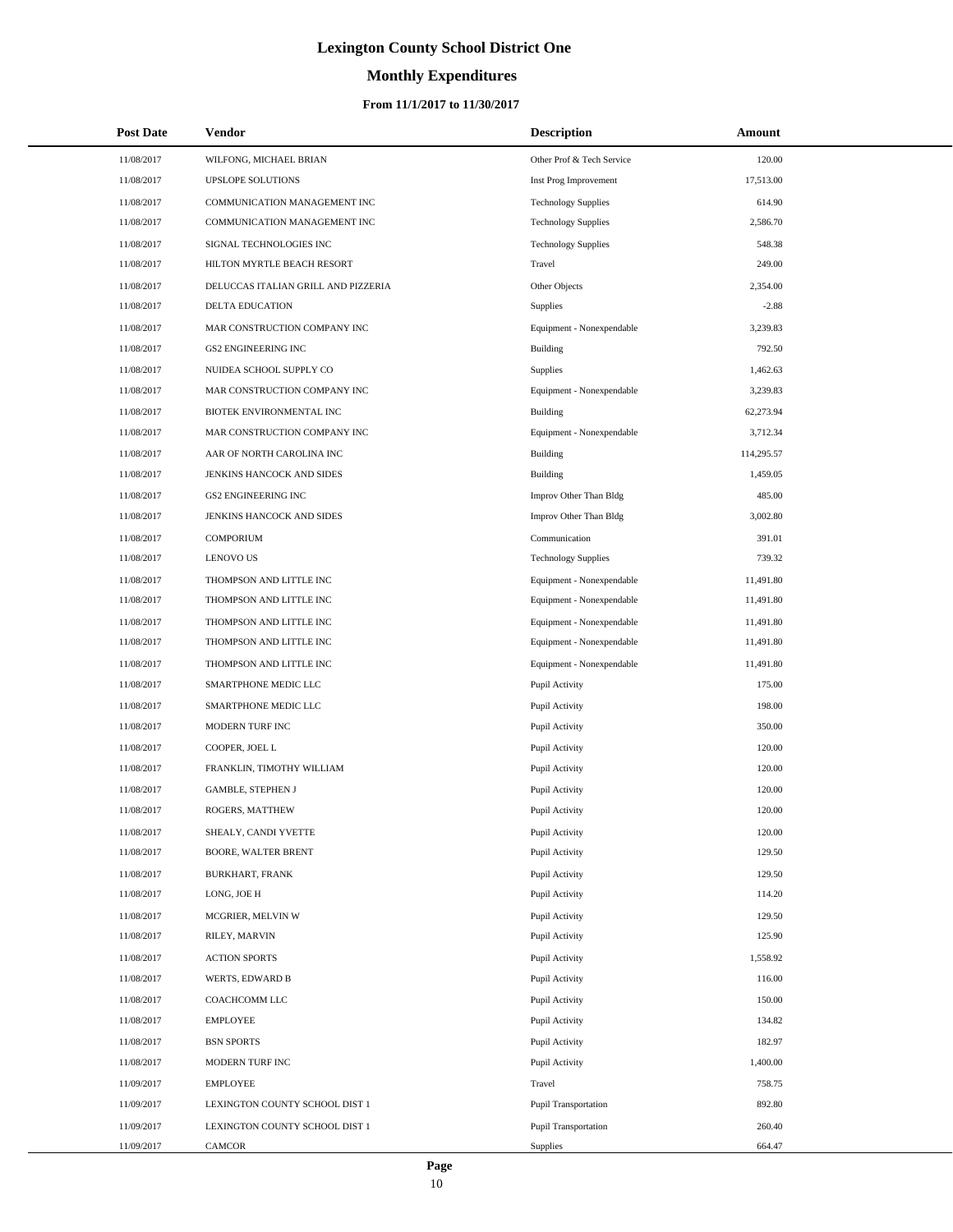# **Monthly Expenditures**

### **From 11/1/2017 to 11/30/2017**

| <b>Post Date</b> | Vendor                              | <b>Description</b>          | Amount     |
|------------------|-------------------------------------|-----------------------------|------------|
| 11/08/2017       | WILFONG, MICHAEL BRIAN              | Other Prof & Tech Service   | 120.00     |
| 11/08/2017       | UPSLOPE SOLUTIONS                   | Inst Prog Improvement       | 17,513.00  |
| 11/08/2017       | COMMUNICATION MANAGEMENT INC        | <b>Technology Supplies</b>  | 614.90     |
| 11/08/2017       | COMMUNICATION MANAGEMENT INC        | <b>Technology Supplies</b>  | 2,586.70   |
| 11/08/2017       | SIGNAL TECHNOLOGIES INC             | <b>Technology Supplies</b>  | 548.38     |
| 11/08/2017       | HILTON MYRTLE BEACH RESORT          | Travel                      | 249.00     |
| 11/08/2017       | DELUCCAS ITALIAN GRILL AND PIZZERIA | Other Objects               | 2,354.00   |
| 11/08/2017       | DELTA EDUCATION                     | Supplies                    | $-2.88$    |
| 11/08/2017       | MAR CONSTRUCTION COMPANY INC        | Equipment - Nonexpendable   | 3,239.83   |
| 11/08/2017       | <b>GS2 ENGINEERING INC</b>          | <b>Building</b>             | 792.50     |
| 11/08/2017       | NUIDEA SCHOOL SUPPLY CO             | Supplies                    | 1,462.63   |
| 11/08/2017       | MAR CONSTRUCTION COMPANY INC        | Equipment - Nonexpendable   | 3,239.83   |
| 11/08/2017       | BIOTEK ENVIRONMENTAL INC            | <b>Building</b>             | 62,273.94  |
| 11/08/2017       | MAR CONSTRUCTION COMPANY INC        | Equipment - Nonexpendable   | 3,712.34   |
| 11/08/2017       | AAR OF NORTH CAROLINA INC           | <b>Building</b>             | 114,295.57 |
| 11/08/2017       | JENKINS HANCOCK AND SIDES           | <b>Building</b>             | 1,459.05   |
| 11/08/2017       | <b>GS2 ENGINEERING INC</b>          | Improv Other Than Bldg      | 485.00     |
| 11/08/2017       | JENKINS HANCOCK AND SIDES           | Improv Other Than Bldg      | 3,002.80   |
| 11/08/2017       | <b>COMPORIUM</b>                    | Communication               | 391.01     |
| 11/08/2017       | <b>LENOVO US</b>                    | <b>Technology Supplies</b>  | 739.32     |
| 11/08/2017       | THOMPSON AND LITTLE INC             | Equipment - Nonexpendable   | 11,491.80  |
| 11/08/2017       | THOMPSON AND LITTLE INC             | Equipment - Nonexpendable   | 11,491.80  |
| 11/08/2017       | THOMPSON AND LITTLE INC             | Equipment - Nonexpendable   | 11,491.80  |
| 11/08/2017       | THOMPSON AND LITTLE INC             | Equipment - Nonexpendable   | 11,491.80  |
| 11/08/2017       | THOMPSON AND LITTLE INC             | Equipment - Nonexpendable   | 11,491.80  |
| 11/08/2017       | SMARTPHONE MEDIC LLC                | Pupil Activity              | 175.00     |
| 11/08/2017       | SMARTPHONE MEDIC LLC                | Pupil Activity              | 198.00     |
| 11/08/2017       | MODERN TURF INC                     | Pupil Activity              | 350.00     |
| 11/08/2017       | COOPER, JOEL L                      | Pupil Activity              | 120.00     |
| 11/08/2017       | FRANKLIN, TIMOTHY WILLIAM           | Pupil Activity              | 120.00     |
| 11/08/2017       | <b>GAMBLE, STEPHEN J</b>            | Pupil Activity              | 120.00     |
| 11/08/2017       | ROGERS, MATTHEW                     | Pupil Activity              | 120.00     |
| 11/08/2017       | SHEALY, CANDI YVETTE                | Pupil Activity              | 120.00     |
| 11/08/2017       | BOORE, WALTER BRENT                 | Pupil Activity              | 129.50     |
| 11/08/2017       | BURKHART, FRANK                     | Pupil Activity              | 129.50     |
| 11/08/2017       | LONG, JOE H                         | Pupil Activity              | 114.20     |
| 11/08/2017       | MCGRIER, MELVIN W                   | Pupil Activity              | 129.50     |
| 11/08/2017       | RILEY, MARVIN                       | Pupil Activity              | 125.90     |
| 11/08/2017       | <b>ACTION SPORTS</b>                | Pupil Activity              | 1,558.92   |
| 11/08/2017       | WERTS, EDWARD B                     | Pupil Activity              | 116.00     |
| 11/08/2017       | COACHCOMM LLC                       | Pupil Activity              | 150.00     |
| 11/08/2017       | <b>EMPLOYEE</b>                     | Pupil Activity              | 134.82     |
| 11/08/2017       | <b>BSN SPORTS</b>                   | Pupil Activity              | 182.97     |
| 11/08/2017       | MODERN TURF INC                     | Pupil Activity              | 1,400.00   |
| 11/09/2017       | <b>EMPLOYEE</b>                     | Travel                      | 758.75     |
| 11/09/2017       | LEXINGTON COUNTY SCHOOL DIST 1      | <b>Pupil Transportation</b> | 892.80     |
| 11/09/2017       | LEXINGTON COUNTY SCHOOL DIST 1      | Pupil Transportation        | 260.40     |
| 11/09/2017       | CAMCOR                              | <b>Supplies</b>             | 664.47     |

 $\overline{a}$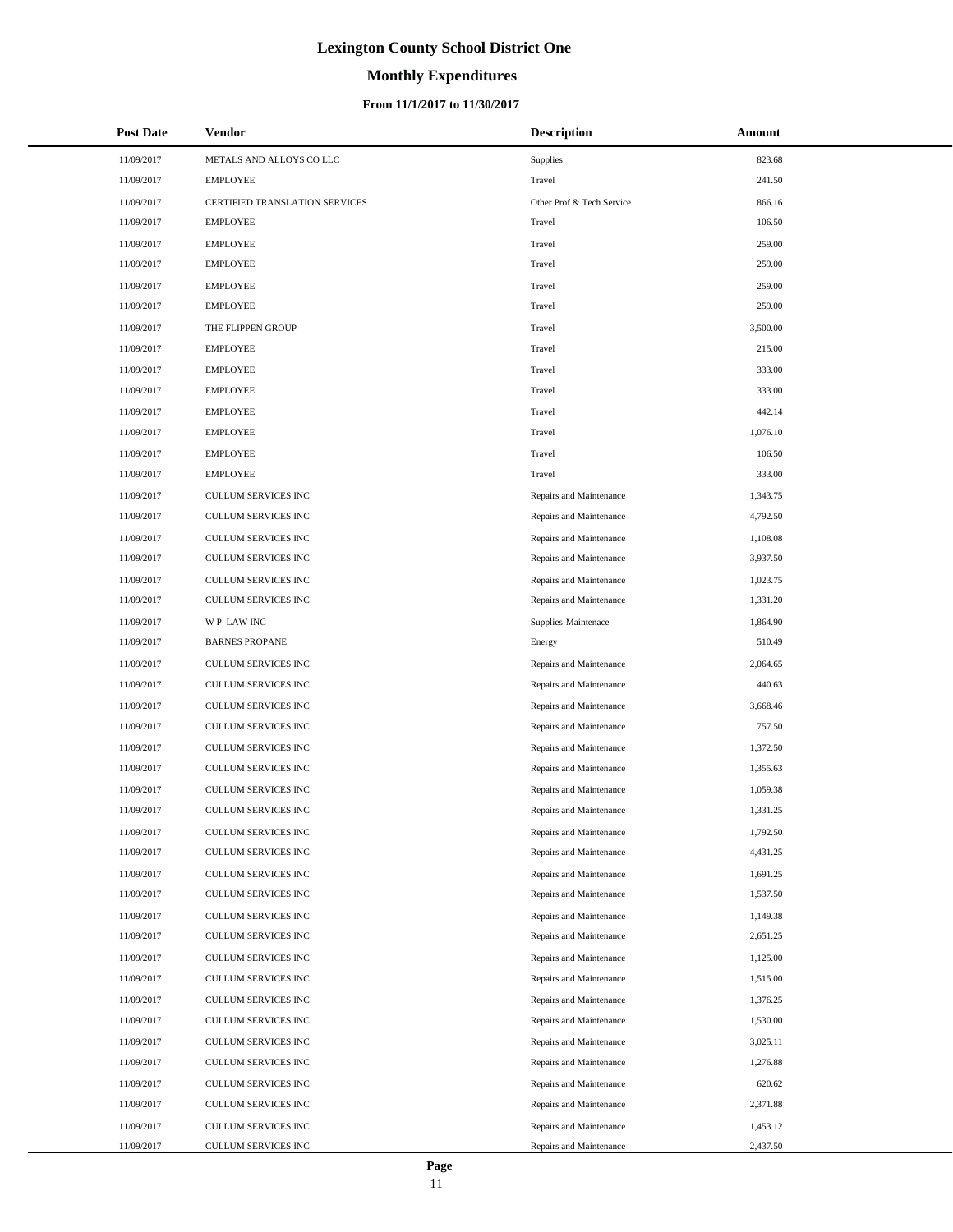# **Monthly Expenditures**

### **From 11/1/2017 to 11/30/2017**

| <b>Post Date</b> | <b>Vendor</b>                  | <b>Description</b>        | Amount   |
|------------------|--------------------------------|---------------------------|----------|
| 11/09/2017       | METALS AND ALLOYS CO LLC       | <b>Supplies</b>           | 823.68   |
| 11/09/2017       | <b>EMPLOYEE</b>                | Travel                    | 241.50   |
| 11/09/2017       | CERTIFIED TRANSLATION SERVICES | Other Prof & Tech Service | 866.16   |
| 11/09/2017       | <b>EMPLOYEE</b>                | Travel                    | 106.50   |
| 11/09/2017       | <b>EMPLOYEE</b>                | Travel                    | 259.00   |
| 11/09/2017       | <b>EMPLOYEE</b>                | Travel                    | 259.00   |
| 11/09/2017       | <b>EMPLOYEE</b>                | Travel                    | 259.00   |
| 11/09/2017       | <b>EMPLOYEE</b>                | Travel                    | 259.00   |
| 11/09/2017       | THE FLIPPEN GROUP              | Travel                    | 3,500.00 |
| 11/09/2017       | <b>EMPLOYEE</b>                | Travel                    | 215.00   |
| 11/09/2017       | <b>EMPLOYEE</b>                | Travel                    | 333.00   |
| 11/09/2017       | <b>EMPLOYEE</b>                | Travel                    | 333.00   |
| 11/09/2017       | <b>EMPLOYEE</b>                | Travel                    | 442.14   |
| 11/09/2017       | <b>EMPLOYEE</b>                | Travel                    | 1,076.10 |
| 11/09/2017       | <b>EMPLOYEE</b>                | Travel                    | 106.50   |
| 11/09/2017       | <b>EMPLOYEE</b>                | Travel                    | 333.00   |
| 11/09/2017       | <b>CULLUM SERVICES INC</b>     | Repairs and Maintenance   | 1,343.75 |
| 11/09/2017       | <b>CULLUM SERVICES INC</b>     | Repairs and Maintenance   | 4,792.50 |
| 11/09/2017       | <b>CULLUM SERVICES INC</b>     | Repairs and Maintenance   | 1,108.08 |
| 11/09/2017       | <b>CULLUM SERVICES INC</b>     | Repairs and Maintenance   | 3,937.50 |
| 11/09/2017       | <b>CULLUM SERVICES INC</b>     | Repairs and Maintenance   | 1,023.75 |
| 11/09/2017       | <b>CULLUM SERVICES INC</b>     | Repairs and Maintenance   | 1,331.20 |
| 11/09/2017       | WP LAW INC                     | Supplies-Maintenace       | 1,864.90 |
| 11/09/2017       | <b>BARNES PROPANE</b>          | Energy                    | 510.49   |
| 11/09/2017       | <b>CULLUM SERVICES INC</b>     | Repairs and Maintenance   | 2,064.65 |
| 11/09/2017       | <b>CULLUM SERVICES INC</b>     | Repairs and Maintenance   | 440.63   |
| 11/09/2017       | CULLUM SERVICES INC            | Repairs and Maintenance   | 3,668.46 |
| 11/09/2017       | <b>CULLUM SERVICES INC</b>     | Repairs and Maintenance   | 757.50   |
| 11/09/2017       | <b>CULLUM SERVICES INC</b>     | Repairs and Maintenance   | 1,372.50 |
| 11/09/2017       | <b>CULLUM SERVICES INC</b>     | Repairs and Maintenance   | 1,355.63 |
| 11/09/2017       | <b>CULLUM SERVICES INC</b>     | Repairs and Maintenance   | 1,059.38 |
| 11/09/2017       | <b>CULLUM SERVICES INC</b>     | Repairs and Maintenance   | 1,331.25 |
| 11/09/2017       | CULLUM SERVICES INC            | Repairs and Maintenance   | 1,792.50 |
| 11/09/2017       | <b>CULLUM SERVICES INC</b>     | Repairs and Maintenance   | 4,431.25 |
| 11/09/2017       | <b>CULLUM SERVICES INC</b>     | Repairs and Maintenance   | 1,691.25 |
| 11/09/2017       | CULLUM SERVICES INC            | Repairs and Maintenance   | 1,537.50 |
| 11/09/2017       | CULLUM SERVICES INC            | Repairs and Maintenance   | 1,149.38 |
| 11/09/2017       | CULLUM SERVICES INC            | Repairs and Maintenance   | 2,651.25 |
| 11/09/2017       | CULLUM SERVICES INC            | Repairs and Maintenance   | 1,125.00 |
| 11/09/2017       | CULLUM SERVICES INC            | Repairs and Maintenance   | 1,515.00 |
| 11/09/2017       | CULLUM SERVICES INC            | Repairs and Maintenance   | 1,376.25 |
| 11/09/2017       | <b>CULLUM SERVICES INC</b>     | Repairs and Maintenance   | 1,530.00 |
| 11/09/2017       | CULLUM SERVICES INC            | Repairs and Maintenance   | 3,025.11 |
| 11/09/2017       | CULLUM SERVICES INC            | Repairs and Maintenance   | 1,276.88 |
| 11/09/2017       | CULLUM SERVICES INC            | Repairs and Maintenance   | 620.62   |
| 11/09/2017       | CULLUM SERVICES INC            | Repairs and Maintenance   | 2,371.88 |
| 11/09/2017       | CULLUM SERVICES INC            | Repairs and Maintenance   | 1,453.12 |
| 11/09/2017       | CULLUM SERVICES INC            | Repairs and Maintenance   | 2,437.50 |

÷.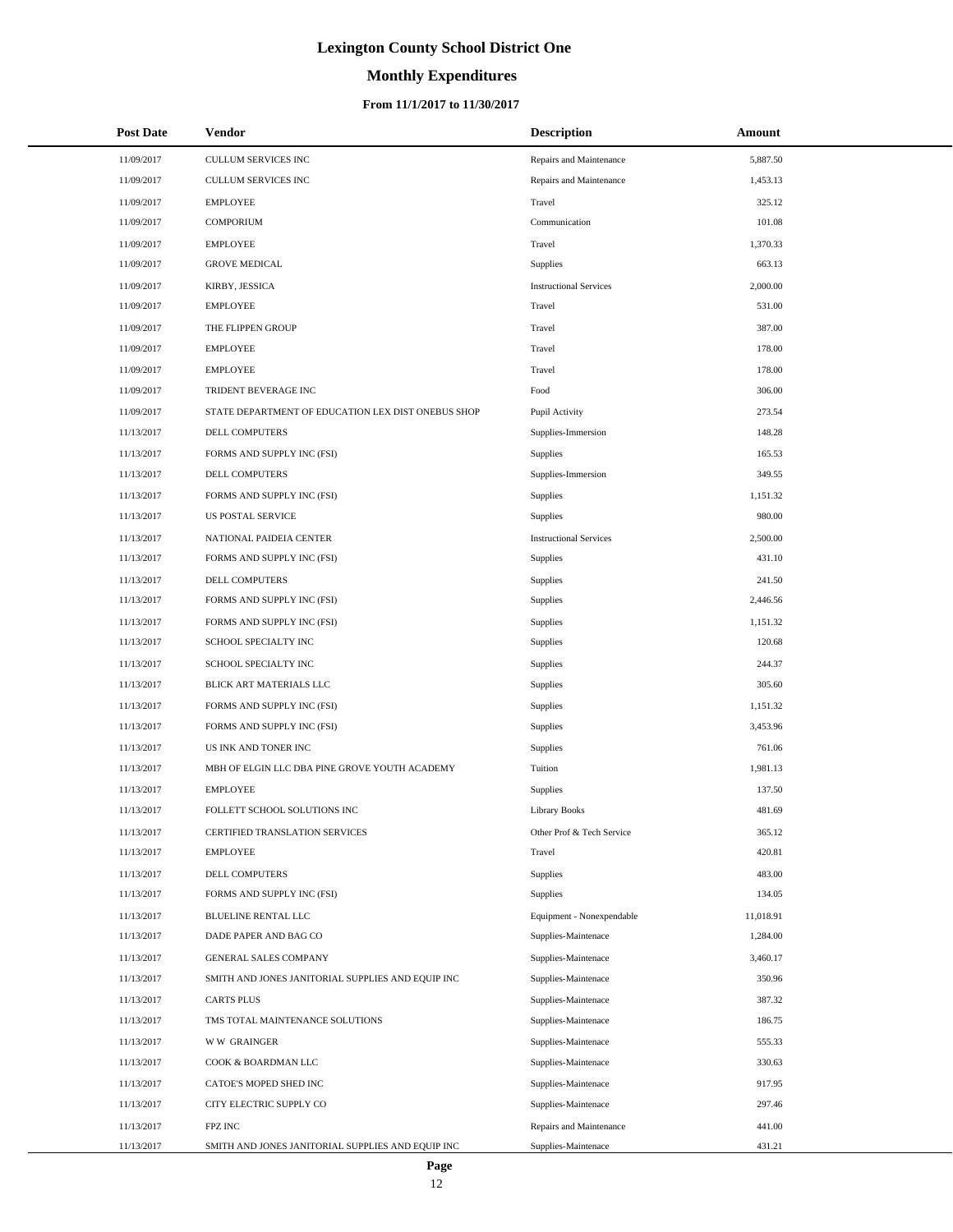# **Monthly Expenditures**

### **From 11/1/2017 to 11/30/2017**

| <b>Post Date</b> | Vendor                                             | <b>Description</b>            | Amount    |
|------------------|----------------------------------------------------|-------------------------------|-----------|
| 11/09/2017       | CULLUM SERVICES INC                                | Repairs and Maintenance       | 5,887.50  |
| 11/09/2017       | CULLUM SERVICES INC                                | Repairs and Maintenance       | 1,453.13  |
| 11/09/2017       | <b>EMPLOYEE</b>                                    | Travel                        | 325.12    |
| 11/09/2017       | <b>COMPORIUM</b>                                   | Communication                 | 101.08    |
| 11/09/2017       | <b>EMPLOYEE</b>                                    | Travel                        | 1,370.33  |
| 11/09/2017       | <b>GROVE MEDICAL</b>                               | <b>Supplies</b>               | 663.13    |
| 11/09/2017       | KIRBY, JESSICA                                     | <b>Instructional Services</b> | 2,000.00  |
| 11/09/2017       | <b>EMPLOYEE</b>                                    | Travel                        | 531.00    |
| 11/09/2017       | THE FLIPPEN GROUP                                  | Travel                        | 387.00    |
| 11/09/2017       | <b>EMPLOYEE</b>                                    | Travel                        | 178.00    |
| 11/09/2017       | <b>EMPLOYEE</b>                                    | Travel                        | 178.00    |
| 11/09/2017       | TRIDENT BEVERAGE INC                               | Food                          | 306.00    |
| 11/09/2017       | STATE DEPARTMENT OF EDUCATION LEX DIST ONEBUS SHOP | Pupil Activity                | 273.54    |
| 11/13/2017       | DELL COMPUTERS                                     | Supplies-Immersion            | 148.28    |
| 11/13/2017       | FORMS AND SUPPLY INC (FSI)                         | Supplies                      | 165.53    |
| 11/13/2017       | DELL COMPUTERS                                     | Supplies-Immersion            | 349.55    |
| 11/13/2017       | FORMS AND SUPPLY INC (FSI)                         | Supplies                      | 1,151.32  |
| 11/13/2017       | <b>US POSTAL SERVICE</b>                           | <b>Supplies</b>               | 980.00    |
| 11/13/2017       | NATIONAL PAIDEIA CENTER                            | <b>Instructional Services</b> | 2,500.00  |
| 11/13/2017       | FORMS AND SUPPLY INC (FSI)                         | <b>Supplies</b>               | 431.10    |
| 11/13/2017       | DELL COMPUTERS                                     | Supplies                      | 241.50    |
| 11/13/2017       | FORMS AND SUPPLY INC (FSI)                         | <b>Supplies</b>               | 2,446.56  |
| 11/13/2017       | FORMS AND SUPPLY INC (FSI)                         | <b>Supplies</b>               | 1,151.32  |
| 11/13/2017       | SCHOOL SPECIALTY INC                               | Supplies                      | 120.68    |
| 11/13/2017       | SCHOOL SPECIALTY INC                               | Supplies                      | 244.37    |
| 11/13/2017       | BLICK ART MATERIALS LLC                            | Supplies                      | 305.60    |
| 11/13/2017       | FORMS AND SUPPLY INC (FSI)                         | Supplies                      | 1,151.32  |
| 11/13/2017       | FORMS AND SUPPLY INC (FSI)                         | <b>Supplies</b>               | 3,453.96  |
| 11/13/2017       | US INK AND TONER INC                               | Supplies                      | 761.06    |
| 11/13/2017       | MBH OF ELGIN LLC DBA PINE GROVE YOUTH ACADEMY      | Tuition                       | 1,981.13  |
| 11/13/2017       | <b>EMPLOYEE</b>                                    | <b>Supplies</b>               | 137.50    |
| 11/13/2017       | FOLLETT SCHOOL SOLUTIONS INC                       | <b>Library Books</b>          | 481.69    |
| 11/13/2017       | CERTIFIED TRANSLATION SERVICES                     | Other Prof & Tech Service     | 365.12    |
| 11/13/2017       | <b>EMPLOYEE</b>                                    | Travel                        | 420.81    |
| 11/13/2017       | <b>DELL COMPUTERS</b>                              | Supplies                      | 483.00    |
| 11/13/2017       | FORMS AND SUPPLY INC (FSI)                         | <b>Supplies</b>               | 134.05    |
| 11/13/2017       | <b>BLUELINE RENTAL LLC</b>                         | Equipment - Nonexpendable     | 11,018.91 |
| 11/13/2017       | DADE PAPER AND BAG CO                              | Supplies-Maintenace           | 1,284.00  |
| 11/13/2017       | <b>GENERAL SALES COMPANY</b>                       | Supplies-Maintenace           | 3,460.17  |
| 11/13/2017       | SMITH AND JONES JANITORIAL SUPPLIES AND EQUIP INC  | Supplies-Maintenace           | 350.96    |
| 11/13/2017       | <b>CARTS PLUS</b>                                  | Supplies-Maintenace           | 387.32    |
| 11/13/2017       | TMS TOTAL MAINTENANCE SOLUTIONS                    | Supplies-Maintenace           | 186.75    |
| 11/13/2017       | <b>WW GRAINGER</b>                                 | Supplies-Maintenace           | 555.33    |
| 11/13/2017       | COOK & BOARDMAN LLC                                | Supplies-Maintenace           | 330.63    |
| 11/13/2017       | CATOE'S MOPED SHED INC                             | Supplies-Maintenace           | 917.95    |
| 11/13/2017       | CITY ELECTRIC SUPPLY CO                            | Supplies-Maintenace           | 297.46    |
| 11/13/2017       | FPZ INC                                            | Repairs and Maintenance       | 441.00    |
| 11/13/2017       | SMITH AND JONES JANITORIAL SUPPLIES AND EQUIP INC  | Supplies-Maintenace           | 431.21    |

÷.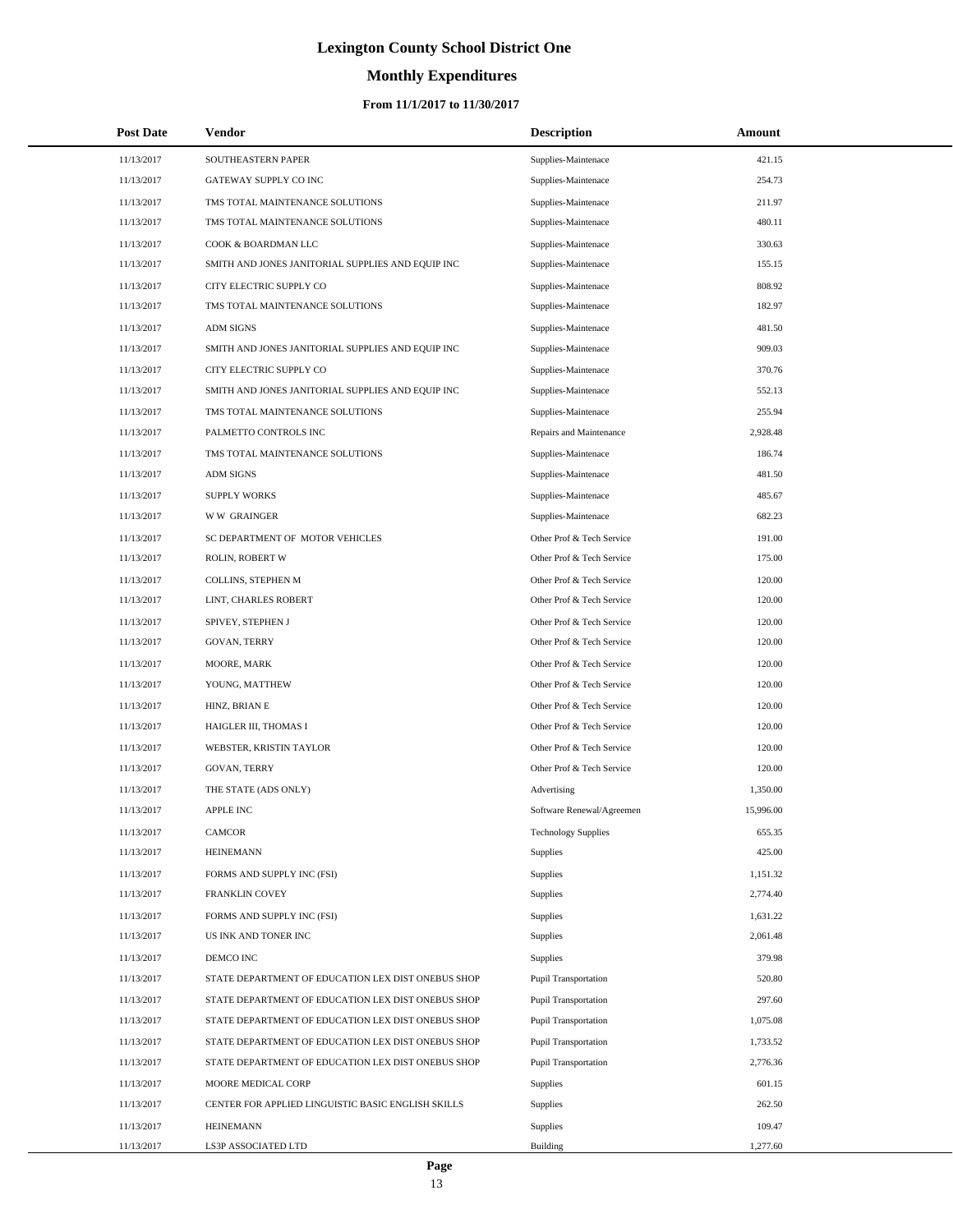# **Monthly Expenditures**

### **From 11/1/2017 to 11/30/2017**

| <b>Post Date</b> | Vendor                                             | <b>Description</b>         | Amount    |
|------------------|----------------------------------------------------|----------------------------|-----------|
| 11/13/2017       | SOUTHEASTERN PAPER                                 | Supplies-Maintenace        | 421.15    |
| 11/13/2017       | GATEWAY SUPPLY CO INC                              | Supplies-Maintenace        | 254.73    |
| 11/13/2017       | TMS TOTAL MAINTENANCE SOLUTIONS                    | Supplies-Maintenace        | 211.97    |
| 11/13/2017       | TMS TOTAL MAINTENANCE SOLUTIONS                    | Supplies-Maintenace        | 480.11    |
| 11/13/2017       | COOK & BOARDMAN LLC                                | Supplies-Maintenace        | 330.63    |
| 11/13/2017       | SMITH AND JONES JANITORIAL SUPPLIES AND EQUIP INC  | Supplies-Maintenace        | 155.15    |
| 11/13/2017       | CITY ELECTRIC SUPPLY CO                            | Supplies-Maintenace        | 808.92    |
| 11/13/2017       | TMS TOTAL MAINTENANCE SOLUTIONS                    | Supplies-Maintenace        | 182.97    |
| 11/13/2017       | <b>ADM SIGNS</b>                                   | Supplies-Maintenace        | 481.50    |
| 11/13/2017       | SMITH AND JONES JANITORIAL SUPPLIES AND EQUIP INC  | Supplies-Maintenace        | 909.03    |
| 11/13/2017       | CITY ELECTRIC SUPPLY CO                            | Supplies-Maintenace        | 370.76    |
| 11/13/2017       | SMITH AND JONES JANITORIAL SUPPLIES AND EQUIP INC  | Supplies-Maintenace        | 552.13    |
| 11/13/2017       | TMS TOTAL MAINTENANCE SOLUTIONS                    | Supplies-Maintenace        | 255.94    |
| 11/13/2017       | PALMETTO CONTROLS INC                              | Repairs and Maintenance    | 2,928.48  |
| 11/13/2017       | TMS TOTAL MAINTENANCE SOLUTIONS                    | Supplies-Maintenace        | 186.74    |
| 11/13/2017       | <b>ADM SIGNS</b>                                   | Supplies-Maintenace        | 481.50    |
| 11/13/2017       | <b>SUPPLY WORKS</b>                                | Supplies-Maintenace        | 485.67    |
| 11/13/2017       | <b>WW GRAINGER</b>                                 | Supplies-Maintenace        | 682.23    |
| 11/13/2017       | SC DEPARTMENT OF MOTOR VEHICLES                    | Other Prof & Tech Service  | 191.00    |
| 11/13/2017       | ROLIN, ROBERT W                                    | Other Prof & Tech Service  | 175.00    |
| 11/13/2017       | COLLINS, STEPHEN M                                 | Other Prof & Tech Service  | 120.00    |
| 11/13/2017       | LINT, CHARLES ROBERT                               | Other Prof & Tech Service  | 120.00    |
| 11/13/2017       | SPIVEY, STEPHEN J                                  | Other Prof & Tech Service  | 120.00    |
| 11/13/2017       | GOVAN, TERRY                                       | Other Prof & Tech Service  | 120.00    |
| 11/13/2017       | MOORE, MARK                                        | Other Prof & Tech Service  | 120.00    |
| 11/13/2017       | YOUNG, MATTHEW                                     | Other Prof & Tech Service  | 120.00    |
| 11/13/2017       | HINZ, BRIAN E                                      | Other Prof & Tech Service  | 120.00    |
| 11/13/2017       | HAIGLER III, THOMAS I                              | Other Prof & Tech Service  | 120.00    |
| 11/13/2017       | WEBSTER, KRISTIN TAYLOR                            | Other Prof & Tech Service  | 120.00    |
| 11/13/2017       | GOVAN, TERRY                                       | Other Prof & Tech Service  | 120.00    |
| 11/13/2017       | THE STATE (ADS ONLY)                               | Advertising                | 1,350.00  |
| 11/13/2017       | <b>APPLE INC</b>                                   | Software Renewal/Agreemen  | 15,996.00 |
| 11/13/2017       | <b>CAMCOR</b>                                      | <b>Technology Supplies</b> | 655.35    |
| 11/13/2017       | <b>HEINEMANN</b>                                   | <b>Supplies</b>            | 425.00    |
| 11/13/2017       | FORMS AND SUPPLY INC (FSI)                         | <b>Supplies</b>            | 1,151.32  |
| 11/13/2017       | FRANKLIN COVEY                                     | <b>Supplies</b>            | 2,774.40  |
| 11/13/2017       | FORMS AND SUPPLY INC (FSI)                         | <b>Supplies</b>            | 1,631.22  |
| 11/13/2017       | US INK AND TONER INC                               | <b>Supplies</b>            | 2,061.48  |
| 11/13/2017       | DEMCO INC                                          | <b>Supplies</b>            | 379.98    |
| 11/13/2017       | STATE DEPARTMENT OF EDUCATION LEX DIST ONEBUS SHOP | Pupil Transportation       | 520.80    |
| 11/13/2017       | STATE DEPARTMENT OF EDUCATION LEX DIST ONEBUS SHOP | Pupil Transportation       | 297.60    |
| 11/13/2017       | STATE DEPARTMENT OF EDUCATION LEX DIST ONEBUS SHOP | Pupil Transportation       | 1,075.08  |
| 11/13/2017       | STATE DEPARTMENT OF EDUCATION LEX DIST ONEBUS SHOP | Pupil Transportation       | 1,733.52  |
| 11/13/2017       | STATE DEPARTMENT OF EDUCATION LEX DIST ONEBUS SHOP | Pupil Transportation       | 2,776.36  |
| 11/13/2017       | MOORE MEDICAL CORP                                 | <b>Supplies</b>            | 601.15    |
| 11/13/2017       | CENTER FOR APPLIED LINGUISTIC BASIC ENGLISH SKILLS | <b>Supplies</b>            | 262.50    |
| 11/13/2017       | <b>HEINEMANN</b>                                   | <b>Supplies</b>            | 109.47    |
| 11/13/2017       | LS3P ASSOCIATED LTD                                | Building                   | 1,277.60  |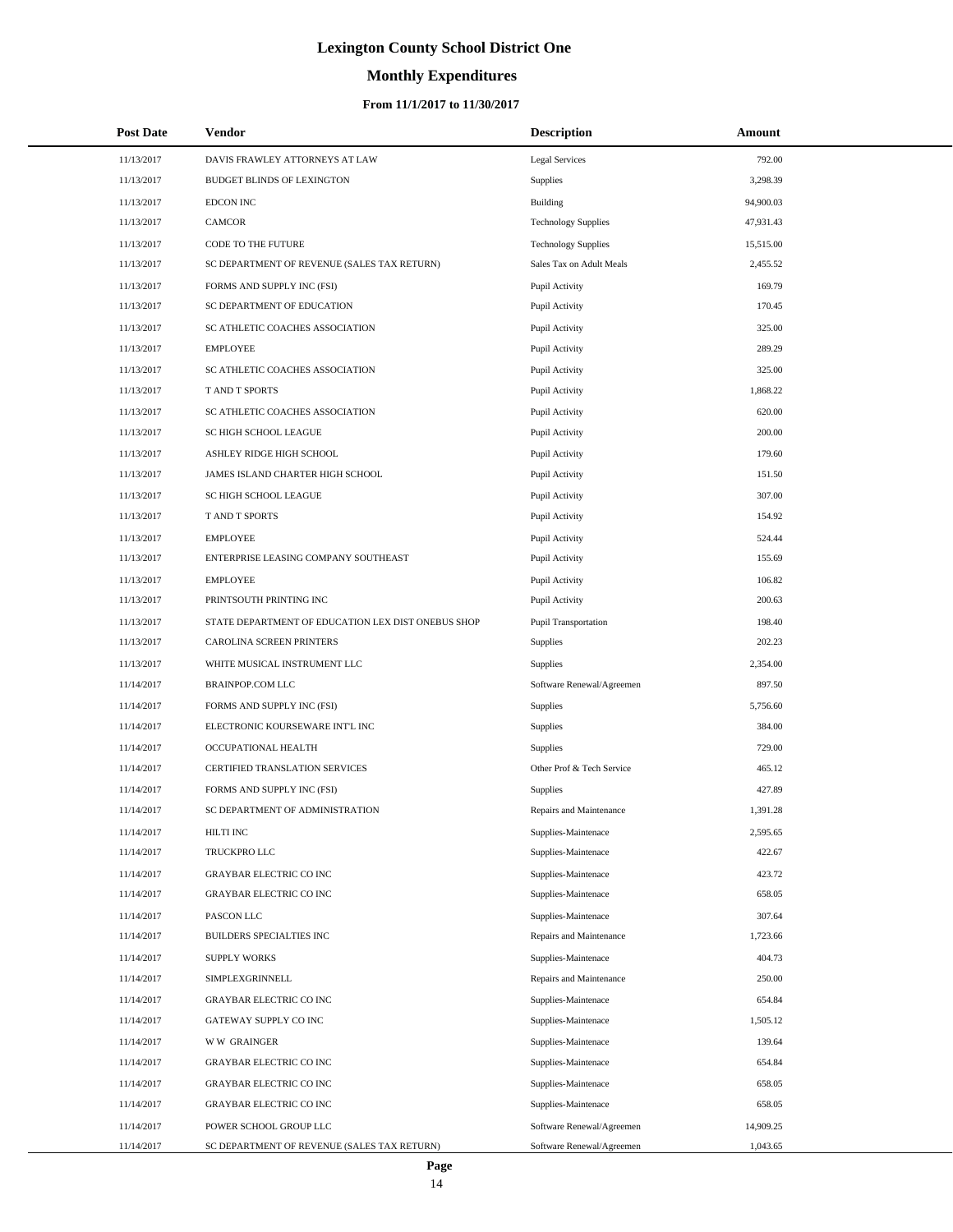# **Monthly Expenditures**

### **From 11/1/2017 to 11/30/2017**

| <b>Post Date</b> | Vendor                                             | <b>Description</b>         | Amount    |  |
|------------------|----------------------------------------------------|----------------------------|-----------|--|
| 11/13/2017       | DAVIS FRAWLEY ATTORNEYS AT LAW                     | <b>Legal Services</b>      | 792.00    |  |
| 11/13/2017       | BUDGET BLINDS OF LEXINGTON                         | Supplies                   | 3,298.39  |  |
| 11/13/2017       | <b>EDCON INC</b>                                   | <b>Building</b>            | 94,900.03 |  |
| 11/13/2017       | CAMCOR                                             | <b>Technology Supplies</b> | 47,931.43 |  |
| 11/13/2017       | CODE TO THE FUTURE                                 | <b>Technology Supplies</b> | 15,515.00 |  |
| 11/13/2017       | SC DEPARTMENT OF REVENUE (SALES TAX RETURN)        | Sales Tax on Adult Meals   | 2,455.52  |  |
| 11/13/2017       | FORMS AND SUPPLY INC (FSI)                         | Pupil Activity             | 169.79    |  |
| 11/13/2017       | SC DEPARTMENT OF EDUCATION                         | Pupil Activity             | 170.45    |  |
| 11/13/2017       | SC ATHLETIC COACHES ASSOCIATION                    | Pupil Activity             | 325.00    |  |
| 11/13/2017       | <b>EMPLOYEE</b>                                    | Pupil Activity             | 289.29    |  |
| 11/13/2017       | SC ATHLETIC COACHES ASSOCIATION                    | Pupil Activity             | 325.00    |  |
| 11/13/2017       | T AND T SPORTS                                     | Pupil Activity             | 1,868.22  |  |
| 11/13/2017       | SC ATHLETIC COACHES ASSOCIATION                    | Pupil Activity             | 620.00    |  |
| 11/13/2017       | SC HIGH SCHOOL LEAGUE                              | Pupil Activity             | 200.00    |  |
| 11/13/2017       | ASHLEY RIDGE HIGH SCHOOL                           | Pupil Activity             | 179.60    |  |
| 11/13/2017       | JAMES ISLAND CHARTER HIGH SCHOOL                   | Pupil Activity             | 151.50    |  |
| 11/13/2017       | <b>SC HIGH SCHOOL LEAGUE</b>                       | Pupil Activity             | 307.00    |  |
| 11/13/2017       | T AND T SPORTS                                     | Pupil Activity             | 154.92    |  |
| 11/13/2017       | <b>EMPLOYEE</b>                                    | Pupil Activity             | 524.44    |  |
| 11/13/2017       | ENTERPRISE LEASING COMPANY SOUTHEAST               | Pupil Activity             | 155.69    |  |
| 11/13/2017       | <b>EMPLOYEE</b>                                    | Pupil Activity             | 106.82    |  |
| 11/13/2017       | PRINTSOUTH PRINTING INC                            | Pupil Activity             | 200.63    |  |
| 11/13/2017       | STATE DEPARTMENT OF EDUCATION LEX DIST ONEBUS SHOP | Pupil Transportation       | 198.40    |  |
| 11/13/2017       | CAROLINA SCREEN PRINTERS                           | Supplies                   | 202.23    |  |
| 11/13/2017       | WHITE MUSICAL INSTRUMENT LLC                       | <b>Supplies</b>            | 2,354.00  |  |
| 11/14/2017       | BRAINPOP.COM LLC                                   | Software Renewal/Agreemen  | 897.50    |  |
| 11/14/2017       | FORMS AND SUPPLY INC (FSI)                         | <b>Supplies</b>            | 5,756.60  |  |
| 11/14/2017       | ELECTRONIC KOURSEWARE INT'L INC                    | Supplies                   | 384.00    |  |
| 11/14/2017       | OCCUPATIONAL HEALTH                                | <b>Supplies</b>            | 729.00    |  |
| 11/14/2017       | CERTIFIED TRANSLATION SERVICES                     | Other Prof & Tech Service  | 465.12    |  |
| 11/14/2017       | FORMS AND SUPPLY INC (FSI)                         | <b>Supplies</b>            | 427.89    |  |
| 11/14/2017       | SC DEPARTMENT OF ADMINISTRATION                    | Repairs and Maintenance    | 1,391.28  |  |
| 11/14/2017       | HILTI INC                                          | Supplies-Maintenace        | 2,595.65  |  |
| 11/14/2017       | TRUCKPRO LLC                                       | Supplies-Maintenace        | 422.67    |  |
| 11/14/2017       | <b>GRAYBAR ELECTRIC CO INC</b>                     | Supplies-Maintenace        | 423.72    |  |
| 11/14/2017       | GRAYBAR ELECTRIC CO INC                            | Supplies-Maintenace        | 658.05    |  |
| 11/14/2017       | PASCON LLC                                         | Supplies-Maintenace        | 307.64    |  |
| 11/14/2017       | BUILDERS SPECIALTIES INC                           | Repairs and Maintenance    | 1,723.66  |  |
| 11/14/2017       | <b>SUPPLY WORKS</b>                                | Supplies-Maintenace        | 404.73    |  |
| 11/14/2017       | SIMPLEXGRINNELL                                    | Repairs and Maintenance    | 250.00    |  |
| 11/14/2017       | <b>GRAYBAR ELECTRIC CO INC</b>                     | Supplies-Maintenace        | 654.84    |  |
| 11/14/2017       | GATEWAY SUPPLY CO INC                              | Supplies-Maintenace        | 1,505.12  |  |
| 11/14/2017       | <b>WW GRAINGER</b>                                 | Supplies-Maintenace        | 139.64    |  |
| 11/14/2017       | GRAYBAR ELECTRIC CO INC                            | Supplies-Maintenace        | 654.84    |  |
| 11/14/2017       | <b>GRAYBAR ELECTRIC CO INC</b>                     | Supplies-Maintenace        | 658.05    |  |
| 11/14/2017       | GRAYBAR ELECTRIC CO INC                            | Supplies-Maintenace        | 658.05    |  |
| 11/14/2017       | POWER SCHOOL GROUP LLC                             | Software Renewal/Agreemen  | 14,909.25 |  |
| 11/14/2017       | SC DEPARTMENT OF REVENUE (SALES TAX RETURN)        | Software Renewal/Agreemen  | 1,043.65  |  |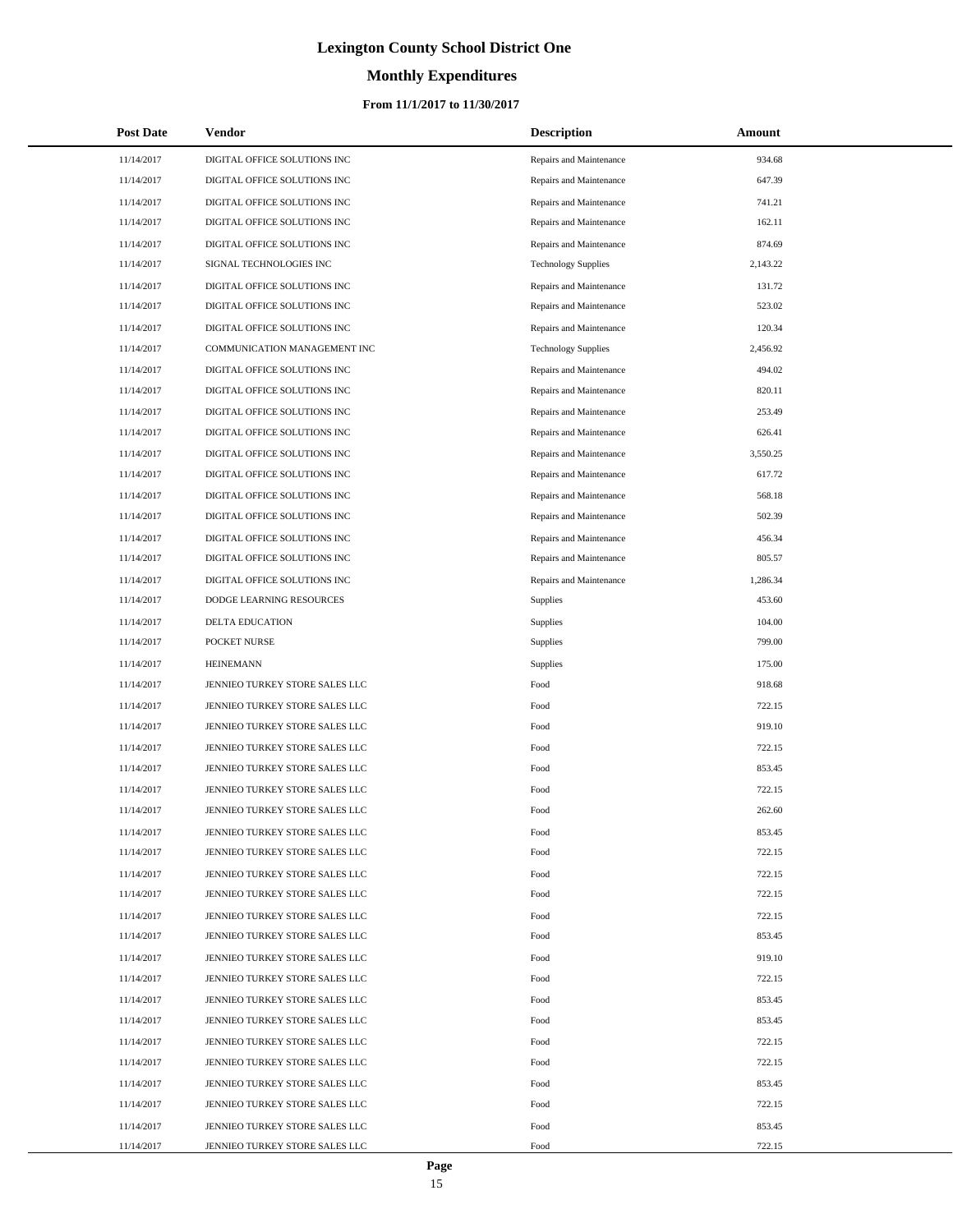# **Monthly Expenditures**

| <b>Post Date</b> | Vendor                         | <b>Description</b>         | Amount   |
|------------------|--------------------------------|----------------------------|----------|
| 11/14/2017       | DIGITAL OFFICE SOLUTIONS INC   | Repairs and Maintenance    | 934.68   |
| 11/14/2017       | DIGITAL OFFICE SOLUTIONS INC   | Repairs and Maintenance    | 647.39   |
| 11/14/2017       | DIGITAL OFFICE SOLUTIONS INC   | Repairs and Maintenance    | 741.21   |
| 11/14/2017       | DIGITAL OFFICE SOLUTIONS INC   | Repairs and Maintenance    | 162.11   |
| 11/14/2017       | DIGITAL OFFICE SOLUTIONS INC   | Repairs and Maintenance    | 874.69   |
| 11/14/2017       | SIGNAL TECHNOLOGIES INC        | <b>Technology Supplies</b> | 2,143.22 |
| 11/14/2017       | DIGITAL OFFICE SOLUTIONS INC   | Repairs and Maintenance    | 131.72   |
| 11/14/2017       | DIGITAL OFFICE SOLUTIONS INC   | Repairs and Maintenance    | 523.02   |
| 11/14/2017       | DIGITAL OFFICE SOLUTIONS INC   | Repairs and Maintenance    | 120.34   |
| 11/14/2017       | COMMUNICATION MANAGEMENT INC   | <b>Technology Supplies</b> | 2,456.92 |
| 11/14/2017       | DIGITAL OFFICE SOLUTIONS INC   | Repairs and Maintenance    | 494.02   |
| 11/14/2017       | DIGITAL OFFICE SOLUTIONS INC   | Repairs and Maintenance    | 820.11   |
| 11/14/2017       | DIGITAL OFFICE SOLUTIONS INC   | Repairs and Maintenance    | 253.49   |
| 11/14/2017       | DIGITAL OFFICE SOLUTIONS INC   | Repairs and Maintenance    | 626.41   |
| 11/14/2017       | DIGITAL OFFICE SOLUTIONS INC   | Repairs and Maintenance    | 3,550.25 |
| 11/14/2017       | DIGITAL OFFICE SOLUTIONS INC   | Repairs and Maintenance    | 617.72   |
| 11/14/2017       | DIGITAL OFFICE SOLUTIONS INC   | Repairs and Maintenance    | 568.18   |
| 11/14/2017       | DIGITAL OFFICE SOLUTIONS INC   | Repairs and Maintenance    | 502.39   |
| 11/14/2017       | DIGITAL OFFICE SOLUTIONS INC   | Repairs and Maintenance    | 456.34   |
| 11/14/2017       | DIGITAL OFFICE SOLUTIONS INC   | Repairs and Maintenance    | 805.57   |
| 11/14/2017       | DIGITAL OFFICE SOLUTIONS INC   | Repairs and Maintenance    | 1,286.34 |
| 11/14/2017       | DODGE LEARNING RESOURCES       | <b>Supplies</b>            | 453.60   |
| 11/14/2017       | DELTA EDUCATION                | Supplies                   | 104.00   |
| 11/14/2017       | POCKET NURSE                   | Supplies                   | 799.00   |
| 11/14/2017       | <b>HEINEMANN</b>               | Supplies                   | 175.00   |
| 11/14/2017       | JENNIEO TURKEY STORE SALES LLC | Food                       | 918.68   |
| 11/14/2017       | JENNIEO TURKEY STORE SALES LLC | Food                       | 722.15   |
| 11/14/2017       | JENNIEO TURKEY STORE SALES LLC | Food                       | 919.10   |
| 11/14/2017       | JENNIEO TURKEY STORE SALES LLC | Food                       | 722.15   |
| 11/14/2017       | JENNIEO TURKEY STORE SALES LLC | Food                       | 853.45   |
| 11/14/2017       | JENNIEO TURKEY STORE SALES LLC | Food                       | 722.15   |
| 11/14/2017       | JENNIEO TURKEY STORE SALES LLC | Food                       | 262.60   |
| 11/14/2017       | JENNIEO TURKEY STORE SALES LLC | Food                       | 853.45   |
| 11/14/2017       | JENNIEO TURKEY STORE SALES LLC | Food                       | 722.15   |
| 11/14/2017       | JENNIEO TURKEY STORE SALES LLC | Food                       | 722.15   |
| 11/14/2017       | JENNIEO TURKEY STORE SALES LLC | Food                       | 722.15   |
| 11/14/2017       | JENNIEO TURKEY STORE SALES LLC | Food                       | 722.15   |
| 11/14/2017       | JENNIEO TURKEY STORE SALES LLC | Food                       | 853.45   |
| 11/14/2017       | JENNIEO TURKEY STORE SALES LLC | Food                       | 919.10   |
| 11/14/2017       | JENNIEO TURKEY STORE SALES LLC | Food                       | 722.15   |
| 11/14/2017       | JENNIEO TURKEY STORE SALES LLC | Food                       | 853.45   |
| 11/14/2017       | JENNIEO TURKEY STORE SALES LLC | Food                       | 853.45   |
| 11/14/2017       | JENNIEO TURKEY STORE SALES LLC | Food                       | 722.15   |
| 11/14/2017       | JENNIEO TURKEY STORE SALES LLC | Food                       | 722.15   |
| 11/14/2017       | JENNIEO TURKEY STORE SALES LLC | Food                       | 853.45   |
| 11/14/2017       | JENNIEO TURKEY STORE SALES LLC | Food                       | 722.15   |
| 11/14/2017       | JENNIEO TURKEY STORE SALES LLC | Food                       | 853.45   |
| 11/14/2017       | JENNIEO TURKEY STORE SALES LLC | Food                       | 722.15   |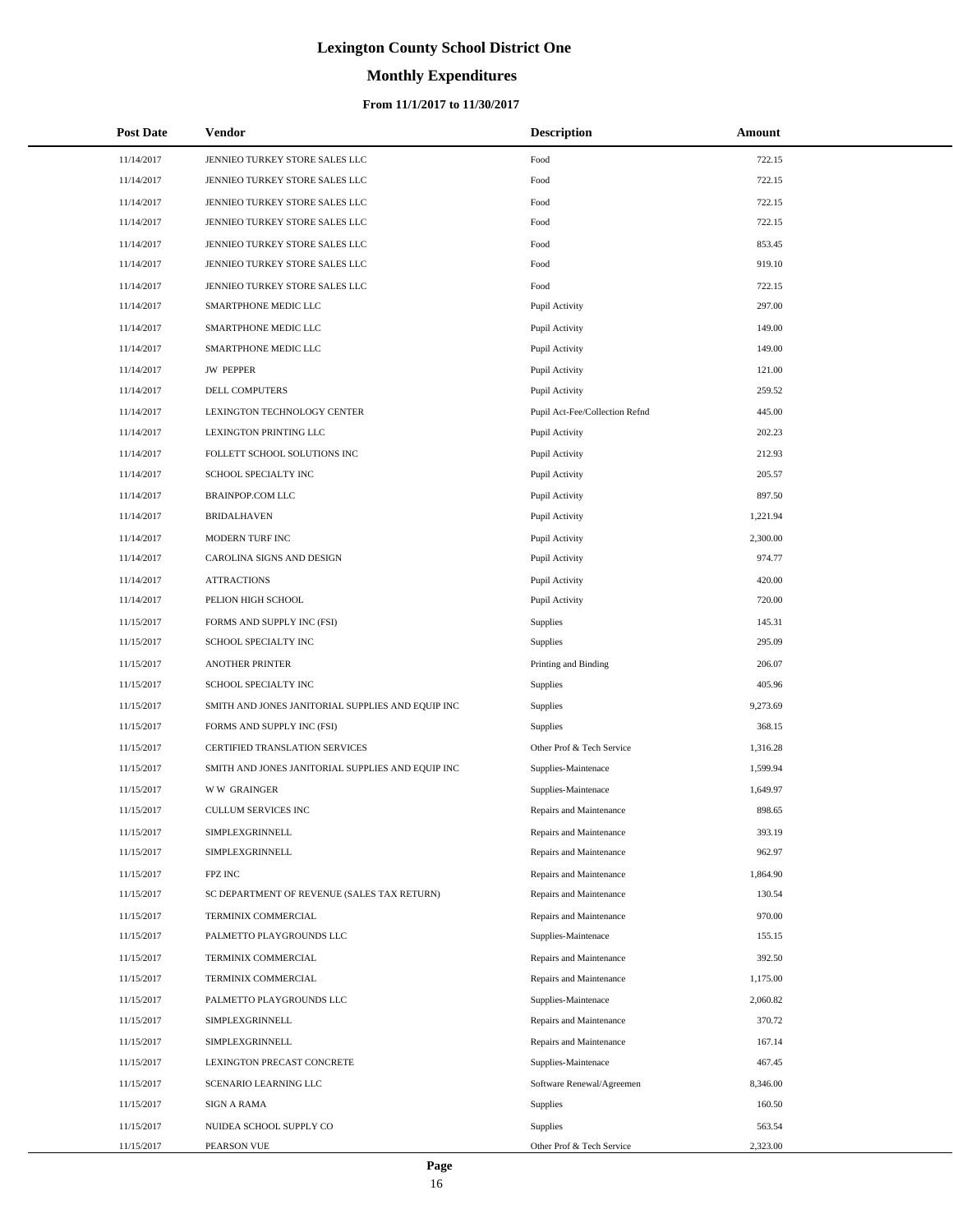# **Monthly Expenditures**

### **From 11/1/2017 to 11/30/2017**

| <b>Post Date</b> | Vendor                                            | <b>Description</b>             | Amount   |
|------------------|---------------------------------------------------|--------------------------------|----------|
| 11/14/2017       | JENNIEO TURKEY STORE SALES LLC                    | Food                           | 722.15   |
| 11/14/2017       | JENNIEO TURKEY STORE SALES LLC                    | Food                           | 722.15   |
| 11/14/2017       | JENNIEO TURKEY STORE SALES LLC                    | Food                           | 722.15   |
| 11/14/2017       | JENNIEO TURKEY STORE SALES LLC                    | Food                           | 722.15   |
| 11/14/2017       | JENNIEO TURKEY STORE SALES LLC                    | Food                           | 853.45   |
| 11/14/2017       | JENNIEO TURKEY STORE SALES LLC                    | Food                           | 919.10   |
| 11/14/2017       | JENNIEO TURKEY STORE SALES LLC                    | Food                           | 722.15   |
| 11/14/2017       | SMARTPHONE MEDIC LLC                              | Pupil Activity                 | 297.00   |
| 11/14/2017       | SMARTPHONE MEDIC LLC                              | Pupil Activity                 | 149.00   |
| 11/14/2017       | SMARTPHONE MEDIC LLC                              | Pupil Activity                 | 149.00   |
| 11/14/2017       | <b>JW PEPPER</b>                                  | Pupil Activity                 | 121.00   |
| 11/14/2017       | DELL COMPUTERS                                    | Pupil Activity                 | 259.52   |
| 11/14/2017       | LEXINGTON TECHNOLOGY CENTER                       | Pupil Act-Fee/Collection Refnd | 445.00   |
| 11/14/2017       | LEXINGTON PRINTING LLC                            | Pupil Activity                 | 202.23   |
| 11/14/2017       | FOLLETT SCHOOL SOLUTIONS INC                      | Pupil Activity                 | 212.93   |
| 11/14/2017       | SCHOOL SPECIALTY INC                              | Pupil Activity                 | 205.57   |
| 11/14/2017       | <b>BRAINPOP.COM LLC</b>                           | Pupil Activity                 | 897.50   |
| 11/14/2017       | <b>BRIDALHAVEN</b>                                | Pupil Activity                 | 1,221.94 |
| 11/14/2017       | MODERN TURF INC                                   | Pupil Activity                 | 2,300.00 |
| 11/14/2017       | CAROLINA SIGNS AND DESIGN                         | Pupil Activity                 | 974.77   |
| 11/14/2017       | <b>ATTRACTIONS</b>                                | Pupil Activity                 | 420.00   |
| 11/14/2017       | PELION HIGH SCHOOL                                | Pupil Activity                 | 720.00   |
| 11/15/2017       | FORMS AND SUPPLY INC (FSI)                        | Supplies                       | 145.31   |
| 11/15/2017       | SCHOOL SPECIALTY INC                              | Supplies                       | 295.09   |
| 11/15/2017       | <b>ANOTHER PRINTER</b>                            | Printing and Binding           | 206.07   |
| 11/15/2017       | SCHOOL SPECIALTY INC                              | Supplies                       | 405.96   |
| 11/15/2017       | SMITH AND JONES JANITORIAL SUPPLIES AND EQUIP INC | Supplies                       | 9,273.69 |
| 11/15/2017       | FORMS AND SUPPLY INC (FSI)                        | <b>Supplies</b>                | 368.15   |
| 11/15/2017       | CERTIFIED TRANSLATION SERVICES                    | Other Prof & Tech Service      | 1,316.28 |
| 11/15/2017       | SMITH AND JONES JANITORIAL SUPPLIES AND EQUIP INC | Supplies-Maintenace            | 1,599.94 |
| 11/15/2017       | <b>WW GRAINGER</b>                                | Supplies-Maintenace            | 1,649.97 |
| 11/15/2017       | <b>CULLUM SERVICES INC</b>                        | Repairs and Maintenance        | 898.65   |
| 11/15/2017       | SIMPLEXGRINNELL                                   | Repairs and Maintenance        | 393.19   |
| 11/15/2017       | SIMPLEXGRINNELL                                   | Repairs and Maintenance        | 962.97   |
| 11/15/2017       | FPZ INC                                           | Repairs and Maintenance        | 1,864.90 |
| 11/15/2017       | SC DEPARTMENT OF REVENUE (SALES TAX RETURN)       | Repairs and Maintenance        | 130.54   |
| 11/15/2017       | TERMINIX COMMERCIAL                               | Repairs and Maintenance        | 970.00   |
| 11/15/2017       | PALMETTO PLAYGROUNDS LLC                          | Supplies-Maintenace            | 155.15   |
| 11/15/2017       | TERMINIX COMMERCIAL                               | Repairs and Maintenance        | 392.50   |
| 11/15/2017       | TERMINIX COMMERCIAL                               | Repairs and Maintenance        | 1,175.00 |
| 11/15/2017       | PALMETTO PLAYGROUNDS LLC                          | Supplies-Maintenace            | 2,060.82 |
| 11/15/2017       | SIMPLEXGRINNELL                                   | Repairs and Maintenance        | 370.72   |
| 11/15/2017       | SIMPLEXGRINNELL                                   | Repairs and Maintenance        | 167.14   |
| 11/15/2017       | LEXINGTON PRECAST CONCRETE                        | Supplies-Maintenace            | 467.45   |
| 11/15/2017       | SCENARIO LEARNING LLC                             | Software Renewal/Agreemen      | 8,346.00 |
| 11/15/2017       | SIGN A RAMA                                       | <b>Supplies</b>                | 160.50   |
| 11/15/2017       | NUIDEA SCHOOL SUPPLY CO                           | Supplies                       | 563.54   |
| 11/15/2017       | PEARSON VUE                                       | Other Prof & Tech Service      | 2,323.00 |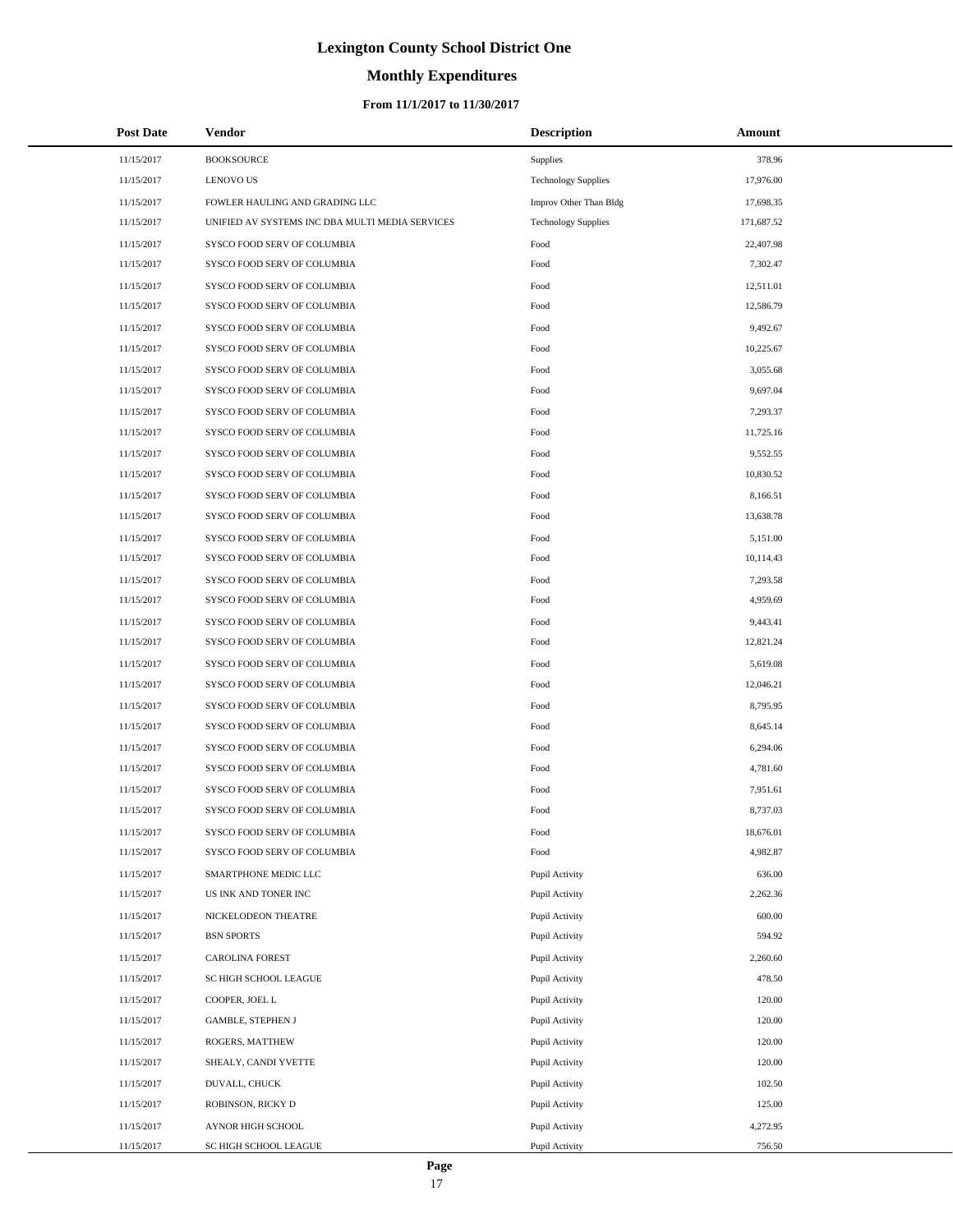# **Monthly Expenditures**

### **From 11/1/2017 to 11/30/2017**

| <b>Post Date</b> | Vendor                                          | <b>Description</b>         | Amount     |
|------------------|-------------------------------------------------|----------------------------|------------|
| 11/15/2017       | <b>BOOKSOURCE</b>                               | Supplies                   | 378.96     |
| 11/15/2017       | <b>LENOVO US</b>                                | <b>Technology Supplies</b> | 17,976.00  |
| 11/15/2017       | FOWLER HAULING AND GRADING LLC                  | Improv Other Than Bldg     | 17,698.35  |
| 11/15/2017       | UNIFIED AV SYSTEMS INC DBA MULTI MEDIA SERVICES | <b>Technology Supplies</b> | 171,687.52 |
| 11/15/2017       | SYSCO FOOD SERV OF COLUMBIA                     | Food                       | 22,407.98  |
| 11/15/2017       | SYSCO FOOD SERV OF COLUMBIA                     | Food                       | 7,302.47   |
| 11/15/2017       | SYSCO FOOD SERV OF COLUMBIA                     | Food                       | 12,511.01  |
| 11/15/2017       | SYSCO FOOD SERV OF COLUMBIA                     | Food                       | 12,586.79  |
| 11/15/2017       | SYSCO FOOD SERV OF COLUMBIA                     | Food                       | 9,492.67   |
| 11/15/2017       | SYSCO FOOD SERV OF COLUMBIA                     | Food                       | 10,225.67  |
| 11/15/2017       | SYSCO FOOD SERV OF COLUMBIA                     | Food                       | 3,055.68   |
| 11/15/2017       | SYSCO FOOD SERV OF COLUMBIA                     | Food                       | 9,697.04   |
| 11/15/2017       | SYSCO FOOD SERV OF COLUMBIA                     | Food                       | 7,293.37   |
| 11/15/2017       | SYSCO FOOD SERV OF COLUMBIA                     | Food                       | 11,725.16  |
| 11/15/2017       | SYSCO FOOD SERV OF COLUMBIA                     | Food                       | 9,552.55   |
| 11/15/2017       | SYSCO FOOD SERV OF COLUMBIA                     | Food                       | 10,830.52  |
| 11/15/2017       | SYSCO FOOD SERV OF COLUMBIA                     | Food                       | 8,166.51   |
| 11/15/2017       | SYSCO FOOD SERV OF COLUMBIA                     | Food                       | 13,638.78  |
| 11/15/2017       | SYSCO FOOD SERV OF COLUMBIA                     | Food                       | 5,151.00   |
| 11/15/2017       | SYSCO FOOD SERV OF COLUMBIA                     | Food                       | 10,114.43  |
| 11/15/2017       | SYSCO FOOD SERV OF COLUMBIA                     | Food                       | 7,293.58   |
| 11/15/2017       | SYSCO FOOD SERV OF COLUMBIA                     | Food                       | 4,959.69   |
| 11/15/2017       | SYSCO FOOD SERV OF COLUMBIA                     | Food                       | 9,443.41   |
| 11/15/2017       | SYSCO FOOD SERV OF COLUMBIA                     | Food                       | 12,821.24  |
| 11/15/2017       | SYSCO FOOD SERV OF COLUMBIA                     | Food                       | 5,619.08   |
| 11/15/2017       | SYSCO FOOD SERV OF COLUMBIA                     | Food                       | 12,046.21  |
| 11/15/2017       | SYSCO FOOD SERV OF COLUMBIA                     | Food                       | 8,795.95   |
| 11/15/2017       | SYSCO FOOD SERV OF COLUMBIA                     | Food                       | 8,645.14   |
| 11/15/2017       | SYSCO FOOD SERV OF COLUMBIA                     | Food                       | 6,294.06   |
| 11/15/2017       | SYSCO FOOD SERV OF COLUMBIA                     | Food                       | 4,781.60   |
| 11/15/2017       | SYSCO FOOD SERV OF COLUMBIA                     | Food                       | 7,951.61   |
| 11/15/2017       | SYSCO FOOD SERV OF COLUMBIA                     | Food                       | 8,737.03   |
| 11/15/2017       | SYSCO FOOD SERV OF COLUMBIA                     | Food                       | 18,676.01  |
| 11/15/2017       | SYSCO FOOD SERV OF COLUMBIA                     | Food                       | 4,982.87   |
| 11/15/2017       | SMARTPHONE MEDIC LLC                            | Pupil Activity             | 636.00     |
| 11/15/2017       | US INK AND TONER INC                            | Pupil Activity             | 2,262.36   |
| 11/15/2017       | NICKELODEON THEATRE                             | Pupil Activity             | 600.00     |
| 11/15/2017       | <b>BSN SPORTS</b>                               | Pupil Activity             | 594.92     |
| 11/15/2017       | <b>CAROLINA FOREST</b>                          | Pupil Activity             | 2,260.60   |
| 11/15/2017       | SC HIGH SCHOOL LEAGUE                           | Pupil Activity             | 478.50     |
| 11/15/2017       | COOPER, JOEL L                                  | Pupil Activity             | 120.00     |
| 11/15/2017       | <b>GAMBLE, STEPHEN J</b>                        | Pupil Activity             | 120.00     |
| 11/15/2017       | ROGERS, MATTHEW                                 | Pupil Activity             | 120.00     |
| 11/15/2017       | SHEALY, CANDI YVETTE                            | Pupil Activity             | 120.00     |
| 11/15/2017       | DUVALL, CHUCK                                   | Pupil Activity             | 102.50     |
| 11/15/2017       | ROBINSON, RICKY D                               | Pupil Activity             | 125.00     |
| 11/15/2017       | AYNOR HIGH SCHOOL                               | Pupil Activity             | 4,272.95   |
| 11/15/2017       | SC HIGH SCHOOL LEAGUE                           | Pupil Activity             | 756.50     |

÷.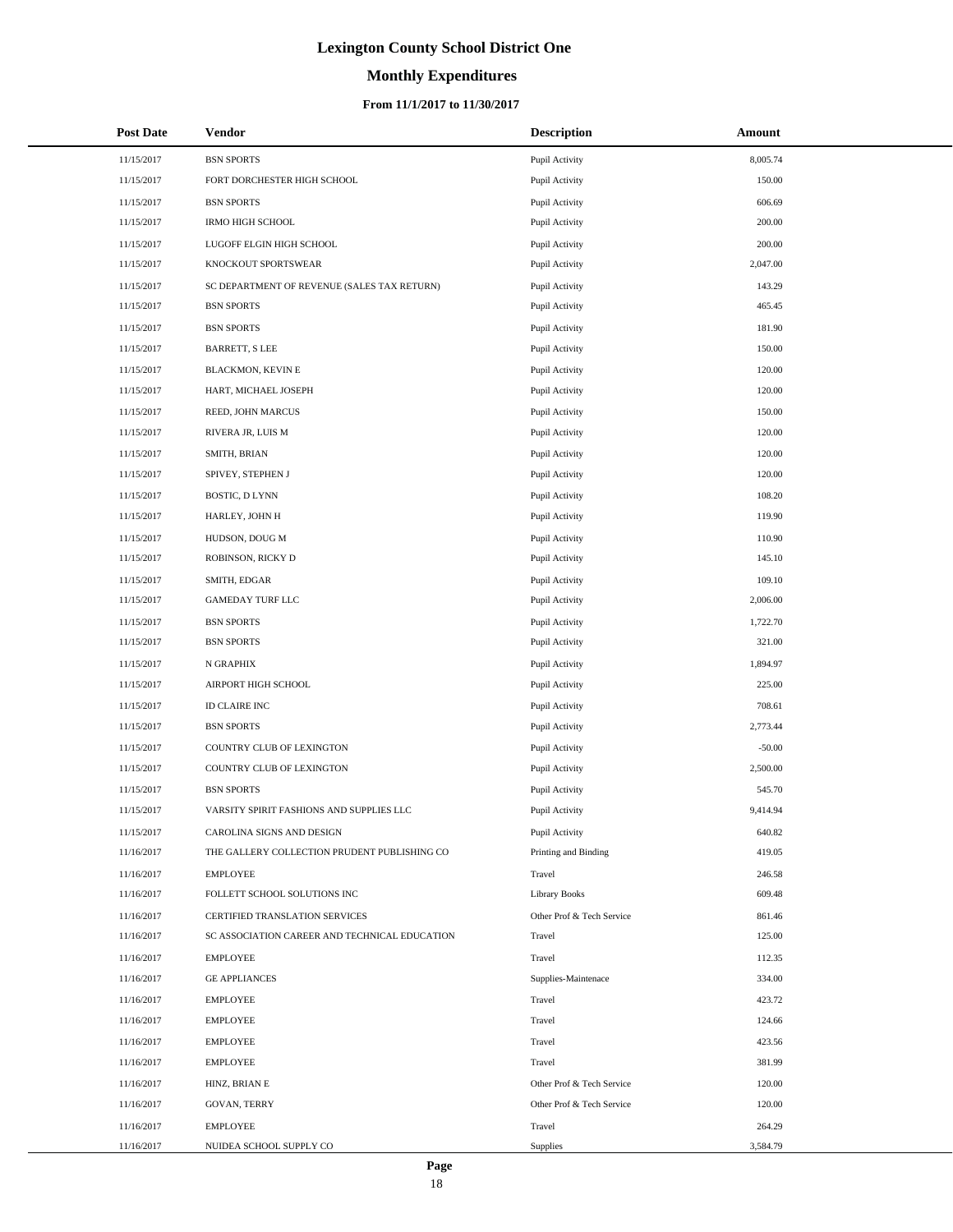# **Monthly Expenditures**

| <b>Post Date</b> | Vendor                                        | <b>Description</b>        | Amount   |
|------------------|-----------------------------------------------|---------------------------|----------|
| 11/15/2017       | <b>BSN SPORTS</b>                             | Pupil Activity            | 8,005.74 |
| 11/15/2017       | FORT DORCHESTER HIGH SCHOOL                   | Pupil Activity            | 150.00   |
| 11/15/2017       | <b>BSN SPORTS</b>                             | Pupil Activity            | 606.69   |
| 11/15/2017       | <b>IRMO HIGH SCHOOL</b>                       | Pupil Activity            | 200.00   |
| 11/15/2017       | LUGOFF ELGIN HIGH SCHOOL                      | Pupil Activity            | 200.00   |
| 11/15/2017       | KNOCKOUT SPORTSWEAR                           | Pupil Activity            | 2,047.00 |
| 11/15/2017       | SC DEPARTMENT OF REVENUE (SALES TAX RETURN)   | Pupil Activity            | 143.29   |
| 11/15/2017       | <b>BSN SPORTS</b>                             | Pupil Activity            | 465.45   |
| 11/15/2017       | <b>BSN SPORTS</b>                             | Pupil Activity            | 181.90   |
| 11/15/2017       | BARRETT, S LEE                                | Pupil Activity            | 150.00   |
| 11/15/2017       | BLACKMON, KEVIN E                             | Pupil Activity            | 120.00   |
| 11/15/2017       | HART, MICHAEL JOSEPH                          | Pupil Activity            | 120.00   |
| 11/15/2017       | REED, JOHN MARCUS                             | Pupil Activity            | 150.00   |
| 11/15/2017       | RIVERA JR, LUIS M                             | Pupil Activity            | 120.00   |
| 11/15/2017       | SMITH, BRIAN                                  | Pupil Activity            | 120.00   |
| 11/15/2017       | SPIVEY, STEPHEN J                             | Pupil Activity            | 120.00   |
| 11/15/2017       | BOSTIC, D LYNN                                | Pupil Activity            | 108.20   |
| 11/15/2017       | HARLEY, JOHN H                                | Pupil Activity            | 119.90   |
| 11/15/2017       | HUDSON, DOUG M                                | Pupil Activity            | 110.90   |
| 11/15/2017       | ROBINSON, RICKY D                             | Pupil Activity            | 145.10   |
| 11/15/2017       | SMITH, EDGAR                                  | Pupil Activity            | 109.10   |
| 11/15/2017       | <b>GAMEDAY TURF LLC</b>                       | Pupil Activity            | 2,006.00 |
| 11/15/2017       | <b>BSN SPORTS</b>                             | Pupil Activity            | 1,722.70 |
| 11/15/2017       | <b>BSN SPORTS</b>                             | Pupil Activity            | 321.00   |
| 11/15/2017       | N GRAPHIX                                     | Pupil Activity            | 1,894.97 |
| 11/15/2017       | AIRPORT HIGH SCHOOL                           | Pupil Activity            | 225.00   |
| 11/15/2017       | <b>ID CLAIRE INC</b>                          | Pupil Activity            | 708.61   |
| 11/15/2017       | <b>BSN SPORTS</b>                             | Pupil Activity            | 2,773.44 |
| 11/15/2017       | COUNTRY CLUB OF LEXINGTON                     | Pupil Activity            | $-50.00$ |
| 11/15/2017       | COUNTRY CLUB OF LEXINGTON                     | Pupil Activity            | 2,500.00 |
| 11/15/2017       | <b>BSN SPORTS</b>                             | Pupil Activity            | 545.70   |
| 11/15/2017       | VARSITY SPIRIT FASHIONS AND SUPPLIES LLC      | Pupil Activity            | 9,414.94 |
| 11/15/2017       | CAROLINA SIGNS AND DESIGN                     | Pupil Activity            | 640.82   |
| 11/16/2017       | THE GALLERY COLLECTION PRUDENT PUBLISHING CO  | Printing and Binding      | 419.05   |
| 11/16/2017       | <b>EMPLOYEE</b>                               | Travel                    | 246.58   |
| 11/16/2017       | FOLLETT SCHOOL SOLUTIONS INC                  | <b>Library Books</b>      | 609.48   |
| 11/16/2017       | CERTIFIED TRANSLATION SERVICES                | Other Prof & Tech Service | 861.46   |
| 11/16/2017       | SC ASSOCIATION CAREER AND TECHNICAL EDUCATION | Travel                    | 125.00   |
| 11/16/2017       | <b>EMPLOYEE</b>                               | Travel                    | 112.35   |
| 11/16/2017       | <b>GE APPLIANCES</b>                          | Supplies-Maintenace       | 334.00   |
| 11/16/2017       | <b>EMPLOYEE</b>                               | Travel                    | 423.72   |
| 11/16/2017       | <b>EMPLOYEE</b>                               | Travel                    | 124.66   |
| 11/16/2017       | <b>EMPLOYEE</b>                               | Travel                    | 423.56   |
| 11/16/2017       | <b>EMPLOYEE</b>                               | Travel                    | 381.99   |
| 11/16/2017       | HINZ, BRIAN E                                 | Other Prof & Tech Service | 120.00   |
| 11/16/2017       | <b>GOVAN, TERRY</b>                           | Other Prof & Tech Service | 120.00   |
| 11/16/2017       | <b>EMPLOYEE</b>                               | Travel                    | 264.29   |
| 11/16/2017       | NUIDEA SCHOOL SUPPLY CO                       | Supplies                  | 3,584.79 |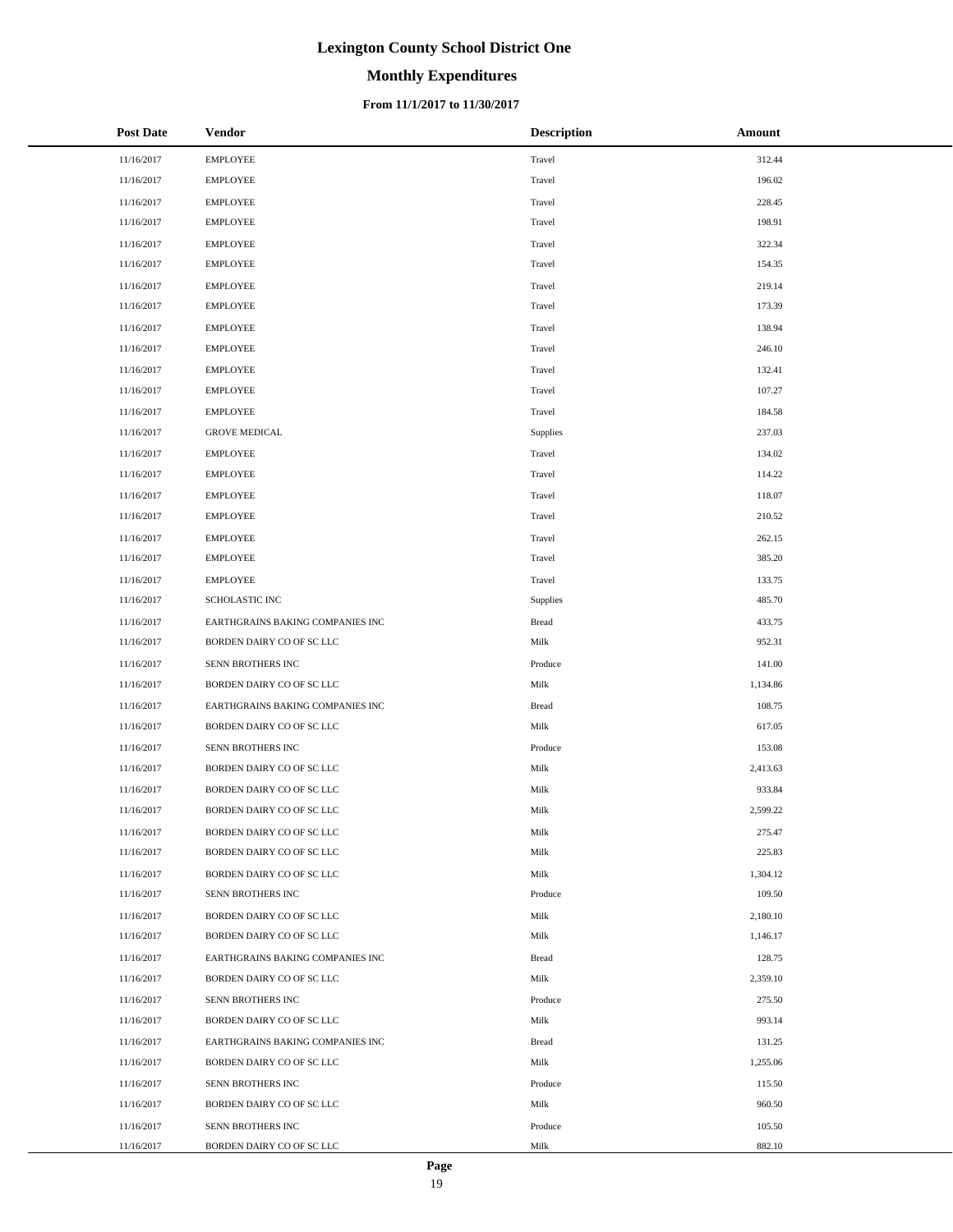# **Monthly Expenditures**

### **From 11/1/2017 to 11/30/2017**

| <b>Post Date</b> | <b>Vendor</b>                    | <b>Description</b> | Amount   |
|------------------|----------------------------------|--------------------|----------|
| 11/16/2017       | <b>EMPLOYEE</b>                  | Travel             | 312.44   |
| 11/16/2017       | <b>EMPLOYEE</b>                  | Travel             | 196.02   |
| 11/16/2017       | <b>EMPLOYEE</b>                  | Travel             | 228.45   |
| 11/16/2017       | <b>EMPLOYEE</b>                  | Travel             | 198.91   |
| 11/16/2017       | <b>EMPLOYEE</b>                  | Travel             | 322.34   |
| 11/16/2017       | <b>EMPLOYEE</b>                  | Travel             | 154.35   |
| 11/16/2017       | <b>EMPLOYEE</b>                  | Travel             | 219.14   |
| 11/16/2017       | <b>EMPLOYEE</b>                  | Travel             | 173.39   |
| 11/16/2017       | <b>EMPLOYEE</b>                  | Travel             | 138.94   |
| 11/16/2017       | <b>EMPLOYEE</b>                  | Travel             | 246.10   |
| 11/16/2017       | <b>EMPLOYEE</b>                  | Travel             | 132.41   |
| 11/16/2017       | <b>EMPLOYEE</b>                  | Travel             | 107.27   |
| 11/16/2017       | <b>EMPLOYEE</b>                  | Travel             | 184.58   |
| 11/16/2017       | <b>GROVE MEDICAL</b>             | Supplies           | 237.03   |
| 11/16/2017       | <b>EMPLOYEE</b>                  | Travel             | 134.02   |
| 11/16/2017       | <b>EMPLOYEE</b>                  | Travel             | 114.22   |
| 11/16/2017       | <b>EMPLOYEE</b>                  | Travel             | 118.07   |
| 11/16/2017       | <b>EMPLOYEE</b>                  | Travel             | 210.52   |
| 11/16/2017       | <b>EMPLOYEE</b>                  | Travel             | 262.15   |
| 11/16/2017       | <b>EMPLOYEE</b>                  | Travel             | 385.20   |
| 11/16/2017       | <b>EMPLOYEE</b>                  | Travel             | 133.75   |
| 11/16/2017       | SCHOLASTIC INC                   | Supplies           | 485.70   |
| 11/16/2017       | EARTHGRAINS BAKING COMPANIES INC | <b>Bread</b>       | 433.75   |
| 11/16/2017       | BORDEN DAIRY CO OF SC LLC        | Milk               | 952.31   |
| 11/16/2017       | SENN BROTHERS INC                | Produce            | 141.00   |
| 11/16/2017       | BORDEN DAIRY CO OF SC LLC        | Milk               | 1,134.86 |
| 11/16/2017       | EARTHGRAINS BAKING COMPANIES INC | <b>Bread</b>       | 108.75   |
| 11/16/2017       | BORDEN DAIRY CO OF SC LLC        | Milk               | 617.05   |
| 11/16/2017       | SENN BROTHERS INC                | Produce            | 153.08   |
| 11/16/2017       | BORDEN DAIRY CO OF SC LLC        | Milk               | 2,413.63 |
| 11/16/2017       | BORDEN DAIRY CO OF SC LLC        | Milk               | 933.84   |
| 11/16/2017       | BORDEN DAIRY CO OF SC LLC        | Milk               | 2,599.22 |
| 11/16/2017       | BORDEN DAIRY CO OF SC LLC        | Milk               | 275.47   |
| 11/16/2017       | BORDEN DAIRY CO OF SC LLC        | Milk               | 225.83   |
| 11/16/2017       | BORDEN DAIRY CO OF SC LLC        | Milk               | 1,304.12 |
| 11/16/2017       | SENN BROTHERS INC                | Produce            | 109.50   |
| 11/16/2017       | BORDEN DAIRY CO OF SC LLC        | Milk               | 2,180.10 |
| 11/16/2017       | BORDEN DAIRY CO OF SC LLC        | Milk               | 1,146.17 |
| 11/16/2017       | EARTHGRAINS BAKING COMPANIES INC | <b>Bread</b>       | 128.75   |
| 11/16/2017       | BORDEN DAIRY CO OF SC LLC        | Milk               | 2,359.10 |
| 11/16/2017       | SENN BROTHERS INC                | Produce            | 275.50   |
| 11/16/2017       | BORDEN DAIRY CO OF SC LLC        | Milk               | 993.14   |
| 11/16/2017       | EARTHGRAINS BAKING COMPANIES INC | <b>Bread</b>       | 131.25   |
| 11/16/2017       | BORDEN DAIRY CO OF SC LLC        | Milk               | 1,255.06 |
| 11/16/2017       | SENN BROTHERS INC                | Produce            | 115.50   |
| 11/16/2017       | BORDEN DAIRY CO OF SC LLC        | Milk               | 960.50   |
| 11/16/2017       | SENN BROTHERS INC                | Produce            | 105.50   |
| 11/16/2017       | BORDEN DAIRY CO OF SC LLC        | Milk               | 882.10   |

 $\overline{a}$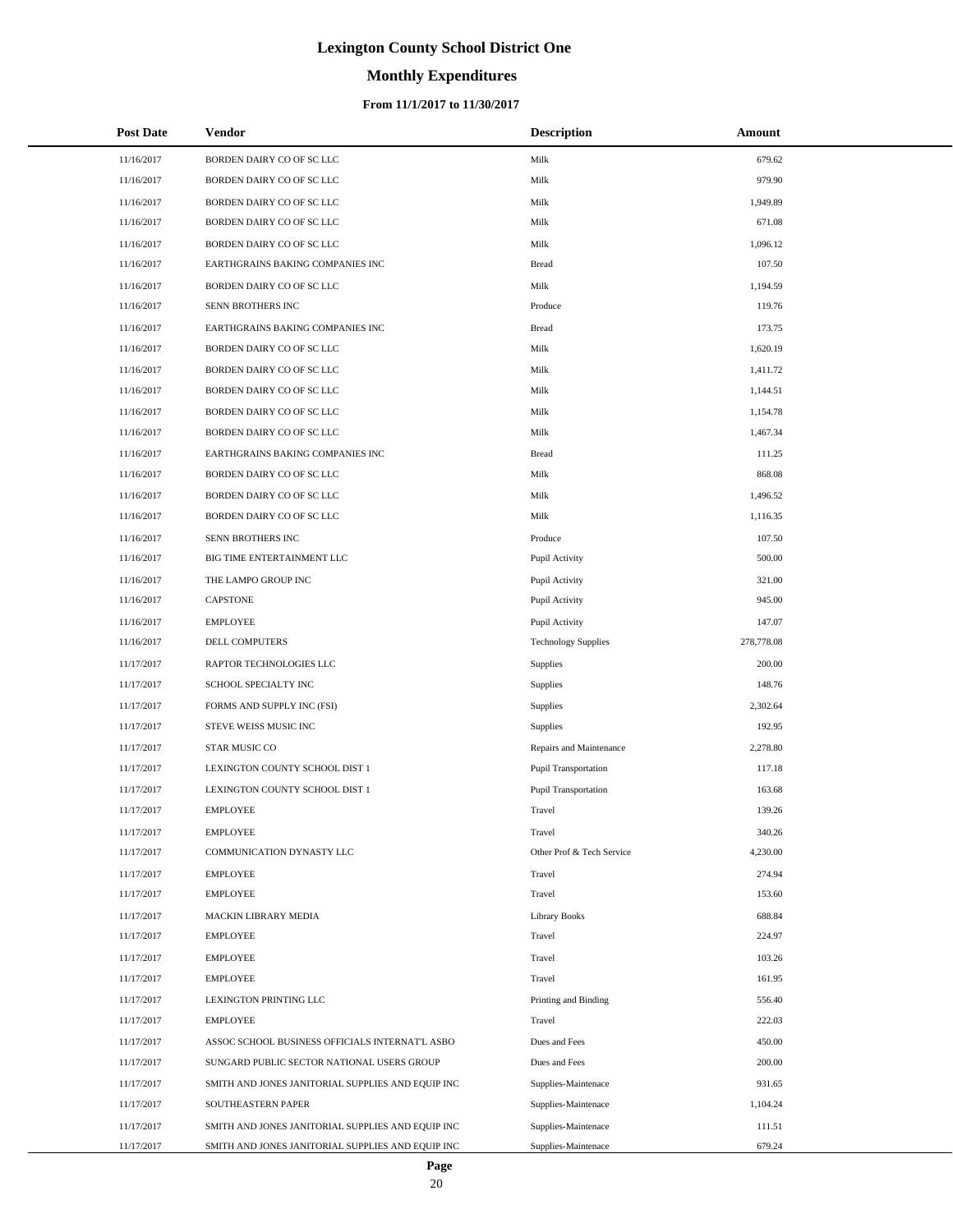# **Monthly Expenditures**

| <b>Post Date</b> | Vendor                                            | <b>Description</b>          | Amount     |
|------------------|---------------------------------------------------|-----------------------------|------------|
| 11/16/2017       | BORDEN DAIRY CO OF SC LLC                         | Milk                        | 679.62     |
| 11/16/2017       | BORDEN DAIRY CO OF SC LLC                         | Milk                        | 979.90     |
| 11/16/2017       | BORDEN DAIRY CO OF SC LLC                         | Milk                        | 1,949.89   |
| 11/16/2017       | BORDEN DAIRY CO OF SC LLC                         | Milk                        | 671.08     |
| 11/16/2017       | BORDEN DAIRY CO OF SC LLC                         | Milk                        | 1,096.12   |
| 11/16/2017       | EARTHGRAINS BAKING COMPANIES INC                  | <b>Bread</b>                | 107.50     |
| 11/16/2017       | BORDEN DAIRY CO OF SC LLC                         | Milk                        | 1,194.59   |
| 11/16/2017       | SENN BROTHERS INC                                 | Produce                     | 119.76     |
| 11/16/2017       | EARTHGRAINS BAKING COMPANIES INC                  | <b>Bread</b>                | 173.75     |
| 11/16/2017       | BORDEN DAIRY CO OF SC LLC                         | Milk                        | 1,620.19   |
| 11/16/2017       | BORDEN DAIRY CO OF SC LLC                         | Milk                        | 1,411.72   |
| 11/16/2017       | BORDEN DAIRY CO OF SC LLC                         | Milk                        | 1,144.51   |
| 11/16/2017       | BORDEN DAIRY CO OF SC LLC                         | Milk                        | 1,154.78   |
| 11/16/2017       | BORDEN DAIRY CO OF SC LLC                         | Milk                        | 1,467.34   |
| 11/16/2017       | EARTHGRAINS BAKING COMPANIES INC                  | <b>Bread</b>                | 111.25     |
| 11/16/2017       | BORDEN DAIRY CO OF SC LLC                         | Milk                        | 868.08     |
| 11/16/2017       | BORDEN DAIRY CO OF SC LLC                         | Milk                        | 1,496.52   |
| 11/16/2017       | BORDEN DAIRY CO OF SC LLC                         | Milk                        | 1,116.35   |
| 11/16/2017       | SENN BROTHERS INC                                 | Produce                     | 107.50     |
| 11/16/2017       | BIG TIME ENTERTAINMENT LLC                        | Pupil Activity              | 500.00     |
| 11/16/2017       | THE LAMPO GROUP INC                               | Pupil Activity              | 321.00     |
| 11/16/2017       | <b>CAPSTONE</b>                                   | Pupil Activity              | 945.00     |
| 11/16/2017       | <b>EMPLOYEE</b>                                   | Pupil Activity              | 147.07     |
| 11/16/2017       | DELL COMPUTERS                                    | <b>Technology Supplies</b>  | 278,778.08 |
| 11/17/2017       | RAPTOR TECHNOLOGIES LLC                           | <b>Supplies</b>             | 200.00     |
| 11/17/2017       | SCHOOL SPECIALTY INC                              | Supplies                    | 148.76     |
| 11/17/2017       | FORMS AND SUPPLY INC (FSI)                        | Supplies                    | 2,302.64   |
| 11/17/2017       | STEVE WEISS MUSIC INC                             | Supplies                    | 192.95     |
| 11/17/2017       | STAR MUSIC CO                                     | Repairs and Maintenance     | 2,278.80   |
| 11/17/2017       | LEXINGTON COUNTY SCHOOL DIST 1                    | Pupil Transportation        | 117.18     |
| 11/17/2017       | LEXINGTON COUNTY SCHOOL DIST 1                    | <b>Pupil Transportation</b> | 163.68     |
| 11/17/2017       | <b>EMPLOYEE</b>                                   | Travel                      | 139.26     |
| 11/17/2017       | <b>EMPLOYEE</b>                                   | Travel                      | 340.26     |
| 11/17/2017       | COMMUNICATION DYNASTY LLC                         | Other Prof & Tech Service   | 4,230.00   |
| 11/17/2017       | <b>EMPLOYEE</b>                                   | Travel                      | 274.94     |
| 11/17/2017       | <b>EMPLOYEE</b>                                   | Travel                      | 153.60     |
| 11/17/2017       | MACKIN LIBRARY MEDIA                              | <b>Library Books</b>        | 688.84     |
| 11/17/2017       | EMPLOYEE                                          | Travel                      | 224.97     |
| 11/17/2017       | <b>EMPLOYEE</b>                                   | Travel                      | 103.26     |
| 11/17/2017       | <b>EMPLOYEE</b>                                   | Travel                      | 161.95     |
| 11/17/2017       | LEXINGTON PRINTING LLC                            | Printing and Binding        | 556.40     |
| 11/17/2017       | EMPLOYEE                                          | Travel                      | 222.03     |
| 11/17/2017       | ASSOC SCHOOL BUSINESS OFFICIALS INTERNAT'L ASBO   | Dues and Fees               | 450.00     |
| 11/17/2017       | SUNGARD PUBLIC SECTOR NATIONAL USERS GROUP        | Dues and Fees               | 200.00     |
| 11/17/2017       | SMITH AND JONES JANITORIAL SUPPLIES AND EQUIP INC | Supplies-Maintenace         | 931.65     |
| 11/17/2017       | SOUTHEASTERN PAPER                                | Supplies-Maintenace         | 1,104.24   |
| 11/17/2017       | SMITH AND JONES JANITORIAL SUPPLIES AND EQUIP INC | Supplies-Maintenace         | 111.51     |
| 11/17/2017       | SMITH AND JONES JANITORIAL SUPPLIES AND EQUIP INC | Supplies-Maintenace         | 679.24     |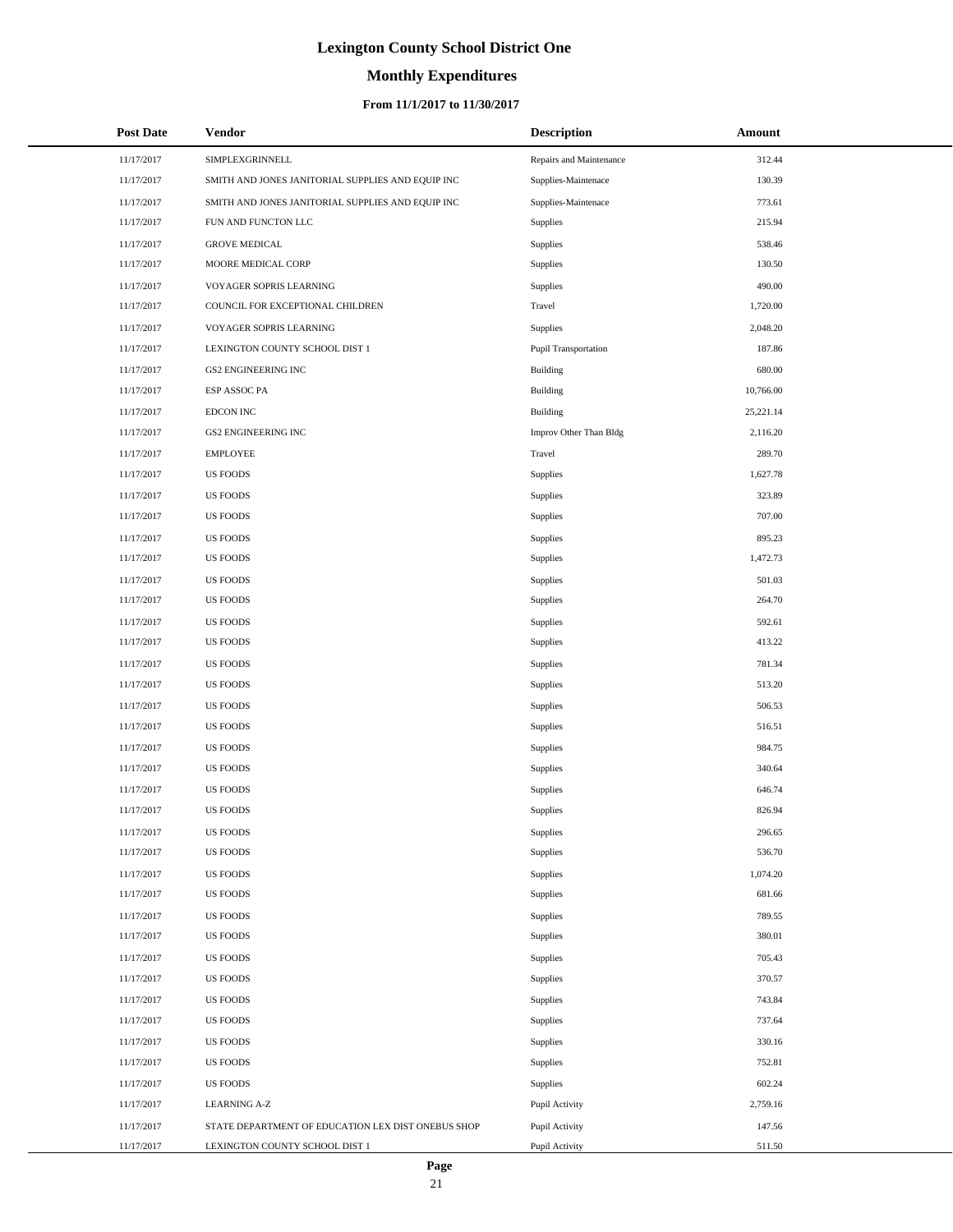# **Monthly Expenditures**

### **From 11/1/2017 to 11/30/2017**

| <b>Post Date</b> | Vendor                                             | <b>Description</b>      | Amount    |  |
|------------------|----------------------------------------------------|-------------------------|-----------|--|
| 11/17/2017       | SIMPLEXGRINNELL                                    | Repairs and Maintenance | 312.44    |  |
| 11/17/2017       | SMITH AND JONES JANITORIAL SUPPLIES AND EQUIP INC  | Supplies-Maintenace     | 130.39    |  |
| 11/17/2017       | SMITH AND JONES JANITORIAL SUPPLIES AND EQUIP INC  | Supplies-Maintenace     | 773.61    |  |
| 11/17/2017       | FUN AND FUNCTON LLC                                | Supplies                | 215.94    |  |
| 11/17/2017       | <b>GROVE MEDICAL</b>                               | Supplies                | 538.46    |  |
| 11/17/2017       | MOORE MEDICAL CORP                                 | Supplies                | 130.50    |  |
| 11/17/2017       | VOYAGER SOPRIS LEARNING                            | Supplies                | 490.00    |  |
| 11/17/2017       | COUNCIL FOR EXCEPTIONAL CHILDREN                   | Travel                  | 1,720.00  |  |
| 11/17/2017       | VOYAGER SOPRIS LEARNING                            | Supplies                | 2,048.20  |  |
| 11/17/2017       | LEXINGTON COUNTY SCHOOL DIST 1                     | Pupil Transportation    | 187.86    |  |
| 11/17/2017       | <b>GS2 ENGINEERING INC</b>                         | <b>Building</b>         | 680.00    |  |
| 11/17/2017       | ESP ASSOC PA                                       | <b>Building</b>         | 10,766.00 |  |
| 11/17/2017       | <b>EDCON INC</b>                                   | <b>Building</b>         | 25,221.14 |  |
| 11/17/2017       | <b>GS2 ENGINEERING INC</b>                         | Improv Other Than Bldg  | 2,116.20  |  |
| 11/17/2017       | <b>EMPLOYEE</b>                                    | Travel                  | 289.70    |  |
| 11/17/2017       | <b>US FOODS</b>                                    | Supplies                | 1,627.78  |  |
| 11/17/2017       | <b>US FOODS</b>                                    | Supplies                | 323.89    |  |
| 11/17/2017       | <b>US FOODS</b>                                    | Supplies                | 707.00    |  |
| 11/17/2017       | <b>US FOODS</b>                                    | Supplies                | 895.23    |  |
| 11/17/2017       | <b>US FOODS</b>                                    | Supplies                | 1,472.73  |  |
| 11/17/2017       | <b>US FOODS</b>                                    | Supplies                | 501.03    |  |
| 11/17/2017       | <b>US FOODS</b>                                    | Supplies                | 264.70    |  |
| 11/17/2017       | <b>US FOODS</b>                                    | Supplies                | 592.61    |  |
| 11/17/2017       | <b>US FOODS</b>                                    | Supplies                | 413.22    |  |
| 11/17/2017       | <b>US FOODS</b>                                    | Supplies                | 781.34    |  |
| 11/17/2017       | US FOODS                                           | Supplies                | 513.20    |  |
| 11/17/2017       | <b>US FOODS</b>                                    | Supplies                | 506.53    |  |
| 11/17/2017       | <b>US FOODS</b>                                    | Supplies                | 516.51    |  |
| 11/17/2017       | <b>US FOODS</b>                                    | Supplies                | 984.75    |  |
| 11/17/2017       | US FOODS                                           | Supplies                | 340.64    |  |
| 11/17/2017       | <b>US FOODS</b>                                    | Supplies                | 646.74    |  |
| 11/17/2017       | <b>US FOODS</b>                                    | Supplies                | 826.94    |  |
| 11/17/2017       | <b>US FOODS</b>                                    | Supplies                | 296.65    |  |
| 11/17/2017       | <b>US FOODS</b>                                    | Supplies                | 536.70    |  |
| 11/17/2017       | <b>US FOODS</b>                                    | Supplies                | 1,074.20  |  |
| 11/17/2017       | <b>US FOODS</b>                                    | Supplies                | 681.66    |  |
| 11/17/2017       | <b>US FOODS</b>                                    | Supplies                | 789.55    |  |
| 11/17/2017       | <b>US FOODS</b>                                    | Supplies                | 380.01    |  |
| 11/17/2017       | <b>US FOODS</b>                                    | Supplies                | 705.43    |  |
| 11/17/2017       | <b>US FOODS</b>                                    | Supplies                | 370.57    |  |
| 11/17/2017       | <b>US FOODS</b>                                    | Supplies                | 743.84    |  |
| 11/17/2017       | <b>US FOODS</b>                                    | Supplies                | 737.64    |  |
| 11/17/2017       | <b>US FOODS</b>                                    | Supplies                | 330.16    |  |
| 11/17/2017       | <b>US FOODS</b>                                    | Supplies                | 752.81    |  |
| 11/17/2017       | <b>US FOODS</b>                                    | Supplies                | 602.24    |  |
| 11/17/2017       | <b>LEARNING A-Z</b>                                | Pupil Activity          | 2,759.16  |  |
| 11/17/2017       | STATE DEPARTMENT OF EDUCATION LEX DIST ONEBUS SHOP | Pupil Activity          | 147.56    |  |
| 11/17/2017       | LEXINGTON COUNTY SCHOOL DIST 1                     | Pupil Activity          | 511.50    |  |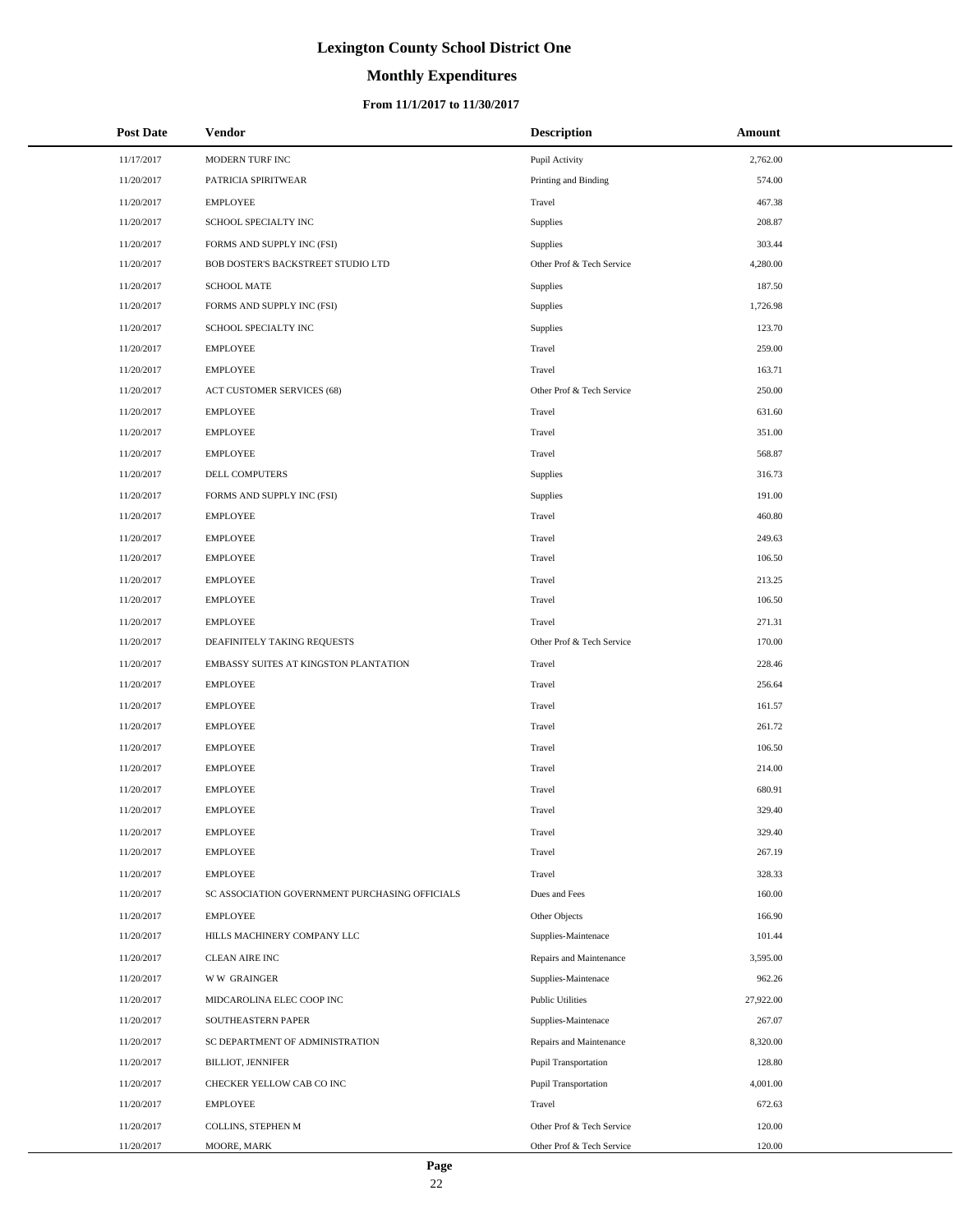# **Monthly Expenditures**

### **From 11/1/2017 to 11/30/2017**

| <b>Post Date</b> | <b>Vendor</b>                                  | <b>Description</b>        | Amount    |
|------------------|------------------------------------------------|---------------------------|-----------|
| 11/17/2017       | MODERN TURF INC                                | Pupil Activity            | 2,762.00  |
| 11/20/2017       | PATRICIA SPIRITWEAR                            | Printing and Binding      | 574.00    |
| 11/20/2017       | <b>EMPLOYEE</b>                                | Travel                    | 467.38    |
| 11/20/2017       | SCHOOL SPECIALTY INC                           | <b>Supplies</b>           | 208.87    |
| 11/20/2017       | FORMS AND SUPPLY INC (FSI)                     | Supplies                  | 303.44    |
| 11/20/2017       | BOB DOSTER'S BACKSTREET STUDIO LTD             | Other Prof & Tech Service | 4,280.00  |
| 11/20/2017       | <b>SCHOOL MATE</b>                             | Supplies                  | 187.50    |
| 11/20/2017       | FORMS AND SUPPLY INC (FSI)                     | <b>Supplies</b>           | 1,726.98  |
| 11/20/2017       | SCHOOL SPECIALTY INC                           | Supplies                  | 123.70    |
| 11/20/2017       | <b>EMPLOYEE</b>                                | Travel                    | 259.00    |
| 11/20/2017       | <b>EMPLOYEE</b>                                | Travel                    | 163.71    |
| 11/20/2017       | ACT CUSTOMER SERVICES (68)                     | Other Prof & Tech Service | 250.00    |
| 11/20/2017       | <b>EMPLOYEE</b>                                | Travel                    | 631.60    |
| 11/20/2017       | <b>EMPLOYEE</b>                                | Travel                    | 351.00    |
| 11/20/2017       | <b>EMPLOYEE</b>                                | Travel                    | 568.87    |
| 11/20/2017       | DELL COMPUTERS                                 | Supplies                  | 316.73    |
| 11/20/2017       | FORMS AND SUPPLY INC (FSI)                     | Supplies                  | 191.00    |
| 11/20/2017       | <b>EMPLOYEE</b>                                | Travel                    | 460.80    |
| 11/20/2017       | <b>EMPLOYEE</b>                                | Travel                    | 249.63    |
| 11/20/2017       | <b>EMPLOYEE</b>                                | Travel                    | 106.50    |
| 11/20/2017       | <b>EMPLOYEE</b>                                | Travel                    | 213.25    |
| 11/20/2017       | <b>EMPLOYEE</b>                                | Travel                    | 106.50    |
| 11/20/2017       | <b>EMPLOYEE</b>                                | Travel                    | 271.31    |
| 11/20/2017       | DEAFINITELY TAKING REQUESTS                    | Other Prof & Tech Service | 170.00    |
| 11/20/2017       | EMBASSY SUITES AT KINGSTON PLANTATION          | Travel                    | 228.46    |
| 11/20/2017       | <b>EMPLOYEE</b>                                | Travel                    | 256.64    |
| 11/20/2017       | <b>EMPLOYEE</b>                                | Travel                    | 161.57    |
| 11/20/2017       | <b>EMPLOYEE</b>                                | Travel                    | 261.72    |
| 11/20/2017       | <b>EMPLOYEE</b>                                | Travel                    | 106.50    |
| 11/20/2017       | <b>EMPLOYEE</b>                                | Travel                    | 214.00    |
| 11/20/2017       | <b>EMPLOYEE</b>                                | Travel                    | 680.91    |
| 11/20/2017       | <b>EMPLOYEE</b>                                | Travel                    | 329.40    |
| 11/20/2017       | <b>EMPLOYEE</b>                                | Travel                    | 329.40    |
| 11/20/2017       | <b>EMPLOYEE</b>                                | Travel                    | 267.19    |
| 11/20/2017       | <b>EMPLOYEE</b>                                | Travel                    | 328.33    |
| 11/20/2017       | SC ASSOCIATION GOVERNMENT PURCHASING OFFICIALS | Dues and Fees             | 160.00    |
| 11/20/2017       | <b>EMPLOYEE</b>                                | Other Objects             | 166.90    |
| 11/20/2017       | HILLS MACHINERY COMPANY LLC                    | Supplies-Maintenace       | 101.44    |
| 11/20/2017       | CLEAN AIRE INC                                 | Repairs and Maintenance   | 3,595.00  |
| 11/20/2017       | <b>WW GRAINGER</b>                             | Supplies-Maintenace       | 962.26    |
| 11/20/2017       | MIDCAROLINA ELEC COOP INC                      | <b>Public Utilities</b>   | 27,922.00 |
| 11/20/2017       | SOUTHEASTERN PAPER                             | Supplies-Maintenace       | 267.07    |
| 11/20/2017       | SC DEPARTMENT OF ADMINISTRATION                | Repairs and Maintenance   | 8,320.00  |
| 11/20/2017       | <b>BILLIOT, JENNIFER</b>                       | Pupil Transportation      | 128.80    |
| 11/20/2017       | CHECKER YELLOW CAB CO INC                      | Pupil Transportation      | 4,001.00  |
| 11/20/2017       | <b>EMPLOYEE</b>                                | Travel                    | 672.63    |
| 11/20/2017       | COLLINS, STEPHEN M                             | Other Prof & Tech Service | 120.00    |
| 11/20/2017       | MOORE, MARK                                    | Other Prof & Tech Service | 120.00    |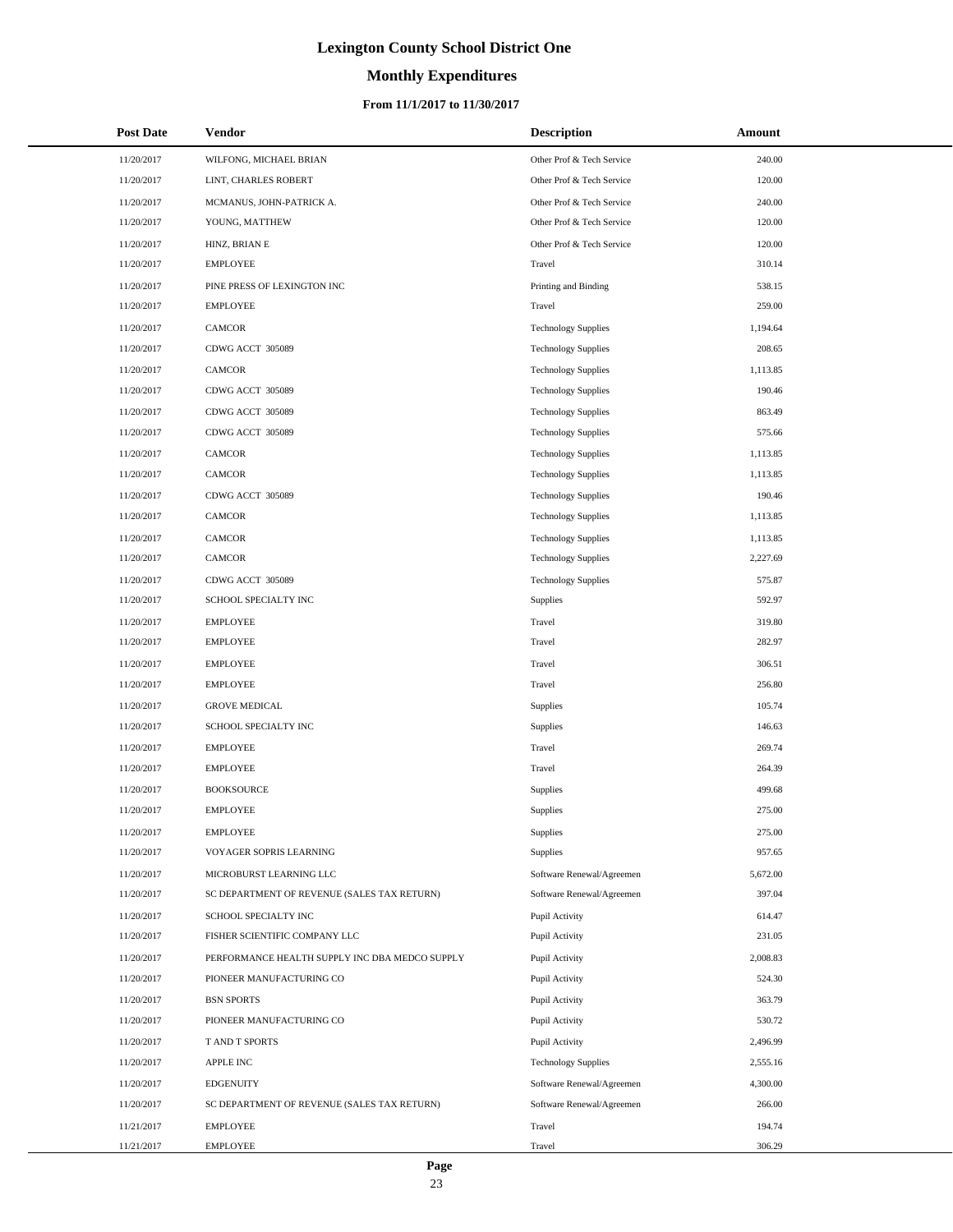# **Monthly Expenditures**

| <b>Post Date</b> | Vendor                                         | <b>Description</b>         | Amount   |
|------------------|------------------------------------------------|----------------------------|----------|
| 11/20/2017       | WILFONG, MICHAEL BRIAN                         | Other Prof & Tech Service  | 240.00   |
| 11/20/2017       | LINT, CHARLES ROBERT                           | Other Prof & Tech Service  | 120.00   |
| 11/20/2017       | MCMANUS, JOHN-PATRICK A.                       | Other Prof & Tech Service  | 240.00   |
| 11/20/2017       | YOUNG, MATTHEW                                 | Other Prof & Tech Service  | 120.00   |
| 11/20/2017       | HINZ, BRIAN E                                  | Other Prof & Tech Service  | 120.00   |
| 11/20/2017       | <b>EMPLOYEE</b>                                | Travel                     | 310.14   |
| 11/20/2017       | PINE PRESS OF LEXINGTON INC                    | Printing and Binding       | 538.15   |
| 11/20/2017       | <b>EMPLOYEE</b>                                | Travel                     | 259.00   |
| 11/20/2017       | <b>CAMCOR</b>                                  | <b>Technology Supplies</b> | 1,194.64 |
| 11/20/2017       | CDWG ACCT 305089                               | <b>Technology Supplies</b> | 208.65   |
| 11/20/2017       | CAMCOR                                         | <b>Technology Supplies</b> | 1,113.85 |
| 11/20/2017       | CDWG ACCT 305089                               | <b>Technology Supplies</b> | 190.46   |
| 11/20/2017       | CDWG ACCT 305089                               | <b>Technology Supplies</b> | 863.49   |
| 11/20/2017       | CDWG ACCT 305089                               | <b>Technology Supplies</b> | 575.66   |
| 11/20/2017       | <b>CAMCOR</b>                                  | <b>Technology Supplies</b> | 1,113.85 |
| 11/20/2017       | CAMCOR                                         | <b>Technology Supplies</b> | 1,113.85 |
| 11/20/2017       | CDWG ACCT 305089                               | <b>Technology Supplies</b> | 190.46   |
| 11/20/2017       | CAMCOR                                         | <b>Technology Supplies</b> | 1,113.85 |
| 11/20/2017       | CAMCOR                                         | <b>Technology Supplies</b> | 1,113.85 |
| 11/20/2017       | <b>CAMCOR</b>                                  | <b>Technology Supplies</b> | 2,227.69 |
| 11/20/2017       | CDWG ACCT 305089                               | <b>Technology Supplies</b> | 575.87   |
| 11/20/2017       | SCHOOL SPECIALTY INC                           | Supplies                   | 592.97   |
| 11/20/2017       | <b>EMPLOYEE</b>                                | Travel                     | 319.80   |
| 11/20/2017       | <b>EMPLOYEE</b>                                | Travel                     | 282.97   |
| 11/20/2017       | <b>EMPLOYEE</b>                                | Travel                     | 306.51   |
| 11/20/2017       | <b>EMPLOYEE</b>                                | Travel                     | 256.80   |
| 11/20/2017       | <b>GROVE MEDICAL</b>                           | Supplies                   | 105.74   |
| 11/20/2017       | SCHOOL SPECIALTY INC                           | Supplies                   | 146.63   |
| 11/20/2017       | <b>EMPLOYEE</b>                                | Travel                     | 269.74   |
| 11/20/2017       | EMPLOYEE                                       | Travel                     | 264.39   |
| 11/20/2017       | <b>BOOKSOURCE</b>                              | Supplies                   | 499.68   |
| 11/20/2017       | <b>EMPLOYEE</b>                                | Supplies                   | 275.00   |
| 11/20/2017       | <b>EMPLOYEE</b>                                | Supplies                   | 275.00   |
| 11/20/2017       | VOYAGER SOPRIS LEARNING                        | Supplies                   | 957.65   |
| 11/20/2017       | MICROBURST LEARNING LLC                        | Software Renewal/Agreemen  | 5,672.00 |
| 11/20/2017       | SC DEPARTMENT OF REVENUE (SALES TAX RETURN)    | Software Renewal/Agreemen  | 397.04   |
| 11/20/2017       | SCHOOL SPECIALTY INC                           | Pupil Activity             | 614.47   |
| 11/20/2017       | FISHER SCIENTIFIC COMPANY LLC                  | Pupil Activity             | 231.05   |
| 11/20/2017       | PERFORMANCE HEALTH SUPPLY INC DBA MEDCO SUPPLY | Pupil Activity             | 2,008.83 |
| 11/20/2017       | PIONEER MANUFACTURING CO                       | Pupil Activity             | 524.30   |
| 11/20/2017       | <b>BSN SPORTS</b>                              | Pupil Activity             | 363.79   |
| 11/20/2017       | PIONEER MANUFACTURING CO                       | Pupil Activity             | 530.72   |
| 11/20/2017       | T AND T SPORTS                                 | Pupil Activity             | 2,496.99 |
| 11/20/2017       | APPLE INC                                      | <b>Technology Supplies</b> | 2,555.16 |
| 11/20/2017       | <b>EDGENUITY</b>                               | Software Renewal/Agreemen  | 4,300.00 |
| 11/20/2017       | SC DEPARTMENT OF REVENUE (SALES TAX RETURN)    | Software Renewal/Agreemen  | 266.00   |
| 11/21/2017       | <b>EMPLOYEE</b>                                | Travel                     | 194.74   |
| 11/21/2017       | <b>EMPLOYEE</b>                                | Travel                     | 306.29   |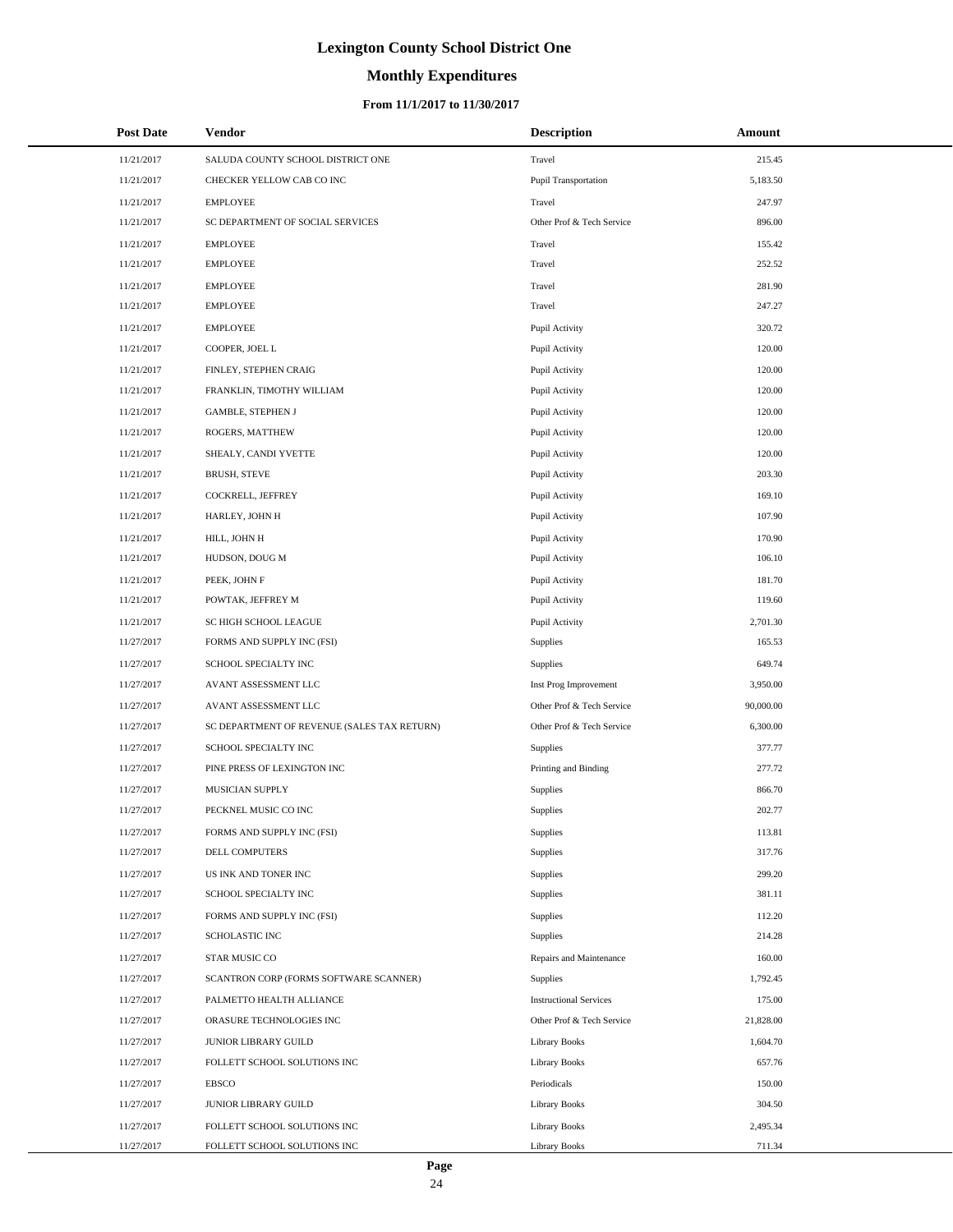# **Monthly Expenditures**

### **From 11/1/2017 to 11/30/2017**

| <b>Post Date</b> | <b>Vendor</b>                               | <b>Description</b>            | Amount    |
|------------------|---------------------------------------------|-------------------------------|-----------|
| 11/21/2017       | SALUDA COUNTY SCHOOL DISTRICT ONE           | Travel                        | 215.45    |
| 11/21/2017       | CHECKER YELLOW CAB CO INC                   | Pupil Transportation          | 5,183.50  |
| 11/21/2017       | <b>EMPLOYEE</b>                             | Travel                        | 247.97    |
| 11/21/2017       | SC DEPARTMENT OF SOCIAL SERVICES            | Other Prof & Tech Service     | 896.00    |
| 11/21/2017       | <b>EMPLOYEE</b>                             | Travel                        | 155.42    |
| 11/21/2017       | <b>EMPLOYEE</b>                             | Travel                        | 252.52    |
| 11/21/2017       | <b>EMPLOYEE</b>                             | Travel                        | 281.90    |
| 11/21/2017       | <b>EMPLOYEE</b>                             | Travel                        | 247.27    |
| 11/21/2017       | <b>EMPLOYEE</b>                             | Pupil Activity                | 320.72    |
| 11/21/2017       | COOPER, JOEL L                              | Pupil Activity                | 120.00    |
| 11/21/2017       | FINLEY, STEPHEN CRAIG                       | Pupil Activity                | 120.00    |
| 11/21/2017       | FRANKLIN, TIMOTHY WILLIAM                   | Pupil Activity                | 120.00    |
| 11/21/2017       | <b>GAMBLE, STEPHEN J</b>                    | Pupil Activity                | 120.00    |
| 11/21/2017       | ROGERS, MATTHEW                             | Pupil Activity                | 120.00    |
| 11/21/2017       | SHEALY, CANDI YVETTE                        | Pupil Activity                | 120.00    |
| 11/21/2017       | <b>BRUSH, STEVE</b>                         | Pupil Activity                | 203.30    |
| 11/21/2017       | COCKRELL, JEFFREY                           | Pupil Activity                | 169.10    |
| 11/21/2017       | HARLEY, JOHN H                              | Pupil Activity                | 107.90    |
| 11/21/2017       | HILL, JOHN H                                | Pupil Activity                | 170.90    |
| 11/21/2017       | HUDSON, DOUG M                              | Pupil Activity                | 106.10    |
| 11/21/2017       | PEEK, JOHN F                                | Pupil Activity                | 181.70    |
| 11/21/2017       | POWTAK, JEFFREY M                           | Pupil Activity                | 119.60    |
| 11/21/2017       | SC HIGH SCHOOL LEAGUE                       | Pupil Activity                | 2,701.30  |
| 11/27/2017       | FORMS AND SUPPLY INC (FSI)                  | Supplies                      | 165.53    |
| 11/27/2017       | SCHOOL SPECIALTY INC                        | Supplies                      | 649.74    |
| 11/27/2017       | AVANT ASSESSMENT LLC                        | Inst Prog Improvement         | 3,950.00  |
| 11/27/2017       | AVANT ASSESSMENT LLC                        | Other Prof & Tech Service     | 90,000.00 |
| 11/27/2017       | SC DEPARTMENT OF REVENUE (SALES TAX RETURN) | Other Prof & Tech Service     | 6,300.00  |
| 11/27/2017       | SCHOOL SPECIALTY INC                        | Supplies                      | 377.77    |
| 11/27/2017       | PINE PRESS OF LEXINGTON INC                 | Printing and Binding          | 277.72    |
| 11/27/2017       | MUSICIAN SUPPLY                             | Supplies                      | 866.70    |
| 11/27/2017       | PECKNEL MUSIC CO INC                        | Supplies                      | 202.77    |
| 11/27/2017       | FORMS AND SUPPLY INC (FSI)                  | Supplies                      | 113.81    |
| 11/27/2017       | <b>DELL COMPUTERS</b>                       | Supplies                      | 317.76    |
| 11/27/2017       | US INK AND TONER INC                        | Supplies                      | 299.20    |
| 11/27/2017       | SCHOOL SPECIALTY INC                        | Supplies                      | 381.11    |
| 11/27/2017       | FORMS AND SUPPLY INC (FSI)                  | Supplies                      | 112.20    |
| 11/27/2017       | <b>SCHOLASTIC INC</b>                       | Supplies                      | 214.28    |
| 11/27/2017       | STAR MUSIC CO                               | Repairs and Maintenance       | 160.00    |
| 11/27/2017       | SCANTRON CORP (FORMS SOFTWARE SCANNER)      | Supplies                      | 1,792.45  |
| 11/27/2017       | PALMETTO HEALTH ALLIANCE                    | <b>Instructional Services</b> | 175.00    |
| 11/27/2017       | ORASURE TECHNOLOGIES INC                    | Other Prof & Tech Service     | 21,828.00 |
| 11/27/2017       | JUNIOR LIBRARY GUILD                        | <b>Library Books</b>          | 1,604.70  |
| 11/27/2017       | FOLLETT SCHOOL SOLUTIONS INC                | <b>Library Books</b>          | 657.76    |
| 11/27/2017       | EBSCO                                       | Periodicals                   | 150.00    |
| 11/27/2017       | JUNIOR LIBRARY GUILD                        | <b>Library Books</b>          | 304.50    |
| 11/27/2017       | FOLLETT SCHOOL SOLUTIONS INC                | <b>Library Books</b>          | 2,495.34  |
| 11/27/2017       | FOLLETT SCHOOL SOLUTIONS INC                | Library Books                 | 711.34    |

L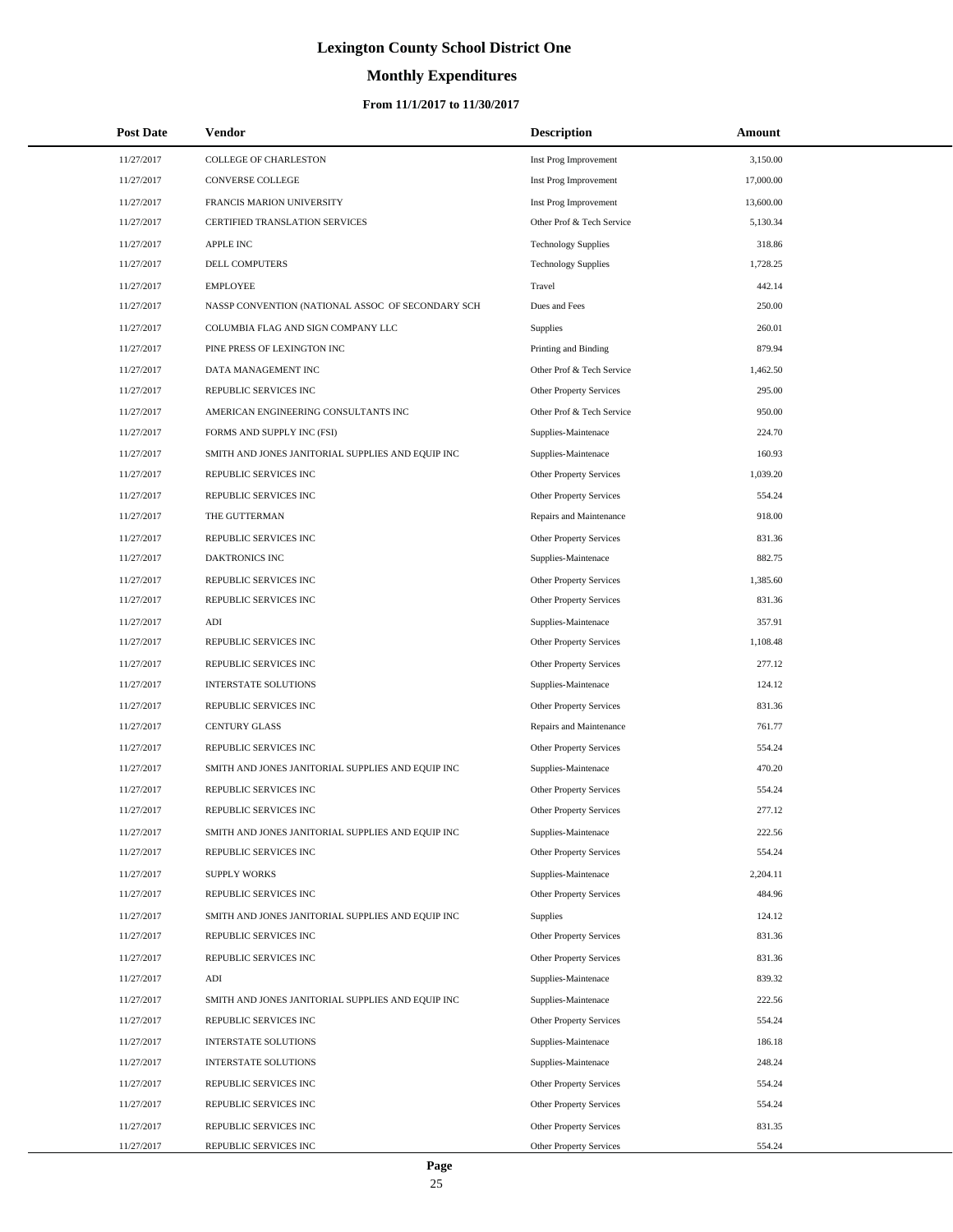# **Monthly Expenditures**

| <b>Post Date</b> | Vendor                                            | <b>Description</b>             | Amount    |
|------------------|---------------------------------------------------|--------------------------------|-----------|
| 11/27/2017       | COLLEGE OF CHARLESTON                             | Inst Prog Improvement          | 3,150.00  |
| 11/27/2017       | CONVERSE COLLEGE                                  | Inst Prog Improvement          | 17,000.00 |
| 11/27/2017       | FRANCIS MARION UNIVERSITY                         | Inst Prog Improvement          | 13,600.00 |
| 11/27/2017       | CERTIFIED TRANSLATION SERVICES                    | Other Prof & Tech Service      | 5,130.34  |
| 11/27/2017       | APPLE INC                                         | <b>Technology Supplies</b>     | 318.86    |
| 11/27/2017       | DELL COMPUTERS                                    | <b>Technology Supplies</b>     | 1,728.25  |
| 11/27/2017       | <b>EMPLOYEE</b>                                   | Travel                         | 442.14    |
| 11/27/2017       | NASSP CONVENTION (NATIONAL ASSOC OF SECONDARY SCH | Dues and Fees                  | 250.00    |
| 11/27/2017       | COLUMBIA FLAG AND SIGN COMPANY LLC                | Supplies                       | 260.01    |
| 11/27/2017       | PINE PRESS OF LEXINGTON INC                       | Printing and Binding           | 879.94    |
| 11/27/2017       | DATA MANAGEMENT INC                               | Other Prof & Tech Service      | 1,462.50  |
| 11/27/2017       | REPUBLIC SERVICES INC                             | <b>Other Property Services</b> | 295.00    |
| 11/27/2017       | AMERICAN ENGINEERING CONSULTANTS INC              | Other Prof & Tech Service      | 950.00    |
| 11/27/2017       | FORMS AND SUPPLY INC (FSI)                        | Supplies-Maintenace            | 224.70    |
| 11/27/2017       | SMITH AND JONES JANITORIAL SUPPLIES AND EQUIP INC | Supplies-Maintenace            | 160.93    |
| 11/27/2017       | REPUBLIC SERVICES INC                             | Other Property Services        | 1.039.20  |
| 11/27/2017       | REPUBLIC SERVICES INC                             | Other Property Services        | 554.24    |
| 11/27/2017       | THE GUTTERMAN                                     | Repairs and Maintenance        | 918.00    |
| 11/27/2017       | REPUBLIC SERVICES INC                             | Other Property Services        | 831.36    |
| 11/27/2017       | <b>DAKTRONICS INC</b>                             | Supplies-Maintenace            | 882.75    |
| 11/27/2017       | REPUBLIC SERVICES INC                             | Other Property Services        | 1,385.60  |
| 11/27/2017       | REPUBLIC SERVICES INC                             | Other Property Services        | 831.36    |
| 11/27/2017       | ADI                                               | Supplies-Maintenace            | 357.91    |
| 11/27/2017       | REPUBLIC SERVICES INC                             | Other Property Services        | 1,108.48  |
| 11/27/2017       | REPUBLIC SERVICES INC                             | Other Property Services        | 277.12    |
| 11/27/2017       | <b>INTERSTATE SOLUTIONS</b>                       | Supplies-Maintenace            | 124.12    |
| 11/27/2017       | REPUBLIC SERVICES INC                             | Other Property Services        | 831.36    |
| 11/27/2017       | <b>CENTURY GLASS</b>                              | Repairs and Maintenance        | 761.77    |
| 11/27/2017       | REPUBLIC SERVICES INC                             | Other Property Services        | 554.24    |
| 11/27/2017       | SMITH AND JONES JANITORIAL SUPPLIES AND EQUIP INC | Supplies-Maintenace            | 470.20    |
| 11/27/2017       | REPUBLIC SERVICES INC                             | Other Property Services        | 554.24    |
| 11/27/2017       | REPUBLIC SERVICES INC                             | Other Property Services        | 277.12    |
| 11/27/2017       | SMITH AND JONES JANITORIAL SUPPLIES AND EQUIP INC | Supplies-Maintenace            | 222.56    |
| 11/27/2017       | REPUBLIC SERVICES INC                             | Other Property Services        | 554.24    |
| 11/27/2017       | <b>SUPPLY WORKS</b>                               | Supplies-Maintenace            | 2,204.11  |
| 11/27/2017       | REPUBLIC SERVICES INC                             | Other Property Services        | 484.96    |
| 11/27/2017       | SMITH AND JONES JANITORIAL SUPPLIES AND EQUIP INC | Supplies                       | 124.12    |
| 11/27/2017       | REPUBLIC SERVICES INC                             | Other Property Services        | 831.36    |
| 11/27/2017       | REPUBLIC SERVICES INC                             | Other Property Services        | 831.36    |
| 11/27/2017       | $\mathbf{ADI}$                                    | Supplies-Maintenace            | 839.32    |
| 11/27/2017       | SMITH AND JONES JANITORIAL SUPPLIES AND EQUIP INC | Supplies-Maintenace            | 222.56    |
| 11/27/2017       | REPUBLIC SERVICES INC                             | Other Property Services        | 554.24    |
| 11/27/2017       | <b>INTERSTATE SOLUTIONS</b>                       | Supplies-Maintenace            | 186.18    |
| 11/27/2017       | INTERSTATE SOLUTIONS                              | Supplies-Maintenace            | 248.24    |
| 11/27/2017       | REPUBLIC SERVICES INC                             | Other Property Services        | 554.24    |
| 11/27/2017       | REPUBLIC SERVICES INC                             | Other Property Services        | 554.24    |
| 11/27/2017       | REPUBLIC SERVICES INC                             | Other Property Services        | 831.35    |
| 11/27/2017       | REPUBLIC SERVICES INC                             | Other Property Services        | 554.24    |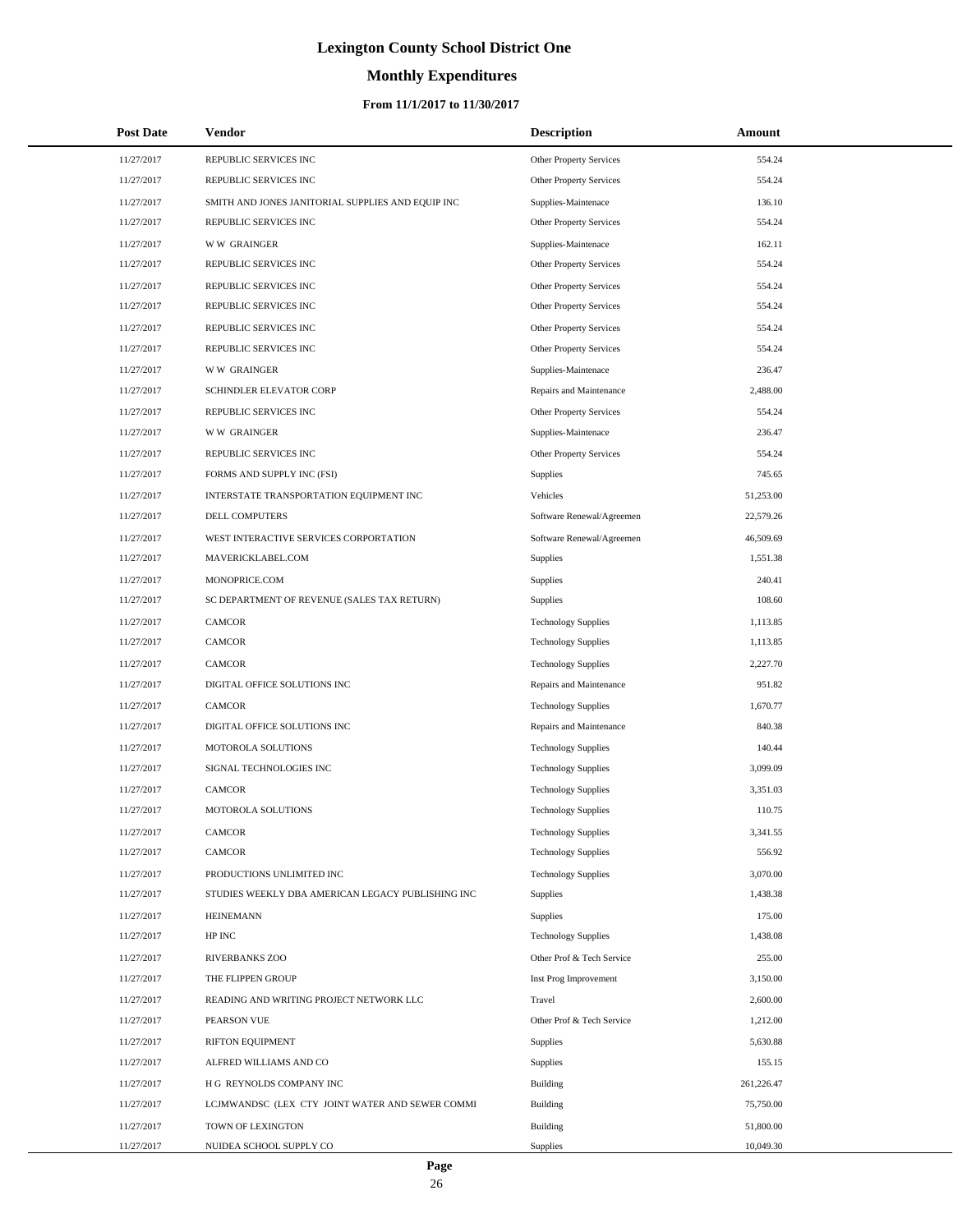# **Monthly Expenditures**

### **From 11/1/2017 to 11/30/2017**

| <b>Post Date</b> | Vendor                                            | <b>Description</b>             | Amount     |  |
|------------------|---------------------------------------------------|--------------------------------|------------|--|
| 11/27/2017       | REPUBLIC SERVICES INC                             | Other Property Services        | 554.24     |  |
| 11/27/2017       | REPUBLIC SERVICES INC                             | Other Property Services        | 554.24     |  |
| 11/27/2017       | SMITH AND JONES JANITORIAL SUPPLIES AND EQUIP INC | Supplies-Maintenace            | 136.10     |  |
| 11/27/2017       | REPUBLIC SERVICES INC                             | <b>Other Property Services</b> | 554.24     |  |
| 11/27/2017       | <b>WW GRAINGER</b>                                | Supplies-Maintenace            | 162.11     |  |
| 11/27/2017       | REPUBLIC SERVICES INC                             | Other Property Services        | 554.24     |  |
| 11/27/2017       | REPUBLIC SERVICES INC                             | Other Property Services        | 554.24     |  |
| 11/27/2017       | REPUBLIC SERVICES INC                             | Other Property Services        | 554.24     |  |
| 11/27/2017       | REPUBLIC SERVICES INC                             | Other Property Services        | 554.24     |  |
| 11/27/2017       | REPUBLIC SERVICES INC                             | Other Property Services        | 554.24     |  |
| 11/27/2017       | <b>WW GRAINGER</b>                                | Supplies-Maintenace            | 236.47     |  |
| 11/27/2017       | SCHINDLER ELEVATOR CORP                           | Repairs and Maintenance        | 2,488.00   |  |
| 11/27/2017       | REPUBLIC SERVICES INC                             | Other Property Services        | 554.24     |  |
| 11/27/2017       | <b>WW GRAINGER</b>                                | Supplies-Maintenace            | 236.47     |  |
| 11/27/2017       | REPUBLIC SERVICES INC                             | Other Property Services        | 554.24     |  |
| 11/27/2017       | FORMS AND SUPPLY INC (FSI)                        | Supplies                       | 745.65     |  |
| 11/27/2017       | INTERSTATE TRANSPORTATION EQUIPMENT INC           | Vehicles                       | 51,253.00  |  |
| 11/27/2017       | DELL COMPUTERS                                    | Software Renewal/Agreemen      | 22,579.26  |  |
| 11/27/2017       | WEST INTERACTIVE SERVICES CORPORTATION            | Software Renewal/Agreemen      | 46,509.69  |  |
| 11/27/2017       | MAVERICKLABEL.COM                                 | Supplies                       | 1,551.38   |  |
| 11/27/2017       | MONOPRICE.COM                                     | Supplies                       | 240.41     |  |
| 11/27/2017       | SC DEPARTMENT OF REVENUE (SALES TAX RETURN)       | Supplies                       | 108.60     |  |
| 11/27/2017       | <b>CAMCOR</b>                                     | <b>Technology Supplies</b>     | 1,113.85   |  |
| 11/27/2017       | <b>CAMCOR</b>                                     | <b>Technology Supplies</b>     | 1,113.85   |  |
| 11/27/2017       | <b>CAMCOR</b>                                     | <b>Technology Supplies</b>     | 2,227.70   |  |
| 11/27/2017       | DIGITAL OFFICE SOLUTIONS INC                      | Repairs and Maintenance        | 951.82     |  |
| 11/27/2017       | CAMCOR                                            | <b>Technology Supplies</b>     | 1,670.77   |  |
| 11/27/2017       | DIGITAL OFFICE SOLUTIONS INC                      | Repairs and Maintenance        | 840.38     |  |
| 11/27/2017       | MOTOROLA SOLUTIONS                                | <b>Technology Supplies</b>     | 140.44     |  |
| 11/27/2017       | SIGNAL TECHNOLOGIES INC                           | <b>Technology Supplies</b>     | 3,099.09   |  |
| 11/27/2017       | <b>CAMCOR</b>                                     | <b>Technology Supplies</b>     | 3,351.03   |  |
| 11/27/2017       | MOTOROLA SOLUTIONS                                | <b>Technology Supplies</b>     | 110.75     |  |
| 11/27/2017       | CAMCOR                                            | <b>Technology Supplies</b>     | 3,341.55   |  |
| 11/27/2017       | <b>CAMCOR</b>                                     | <b>Technology Supplies</b>     | 556.92     |  |
| 11/27/2017       | PRODUCTIONS UNLIMITED INC                         | <b>Technology Supplies</b>     | 3,070.00   |  |
| 11/27/2017       | STUDIES WEEKLY DBA AMERICAN LEGACY PUBLISHING INC | Supplies                       | 1,438.38   |  |
| 11/27/2017       | <b>HEINEMANN</b>                                  | Supplies                       | 175.00     |  |
| 11/27/2017       | HP INC                                            | <b>Technology Supplies</b>     | 1,438.08   |  |
| 11/27/2017       | RIVERBANKS ZOO                                    | Other Prof & Tech Service      | 255.00     |  |
| 11/27/2017       | THE FLIPPEN GROUP                                 | Inst Prog Improvement          | 3,150.00   |  |
| 11/27/2017       | READING AND WRITING PROJECT NETWORK LLC           | Travel                         | 2,600.00   |  |
| 11/27/2017       | PEARSON VUE                                       | Other Prof & Tech Service      | 1,212.00   |  |
| 11/27/2017       | RIFTON EQUIPMENT                                  | Supplies                       | 5,630.88   |  |
| 11/27/2017       | ALFRED WILLIAMS AND CO                            | Supplies                       | 155.15     |  |
| 11/27/2017       | H G REYNOLDS COMPANY INC                          | Building                       | 261,226.47 |  |
| 11/27/2017       | LCJMWANDSC (LEX CTY JOINT WATER AND SEWER COMMI   | Building                       | 75,750.00  |  |
| 11/27/2017       | TOWN OF LEXINGTON                                 | Building                       | 51,800.00  |  |
| 11/27/2017       | NUIDEA SCHOOL SUPPLY CO                           | Supplies                       | 10,049.30  |  |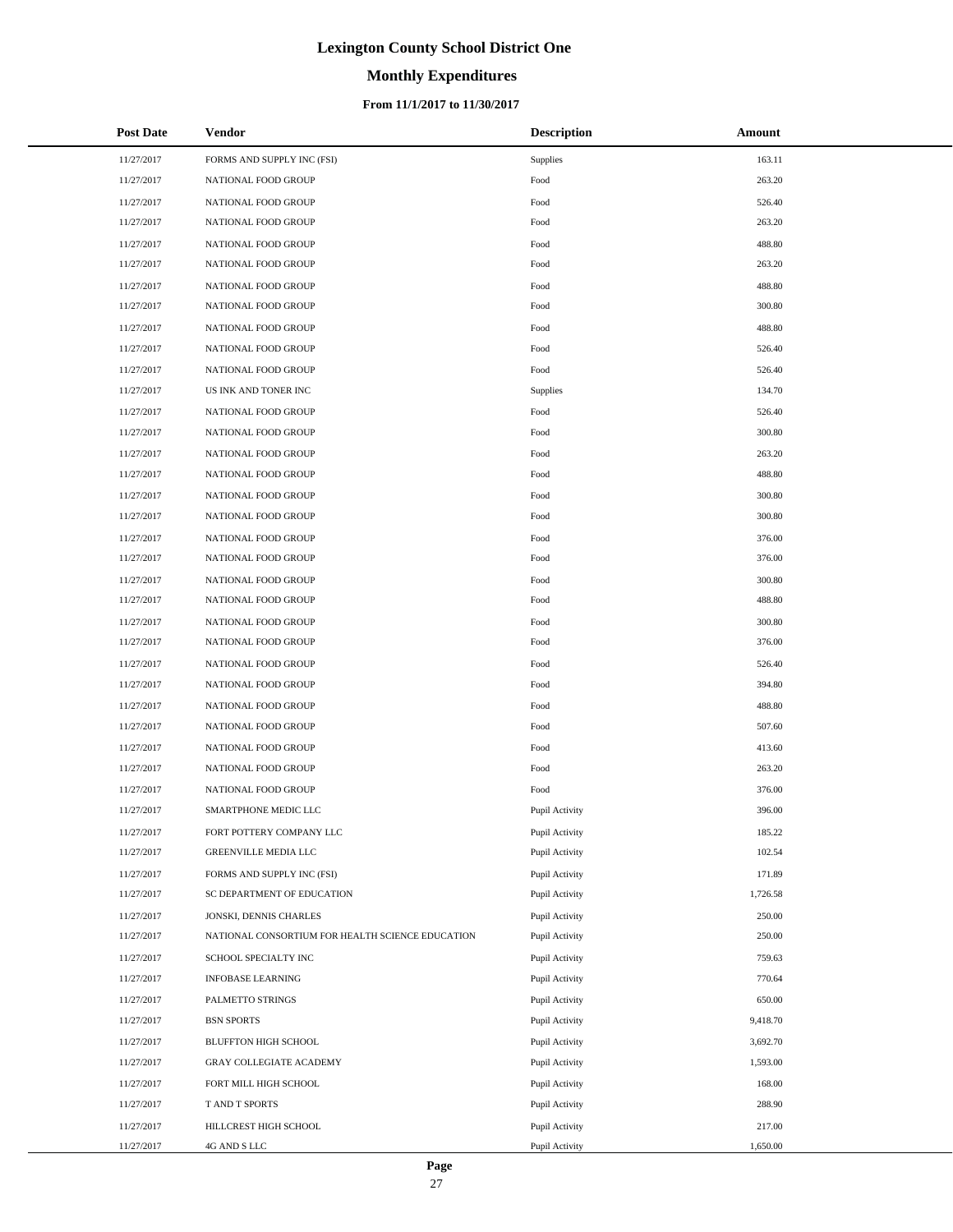# **Monthly Expenditures**

### **From 11/1/2017 to 11/30/2017**

| <b>Post Date</b> | Vendor                                           | <b>Description</b> | Amount   |
|------------------|--------------------------------------------------|--------------------|----------|
| 11/27/2017       | FORMS AND SUPPLY INC (FSI)                       | Supplies           | 163.11   |
| 11/27/2017       | NATIONAL FOOD GROUP                              | Food               | 263.20   |
| 11/27/2017       | NATIONAL FOOD GROUP                              | Food               | 526.40   |
| 11/27/2017       | NATIONAL FOOD GROUP                              | Food               | 263.20   |
| 11/27/2017       | NATIONAL FOOD GROUP                              | Food               | 488.80   |
| 11/27/2017       | NATIONAL FOOD GROUP                              | Food               | 263.20   |
| 11/27/2017       | NATIONAL FOOD GROUP                              | Food               | 488.80   |
| 11/27/2017       | NATIONAL FOOD GROUP                              | Food               | 300.80   |
| 11/27/2017       | NATIONAL FOOD GROUP                              | Food               | 488.80   |
| 11/27/2017       | NATIONAL FOOD GROUP                              | Food               | 526.40   |
| 11/27/2017       | NATIONAL FOOD GROUP                              | Food               | 526.40   |
| 11/27/2017       | US INK AND TONER INC                             | Supplies           | 134.70   |
| 11/27/2017       | NATIONAL FOOD GROUP                              | Food               | 526.40   |
| 11/27/2017       | NATIONAL FOOD GROUP                              | Food               | 300.80   |
| 11/27/2017       | NATIONAL FOOD GROUP                              | Food               | 263.20   |
| 11/27/2017       | NATIONAL FOOD GROUP                              | Food               | 488.80   |
| 11/27/2017       | NATIONAL FOOD GROUP                              | Food               | 300.80   |
| 11/27/2017       | NATIONAL FOOD GROUP                              | Food               | 300.80   |
| 11/27/2017       | NATIONAL FOOD GROUP                              | Food               | 376.00   |
| 11/27/2017       | NATIONAL FOOD GROUP                              | Food               | 376.00   |
| 11/27/2017       | NATIONAL FOOD GROUP                              | Food               | 300.80   |
| 11/27/2017       | NATIONAL FOOD GROUP                              | Food               | 488.80   |
| 11/27/2017       | NATIONAL FOOD GROUP                              | Food               | 300.80   |
| 11/27/2017       | NATIONAL FOOD GROUP                              | Food               | 376.00   |
| 11/27/2017       | NATIONAL FOOD GROUP                              | Food               | 526.40   |
| 11/27/2017       | NATIONAL FOOD GROUP                              | Food               | 394.80   |
| 11/27/2017       | NATIONAL FOOD GROUP                              | Food               | 488.80   |
| 11/27/2017       | NATIONAL FOOD GROUP                              | Food               | 507.60   |
| 11/27/2017       | NATIONAL FOOD GROUP                              | Food               | 413.60   |
| 11/27/2017       | NATIONAL FOOD GROUP                              | Food               | 263.20   |
| 11/27/2017       | NATIONAL FOOD GROUP                              | Food               | 376.00   |
| 11/27/2017       | SMARTPHONE MEDIC LLC                             | Pupil Activity     | 396.00   |
| 11/27/2017       | FORT POTTERY COMPANY LLC                         | Pupil Activity     | 185.22   |
| 11/27/2017       | GREENVILLE MEDIA LLC                             | Pupil Activity     | 102.54   |
| 11/27/2017       | FORMS AND SUPPLY INC (FSI)                       | Pupil Activity     | 171.89   |
| 11/27/2017       | SC DEPARTMENT OF EDUCATION                       | Pupil Activity     | 1,726.58 |
| 11/27/2017       | JONSKI, DENNIS CHARLES                           | Pupil Activity     | 250.00   |
| 11/27/2017       | NATIONAL CONSORTIUM FOR HEALTH SCIENCE EDUCATION | Pupil Activity     | 250.00   |
| 11/27/2017       | SCHOOL SPECIALTY INC                             | Pupil Activity     | 759.63   |
| 11/27/2017       | <b>INFOBASE LEARNING</b>                         | Pupil Activity     | 770.64   |
| 11/27/2017       | PALMETTO STRINGS                                 | Pupil Activity     | 650.00   |
| 11/27/2017       | <b>BSN SPORTS</b>                                | Pupil Activity     | 9,418.70 |
| 11/27/2017       | BLUFFTON HIGH SCHOOL                             | Pupil Activity     | 3,692.70 |
| 11/27/2017       | GRAY COLLEGIATE ACADEMY                          | Pupil Activity     | 1,593.00 |
| 11/27/2017       | FORT MILL HIGH SCHOOL                            | Pupil Activity     | 168.00   |
| 11/27/2017       | T AND T SPORTS                                   | Pupil Activity     | 288.90   |
| 11/27/2017       | HILLCREST HIGH SCHOOL                            | Pupil Activity     | 217.00   |
| 11/27/2017       | 4G AND S LLC                                     | Pupil Activity     | 1,650.00 |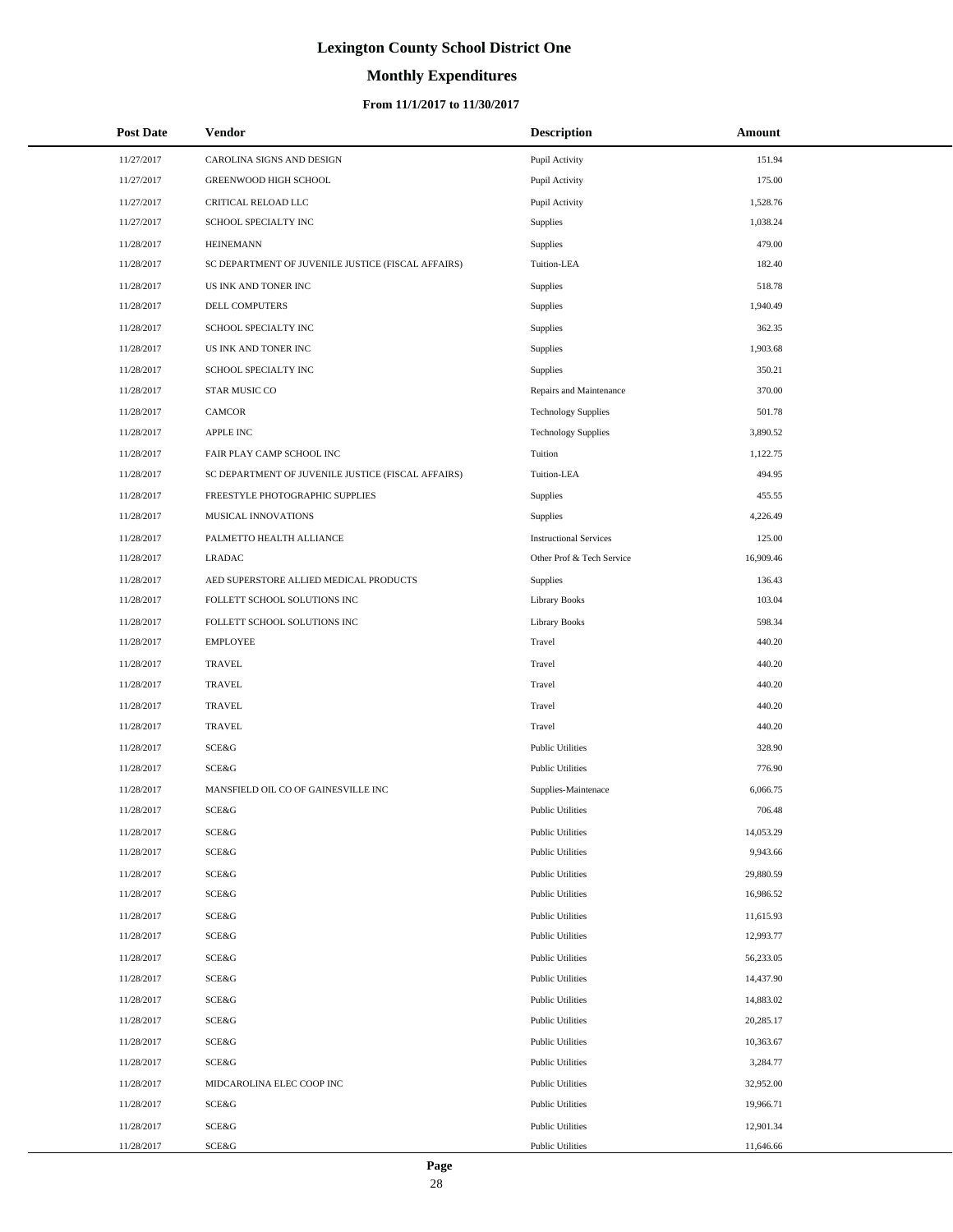# **Monthly Expenditures**

| <b>Post Date</b> | Vendor                                             | <b>Description</b>            | Amount    |
|------------------|----------------------------------------------------|-------------------------------|-----------|
| 11/27/2017       | CAROLINA SIGNS AND DESIGN                          | Pupil Activity                | 151.94    |
| 11/27/2017       | GREENWOOD HIGH SCHOOL                              | Pupil Activity                | 175.00    |
| 11/27/2017       | CRITICAL RELOAD LLC                                | Pupil Activity                | 1,528.76  |
| 11/27/2017       | SCHOOL SPECIALTY INC                               | Supplies                      | 1,038.24  |
| 11/28/2017       | <b>HEINEMANN</b>                                   | Supplies                      | 479.00    |
| 11/28/2017       | SC DEPARTMENT OF JUVENILE JUSTICE (FISCAL AFFAIRS) | Tuition-LEA                   | 182.40    |
| 11/28/2017       | US INK AND TONER INC                               | Supplies                      | 518.78    |
| 11/28/2017       | DELL COMPUTERS                                     | Supplies                      | 1,940.49  |
| 11/28/2017       | SCHOOL SPECIALTY INC                               | Supplies                      | 362.35    |
| 11/28/2017       | US INK AND TONER INC                               | Supplies                      | 1,903.68  |
| 11/28/2017       | SCHOOL SPECIALTY INC                               | Supplies                      | 350.21    |
| 11/28/2017       | STAR MUSIC CO                                      | Repairs and Maintenance       | 370.00    |
| 11/28/2017       | <b>CAMCOR</b>                                      | <b>Technology Supplies</b>    | 501.78    |
| 11/28/2017       | <b>APPLE INC</b>                                   | <b>Technology Supplies</b>    | 3,890.52  |
| 11/28/2017       | FAIR PLAY CAMP SCHOOL INC                          | Tuition                       | 1,122.75  |
| 11/28/2017       | SC DEPARTMENT OF JUVENILE JUSTICE (FISCAL AFFAIRS) | Tuition-LEA                   | 494.95    |
| 11/28/2017       | FREESTYLE PHOTOGRAPHIC SUPPLIES                    | Supplies                      | 455.55    |
| 11/28/2017       | MUSICAL INNOVATIONS                                | Supplies                      | 4,226.49  |
| 11/28/2017       | PALMETTO HEALTH ALLIANCE                           | <b>Instructional Services</b> | 125.00    |
| 11/28/2017       | <b>LRADAC</b>                                      | Other Prof & Tech Service     | 16,909.46 |
| 11/28/2017       | AED SUPERSTORE ALLIED MEDICAL PRODUCTS             | Supplies                      | 136.43    |
| 11/28/2017       | FOLLETT SCHOOL SOLUTIONS INC                       | <b>Library Books</b>          | 103.04    |
| 11/28/2017       | FOLLETT SCHOOL SOLUTIONS INC                       | <b>Library Books</b>          | 598.34    |
| 11/28/2017       | <b>EMPLOYEE</b>                                    | Travel                        | 440.20    |
| 11/28/2017       | <b>TRAVEL</b>                                      | Travel                        | 440.20    |
| 11/28/2017       | <b>TRAVEL</b>                                      | Travel                        | 440.20    |
| 11/28/2017       | <b>TRAVEL</b>                                      | Travel                        | 440.20    |
| 11/28/2017       | <b>TRAVEL</b>                                      | Travel                        | 440.20    |
| 11/28/2017       | SCE&G                                              | <b>Public Utilities</b>       | 328.90    |
| 11/28/2017       | SCE&G                                              | <b>Public Utilities</b>       | 776.90    |
| 11/28/2017       | MANSFIELD OIL CO OF GAINESVILLE INC                | Supplies-Maintenace           | 6,066.75  |
| 11/28/2017       | SCE&G                                              | <b>Public Utilities</b>       | 706.48    |
| 11/28/2017       | SCE&G                                              | <b>Public Utilities</b>       | 14,053.29 |
| 11/28/2017       | SCE&G                                              | <b>Public Utilities</b>       | 9,943.66  |
| 11/28/2017       | SCE&G                                              | <b>Public Utilities</b>       | 29,880.59 |
| 11/28/2017       | SCE&G                                              | <b>Public Utilities</b>       | 16,986.52 |
| 11/28/2017       | SCE&G                                              | <b>Public Utilities</b>       | 11,615.93 |
| 11/28/2017       | SCE&G                                              | <b>Public Utilities</b>       | 12,993.77 |
| 11/28/2017       | SCE&G                                              | <b>Public Utilities</b>       | 56,233.05 |
| 11/28/2017       | SCE&G                                              | <b>Public Utilities</b>       | 14,437.90 |
| 11/28/2017       | SCE&G                                              | <b>Public Utilities</b>       | 14,883.02 |
| 11/28/2017       | SCE&G                                              | <b>Public Utilities</b>       | 20,285.17 |
| 11/28/2017       | SCE&G                                              | <b>Public Utilities</b>       | 10,363.67 |
| 11/28/2017       | SCE&G                                              | <b>Public Utilities</b>       | 3,284.77  |
| 11/28/2017       | MIDCAROLINA ELEC COOP INC                          | <b>Public Utilities</b>       | 32,952.00 |
| 11/28/2017       | SCE&G                                              | <b>Public Utilities</b>       | 19,966.71 |
| 11/28/2017       | SCE&G                                              | <b>Public Utilities</b>       | 12,901.34 |
| 11/28/2017       | SCE&G                                              | <b>Public Utilities</b>       | 11,646.66 |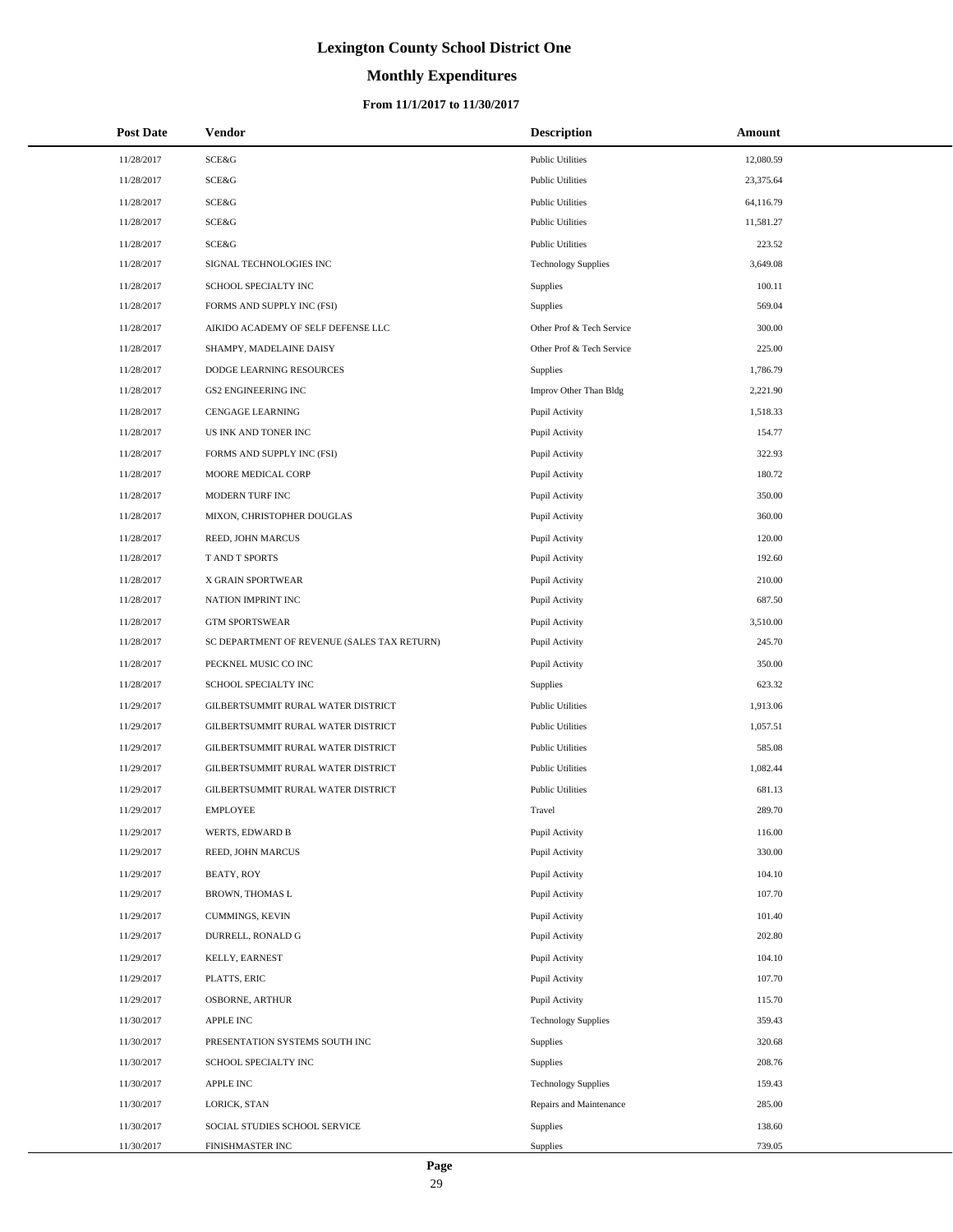# **Monthly Expenditures**

### **From 11/1/2017 to 11/30/2017**

| <b>Post Date</b> | Vendor                                      | <b>Description</b>         | Amount    |
|------------------|---------------------------------------------|----------------------------|-----------|
| 11/28/2017       | SCE&G                                       | <b>Public Utilities</b>    | 12,080.59 |
| 11/28/2017       | SCE&G                                       | <b>Public Utilities</b>    | 23,375.64 |
| 11/28/2017       | SCE&G                                       | <b>Public Utilities</b>    | 64,116.79 |
| 11/28/2017       | SCE&G                                       | <b>Public Utilities</b>    | 11,581.27 |
| 11/28/2017       | SCE&G                                       | <b>Public Utilities</b>    | 223.52    |
| 11/28/2017       | SIGNAL TECHNOLOGIES INC                     | <b>Technology Supplies</b> | 3,649.08  |
| 11/28/2017       | SCHOOL SPECIALTY INC                        | Supplies                   | 100.11    |
| 11/28/2017       | FORMS AND SUPPLY INC (FSI)                  | Supplies                   | 569.04    |
| 11/28/2017       | AIKIDO ACADEMY OF SELF DEFENSE LLC          | Other Prof & Tech Service  | 300.00    |
| 11/28/2017       | SHAMPY, MADELAINE DAISY                     | Other Prof & Tech Service  | 225.00    |
| 11/28/2017       | DODGE LEARNING RESOURCES                    | Supplies                   | 1,786.79  |
| 11/28/2017       | <b>GS2 ENGINEERING INC</b>                  | Improv Other Than Bldg     | 2,221.90  |
| 11/28/2017       | CENGAGE LEARNING                            | Pupil Activity             | 1,518.33  |
| 11/28/2017       | US INK AND TONER INC                        | Pupil Activity             | 154.77    |
| 11/28/2017       | FORMS AND SUPPLY INC (FSI)                  | Pupil Activity             | 322.93    |
| 11/28/2017       | MOORE MEDICAL CORP                          | Pupil Activity             | 180.72    |
| 11/28/2017       | MODERN TURF INC                             | Pupil Activity             | 350.00    |
| 11/28/2017       | MIXON, CHRISTOPHER DOUGLAS                  | Pupil Activity             | 360.00    |
| 11/28/2017       | REED, JOHN MARCUS                           | Pupil Activity             | 120.00    |
| 11/28/2017       | T AND T SPORTS                              | Pupil Activity             | 192.60    |
| 11/28/2017       | X GRAIN SPORTWEAR                           | Pupil Activity             | 210.00    |
| 11/28/2017       | NATION IMPRINT INC                          | Pupil Activity             | 687.50    |
| 11/28/2017       | <b>GTM SPORTSWEAR</b>                       | Pupil Activity             | 3,510.00  |
| 11/28/2017       | SC DEPARTMENT OF REVENUE (SALES TAX RETURN) | Pupil Activity             | 245.70    |
| 11/28/2017       | PECKNEL MUSIC CO INC                        | Pupil Activity             | 350.00    |
| 11/28/2017       | SCHOOL SPECIALTY INC                        | <b>Supplies</b>            | 623.32    |
| 11/29/2017       | GILBERTSUMMIT RURAL WATER DISTRICT          | <b>Public Utilities</b>    | 1,913.06  |
| 11/29/2017       | GILBERTSUMMIT RURAL WATER DISTRICT          | <b>Public Utilities</b>    | 1,057.51  |
| 11/29/2017       | GILBERTSUMMIT RURAL WATER DISTRICT          | <b>Public Utilities</b>    | 585.08    |
| 11/29/2017       | GILBERTSUMMIT RURAL WATER DISTRICT          | <b>Public Utilities</b>    | 1,082.44  |
| 11/29/2017       | GILBERTSUMMIT RURAL WATER DISTRICT          | <b>Public Utilities</b>    | 681.13    |
| 11/29/2017       | <b>EMPLOYEE</b>                             | Travel                     | 289.70    |
| 11/29/2017       | WERTS, EDWARD B                             | Pupil Activity             | 116.00    |
| 11/29/2017       | REED, JOHN MARCUS                           | Pupil Activity             | 330.00    |
| 11/29/2017       | BEATY, ROY                                  | Pupil Activity             | 104.10    |
| 11/29/2017       | <b>BROWN, THOMAS L</b>                      | Pupil Activity             | 107.70    |
| 11/29/2017       | CUMMINGS, KEVIN                             | Pupil Activity             | 101.40    |
| 11/29/2017       | DURRELL, RONALD G                           | Pupil Activity             | 202.80    |
| 11/29/2017       | KELLY, EARNEST                              | Pupil Activity             | 104.10    |
| 11/29/2017       | PLATTS, ERIC                                | Pupil Activity             | 107.70    |
| 11/29/2017       | OSBORNE, ARTHUR                             | Pupil Activity             | 115.70    |
| 11/30/2017       | <b>APPLE INC</b>                            | <b>Technology Supplies</b> | 359.43    |
| 11/30/2017       | PRESENTATION SYSTEMS SOUTH INC              | Supplies                   | 320.68    |
| 11/30/2017       | SCHOOL SPECIALTY INC                        | Supplies                   | 208.76    |
| 11/30/2017       | <b>APPLE INC</b>                            | <b>Technology Supplies</b> | 159.43    |
| 11/30/2017       | LORICK, STAN                                | Repairs and Maintenance    | 285.00    |
| 11/30/2017       | SOCIAL STUDIES SCHOOL SERVICE               | Supplies                   | 138.60    |
| 11/30/2017       | FINISHMASTER INC                            | Supplies                   | 739.05    |

 $\overline{a}$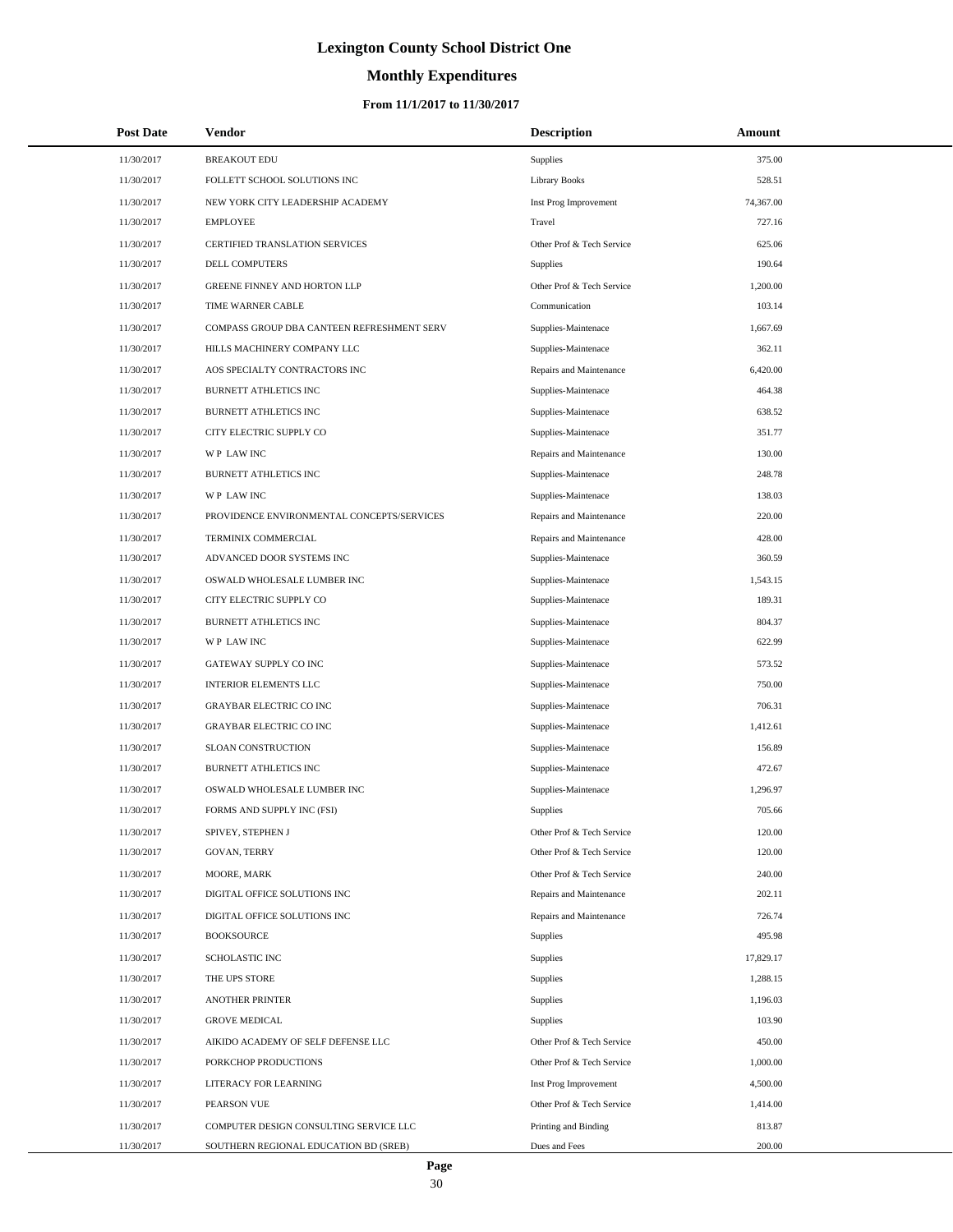# **Monthly Expenditures**

| <b>Post Date</b> | Vendor                                     | <b>Description</b>        | Amount    |
|------------------|--------------------------------------------|---------------------------|-----------|
| 11/30/2017       | <b>BREAKOUT EDU</b>                        | Supplies                  | 375.00    |
| 11/30/2017       | FOLLETT SCHOOL SOLUTIONS INC               | <b>Library Books</b>      | 528.51    |
| 11/30/2017       | NEW YORK CITY LEADERSHIP ACADEMY           | Inst Prog Improvement     | 74,367.00 |
| 11/30/2017       | <b>EMPLOYEE</b>                            | Travel                    | 727.16    |
| 11/30/2017       | CERTIFIED TRANSLATION SERVICES             | Other Prof & Tech Service | 625.06    |
| 11/30/2017       | DELL COMPUTERS                             | Supplies                  | 190.64    |
| 11/30/2017       | GREENE FINNEY AND HORTON LLP               | Other Prof & Tech Service | 1,200.00  |
| 11/30/2017       | TIME WARNER CABLE                          | Communication             | 103.14    |
| 11/30/2017       | COMPASS GROUP DBA CANTEEN REFRESHMENT SERV | Supplies-Maintenace       | 1,667.69  |
| 11/30/2017       | HILLS MACHINERY COMPANY LLC                | Supplies-Maintenace       | 362.11    |
| 11/30/2017       | AOS SPECIALTY CONTRACTORS INC              | Repairs and Maintenance   | 6,420.00  |
| 11/30/2017       | BURNETT ATHLETICS INC                      | Supplies-Maintenace       | 464.38    |
| 11/30/2017       | BURNETT ATHLETICS INC                      | Supplies-Maintenace       | 638.52    |
| 11/30/2017       | CITY ELECTRIC SUPPLY CO                    | Supplies-Maintenace       | 351.77    |
| 11/30/2017       | WP LAW INC                                 | Repairs and Maintenance   | 130.00    |
| 11/30/2017       | BURNETT ATHLETICS INC                      | Supplies-Maintenace       | 248.78    |
| 11/30/2017       | WP LAW INC                                 | Supplies-Maintenace       | 138.03    |
| 11/30/2017       | PROVIDENCE ENVIRONMENTAL CONCEPTS/SERVICES | Repairs and Maintenance   | 220.00    |
| 11/30/2017       | TERMINIX COMMERCIAL                        | Repairs and Maintenance   | 428.00    |
| 11/30/2017       | ADVANCED DOOR SYSTEMS INC                  | Supplies-Maintenace       | 360.59    |
| 11/30/2017       | OSWALD WHOLESALE LUMBER INC                | Supplies-Maintenace       | 1,543.15  |
| 11/30/2017       | CITY ELECTRIC SUPPLY CO                    | Supplies-Maintenace       | 189.31    |
| 11/30/2017       | BURNETT ATHLETICS INC                      | Supplies-Maintenace       | 804.37    |
| 11/30/2017       | WP LAW INC                                 | Supplies-Maintenace       | 622.99    |
| 11/30/2017       | GATEWAY SUPPLY CO INC                      | Supplies-Maintenace       | 573.52    |
| 11/30/2017       | <b>INTERIOR ELEMENTS LLC</b>               | Supplies-Maintenace       | 750.00    |
| 11/30/2017       | <b>GRAYBAR ELECTRIC CO INC</b>             | Supplies-Maintenace       | 706.31    |
| 11/30/2017       | <b>GRAYBAR ELECTRIC CO INC</b>             | Supplies-Maintenace       | 1,412.61  |
| 11/30/2017       | SLOAN CONSTRUCTION                         | Supplies-Maintenace       | 156.89    |
| 11/30/2017       | <b>BURNETT ATHLETICS INC</b>               | Supplies-Maintenace       | 472.67    |
| 11/30/2017       | OSWALD WHOLESALE LUMBER INC                | Supplies-Maintenace       | 1,296.97  |
| 11/30/2017       | FORMS AND SUPPLY INC (FSI)                 | Supplies                  | 705.66    |
| 11/30/2017       | SPIVEY, STEPHEN J                          | Other Prof & Tech Service | 120.00    |
| 11/30/2017       | GOVAN, TERRY                               | Other Prof & Tech Service | 120.00    |
| 11/30/2017       | MOORE, MARK                                | Other Prof & Tech Service | 240.00    |
| 11/30/2017       | DIGITAL OFFICE SOLUTIONS INC               | Repairs and Maintenance   | 202.11    |
| 11/30/2017       | DIGITAL OFFICE SOLUTIONS INC               | Repairs and Maintenance   | 726.74    |
| 11/30/2017       | <b>BOOKSOURCE</b>                          | Supplies                  | 495.98    |
| 11/30/2017       | <b>SCHOLASTIC INC</b>                      | Supplies                  | 17,829.17 |
| 11/30/2017       | THE UPS STORE                              | Supplies                  | 1,288.15  |
| 11/30/2017       | <b>ANOTHER PRINTER</b>                     | Supplies                  | 1,196.03  |
| 11/30/2017       | <b>GROVE MEDICAL</b>                       | Supplies                  | 103.90    |
| 11/30/2017       | AIKIDO ACADEMY OF SELF DEFENSE LLC         | Other Prof & Tech Service | 450.00    |
| 11/30/2017       | PORKCHOP PRODUCTIONS                       | Other Prof & Tech Service | 1,000.00  |
| 11/30/2017       | LITERACY FOR LEARNING                      | Inst Prog Improvement     | 4,500.00  |
| 11/30/2017       | PEARSON VUE                                | Other Prof & Tech Service | 1,414.00  |
| 11/30/2017       | COMPUTER DESIGN CONSULTING SERVICE LLC     | Printing and Binding      | 813.87    |
| 11/30/2017       | SOUTHERN REGIONAL EDUCATION BD (SREB)      | Dues and Fees             | 200.00    |